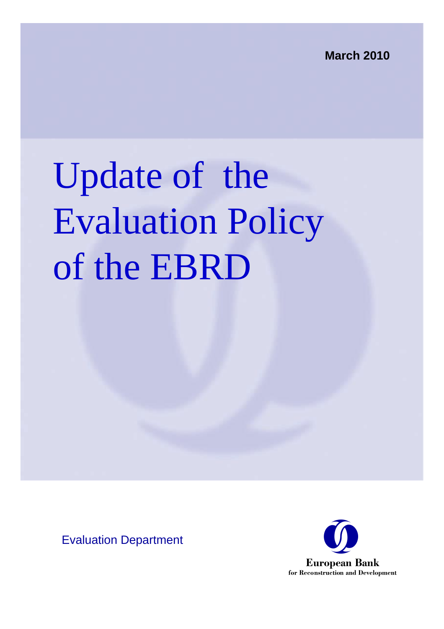**March 2010**

# Update of the Evaluation Policy of the EBRD

Evaluation Department

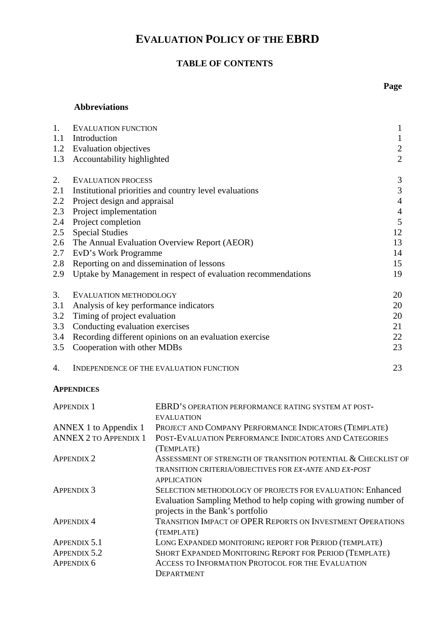## **EVALUATION POLICY OF THE EBRD**

## **TABLE OF CONTENTS**

## **Abbreviations**

| 1.  | <b>EVALUATION FUNCTION</b>                                    | $\mathbf{1}$     |
|-----|---------------------------------------------------------------|------------------|
| 1.1 | Introduction                                                  | $\mathbf{1}$     |
| 1.2 | <b>Evaluation objectives</b>                                  | $\boldsymbol{2}$ |
| 1.3 | Accountability highlighted                                    | $\overline{2}$   |
| 2.  | <b>EVALUATION PROCESS</b>                                     | 3                |
| 2.1 | Institutional priorities and country level evaluations        | 3                |
| 2.2 | Project design and appraisal                                  | $\overline{4}$   |
| 2.3 | Project implementation                                        | $\overline{4}$   |
| 2.4 | Project completion                                            | 5                |
| 2.5 | <b>Special Studies</b>                                        | 12               |
| 2.6 | The Annual Evaluation Overview Report (AEOR)                  | 13               |
| 2.7 | EvD's Work Programme                                          | 14               |
| 2.8 | Reporting on and dissemination of lessons                     | 15               |
| 2.9 | Uptake by Management in respect of evaluation recommendations | 19               |
| 3.  | EVALUATION METHODOLOGY                                        | 20               |
| 3.1 | Analysis of key performance indicators                        | 20               |
| 3.2 | Timing of project evaluation                                  | 20               |
| 3.3 | Conducting evaluation exercises                               | 21               |
| 3.4 | Recording different opinions on an evaluation exercise        | 22               |
| 3.5 | Cooperation with other MDBs                                   | 23               |
| 4.  | INDEPENDENCE OF THE EVALUATION FUNCTION                       | 23               |

#### **APPENDICES**

| <b>APPENDIX 1</b>            | EBRD'S OPERATION PERFORMANCE RATING SYSTEM AT POST-                                                  |
|------------------------------|------------------------------------------------------------------------------------------------------|
|                              | <b>EVALUATION</b>                                                                                    |
| ANNEX 1 to Appendix 1        | PROJECT AND COMPANY PERFORMANCE INDICATORS (TEMPLATE)                                                |
| <b>ANNEX 2 TO APPENDIX 1</b> | POST-EVALUATION PERFORMANCE INDICATORS AND CATEGORIES                                                |
|                              | (TEMPLATE)                                                                                           |
| <b>APPENDIX 2</b>            | ASSESSMENT OF STRENGTH OF TRANSITION POTENTIAL & CHECKLIST OF                                        |
|                              | TRANSITION CRITERIA/OBJECTIVES FOR EX-ANTE AND EX-POST                                               |
|                              | <b>APPLICATION</b>                                                                                   |
| <b>APPENDIX 3</b>            | SELECTION METHODOLOGY OF PROJECTS FOR EVALUATION: Enhanced                                           |
|                              | Evaluation Sampling Method to help coping with growing number of<br>projects in the Bank's portfolio |
| <b>APPENDIX 4</b>            | <b>TRANSITION IMPACT OF OPER REPORTS ON INVESTMENT OPERATIONS</b>                                    |
|                              | (TEMPLATE)                                                                                           |
| <b>APPENDIX 5.1</b>          | LONG EXPANDED MONITORING REPORT FOR PERIOD (TEMPLATE)                                                |
| <b>APPENDIX 5.2</b>          | SHORT EXPANDED MONITORING REPORT FOR PERIOD (TEMPLATE)                                               |
| APPENDIX 6                   | ACCESS TO INFORMATION PROTOCOL FOR THE EVALUATION                                                    |
|                              | DEPARTMENT                                                                                           |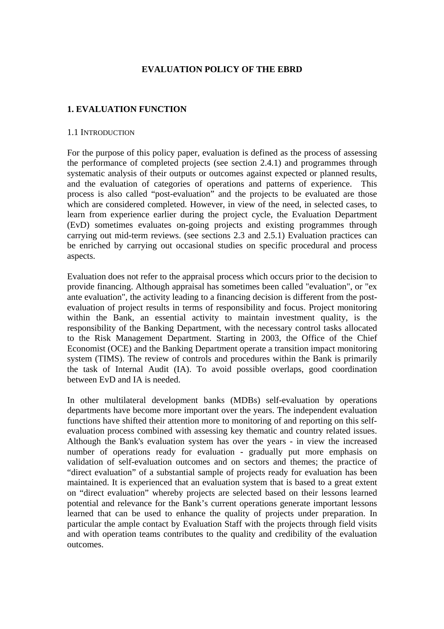#### **EVALUATION POLICY OF THE EBRD**

### **1. EVALUATION FUNCTION**

#### 1.1 INTRODUCTION

For the purpose of this policy paper, evaluation is defined as the process of assessing the performance of completed projects (see section 2.4.1) and programmes through systematic analysis of their outputs or outcomes against expected or planned results, and the evaluation of categories of operations and patterns of experience. This process is also called "post-evaluation" and the projects to be evaluated are those which are considered completed. However, in view of the need, in selected cases, to learn from experience earlier during the project cycle, the Evaluation Department (EvD) sometimes evaluates on-going projects and existing programmes through carrying out mid-term reviews. (see sections 2.3 and 2.5.1) Evaluation practices can be enriched by carrying out occasional studies on specific procedural and process aspects.

Evaluation does not refer to the appraisal process which occurs prior to the decision to provide financing. Although appraisal has sometimes been called "evaluation", or "ex ante evaluation", the activity leading to a financing decision is different from the postevaluation of project results in terms of responsibility and focus. Project monitoring within the Bank, an essential activity to maintain investment quality, is the responsibility of the Banking Department, with the necessary control tasks allocated to the Risk Management Department. Starting in 2003, the Office of the Chief Economist (OCE) and the Banking Department operate a transition impact monitoring system (TIMS). The review of controls and procedures within the Bank is primarily the task of Internal Audit (IA). To avoid possible overlaps, good coordination between EvD and IA is needed.

In other multilateral development banks (MDBs) self-evaluation by operations departments have become more important over the years. The independent evaluation functions have shifted their attention more to monitoring of and reporting on this selfevaluation process combined with assessing key thematic and country related issues. Although the Bank's evaluation system has over the years - in view the increased number of operations ready for evaluation - gradually put more emphasis on validation of self-evaluation outcomes and on sectors and themes; the practice of "direct evaluation" of a substantial sample of projects ready for evaluation has been maintained. It is experienced that an evaluation system that is based to a great extent on "direct evaluation" whereby projects are selected based on their lessons learned potential and relevance for the Bank's current operations generate important lessons learned that can be used to enhance the quality of projects under preparation. In particular the ample contact by Evaluation Staff with the projects through field visits and with operation teams contributes to the quality and credibility of the evaluation outcomes.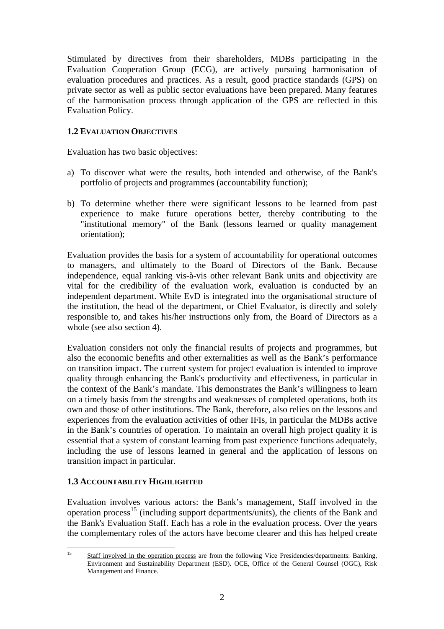Stimulated by directives from their shareholders, MDBs participating in the Evaluation Cooperation Group (ECG), are actively pursuing harmonisation of evaluation procedures and practices. As a result, good practice standards (GPS) on private sector as well as public sector evaluations have been prepared. Many features of the harmonisation process through application of the GPS are reflected in this Evaluation Policy.

## **1.2 EVALUATION OBJECTIVES**

Evaluation has two basic objectives:

- a) To discover what were the results, both intended and otherwise, of the Bank's portfolio of projects and programmes (accountability function);
- b) To determine whether there were significant lessons to be learned from past experience to make future operations better, thereby contributing to the "institutional memory" of the Bank (lessons learned or quality management orientation);

Evaluation provides the basis for a system of accountability for operational outcomes to managers, and ultimately to the Board of Directors of the Bank. Because independence, equal ranking vis-à-vis other relevant Bank units and objectivity are vital for the credibility of the evaluation work, evaluation is conducted by an independent department. While EvD is integrated into the organisational structure of the institution, the head of the department, or Chief Evaluator, is directly and solely responsible to, and takes his/her instructions only from, the Board of Directors as a whole (see also section 4).

Evaluation considers not only the financial results of projects and programmes, but also the economic benefits and other externalities as well as the Bank's performance on transition impact. The current system for project evaluation is intended to improve quality through enhancing the Bank's productivity and effectiveness, in particular in the context of the Bank's mandate. This demonstrates the Bank's willingness to learn on a timely basis from the strengths and weaknesses of completed operations, both its own and those of other institutions. The Bank, therefore, also relies on the lessons and experiences from the evaluation activities of other IFIs, in particular the MDBs active in the Bank's countries of operation. To maintain an overall high project quality it is essential that a system of constant learning from past experience functions adequately, including the use of lessons learned in general and the application of lessons on transition impact in particular.

## **1.3 ACCOUNTABILITY HIGHLIGHTED**

Evaluation involves various actors: the Bank's management, Staff involved in the operation process<sup>[15](#page-3-0)</sup> (including support departments/units), the clients of the Bank and the Bank's Evaluation Staff. Each has a role in the evaluation process. Over the years the complementary roles of the actors have become clearer and this has helped create

<span id="page-3-0"></span> $15$ 15 Staff involved in the operation process are from the following Vice Presidencies/departments: Banking, Environment and Sustainability Department (ESD). OCE, Office of the General Counsel (OGC), Risk Management and Finance.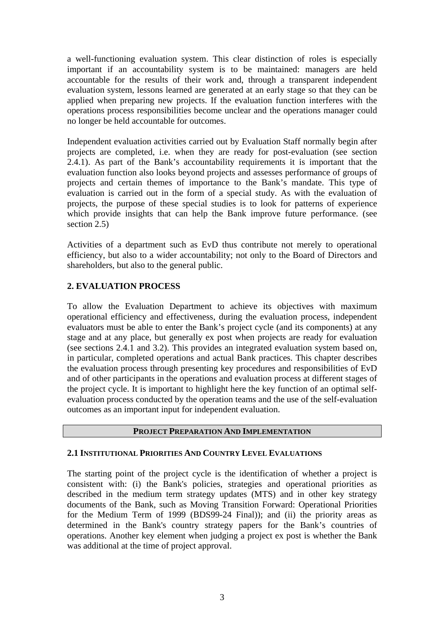a well-functioning evaluation system. This clear distinction of roles is especially important if an accountability system is to be maintained: managers are held accountable for the results of their work and, through a transparent independent evaluation system, lessons learned are generated at an early stage so that they can be applied when preparing new projects. If the evaluation function interferes with the operations process responsibilities become unclear and the operations manager could no longer be held accountable for outcomes.

Independent evaluation activities carried out by Evaluation Staff normally begin after projects are completed, i.e. when they are ready for post-evaluation (see section 2.4.1). As part of the Bank's accountability requirements it is important that the evaluation function also looks beyond projects and assesses performance of groups of projects and certain themes of importance to the Bank's mandate. This type of evaluation is carried out in the form of a special study. As with the evaluation of projects, the purpose of these special studies is to look for patterns of experience which provide insights that can help the Bank improve future performance. (see section 2.5)

Activities of a department such as EvD thus contribute not merely to operational efficiency, but also to a wider accountability; not only to the Board of Directors and shareholders, but also to the general public.

## **2. EVALUATION PROCESS**

To allow the Evaluation Department to achieve its objectives with maximum operational efficiency and effectiveness, during the evaluation process, independent evaluators must be able to enter the Bank's project cycle (and its components) at any stage and at any place, but generally ex post when projects are ready for evaluation (see sections 2.4.1 and 3.2). This provides an integrated evaluation system based on, in particular, completed operations and actual Bank practices. This chapter describes the evaluation process through presenting key procedures and responsibilities of EvD and of other participants in the operations and evaluation process at different stages of the project cycle. It is important to highlight here the key function of an optimal selfevaluation process conducted by the operation teams and the use of the self-evaluation outcomes as an important input for independent evaluation.

#### **PROJECT PREPARATION AND IMPLEMENTATION**

## **2.1 INSTITUTIONAL PRIORITIES AND COUNTRY LEVEL EVALUATIONS**

The starting point of the project cycle is the identification of whether a project is consistent with: (i) the Bank's policies, strategies and operational priorities as described in the medium term strategy updates (MTS) and in other key strategy documents of the Bank, such as Moving Transition Forward: Operational Priorities for the Medium Term of 1999 (BDS99-24 Final)); and (ii) the priority areas as determined in the Bank's country strategy papers for the Bank's countries of operations. Another key element when judging a project ex post is whether the Bank was additional at the time of project approval.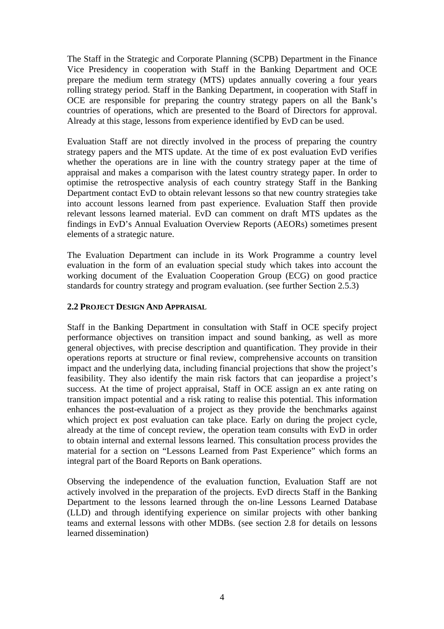The Staff in the Strategic and Corporate Planning (SCPB) Department in the Finance Vice Presidency in cooperation with Staff in the Banking Department and OCE prepare the medium term strategy (MTS) updates annually covering a four years rolling strategy period. Staff in the Banking Department, in cooperation with Staff in OCE are responsible for preparing the country strategy papers on all the Bank's countries of operations, which are presented to the Board of Directors for approval. Already at this stage, lessons from experience identified by EvD can be used.

Evaluation Staff are not directly involved in the process of preparing the country strategy papers and the MTS update. At the time of ex post evaluation EvD verifies whether the operations are in line with the country strategy paper at the time of appraisal and makes a comparison with the latest country strategy paper. In order to optimise the retrospective analysis of each country strategy Staff in the Banking Department contact EvD to obtain relevant lessons so that new country strategies take into account lessons learned from past experience. Evaluation Staff then provide relevant lessons learned material. EvD can comment on draft MTS updates as the findings in EvD's Annual Evaluation Overview Reports (AEORs) sometimes present elements of a strategic nature.

The Evaluation Department can include in its Work Programme a country level evaluation in the form of an evaluation special study which takes into account the working document of the Evaluation Cooperation Group (ECG) on good practice standards for country strategy and program evaluation. (see further Section 2.5.3)

### **2.2 PROJECT DESIGN AND APPRAISAL**

Staff in the Banking Department in consultation with Staff in OCE specify project performance objectives on transition impact and sound banking, as well as more general objectives, with precise description and quantification. They provide in their operations reports at structure or final review, comprehensive accounts on transition impact and the underlying data, including financial projections that show the project's feasibility. They also identify the main risk factors that can jeopardise a project's success. At the time of project appraisal, Staff in OCE assign an ex ante rating on transition impact potential and a risk rating to realise this potential. This information enhances the post-evaluation of a project as they provide the benchmarks against which project ex post evaluation can take place. Early on during the project cycle, already at the time of concept review, the operation team consults with EvD in order to obtain internal and external lessons learned. This consultation process provides the material for a section on "Lessons Learned from Past Experience" which forms an integral part of the Board Reports on Bank operations.

Observing the independence of the evaluation function, Evaluation Staff are not actively involved in the preparation of the projects. EvD directs Staff in the Banking Department to the lessons learned through the on-line Lessons Learned Database (LLD) and through identifying experience on similar projects with other banking teams and external lessons with other MDBs. (see section 2.8 for details on lessons learned dissemination)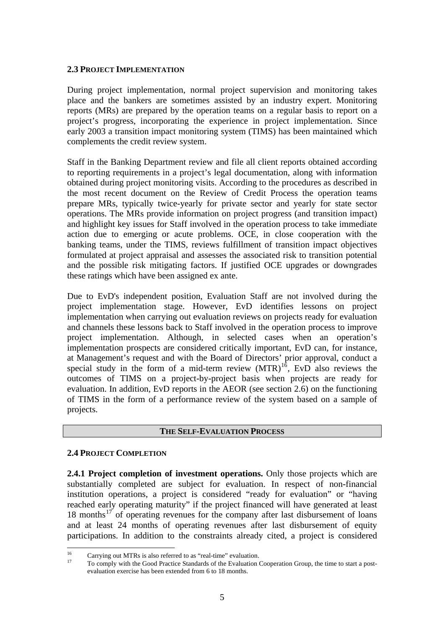#### **2.3 PROJECT IMPLEMENTATION**

During project implementation, normal project supervision and monitoring takes place and the bankers are sometimes assisted by an industry expert. Monitoring reports (MRs) are prepared by the operation teams on a regular basis to report on a project's progress, incorporating the experience in project implementation. Since early 2003 a transition impact monitoring system (TIMS) has been maintained which complements the credit review system.

Staff in the Banking Department review and file all client reports obtained according to reporting requirements in a project's legal documentation, along with information obtained during project monitoring visits. According to the procedures as described in the most recent document on the Review of Credit Process the operation teams prepare MRs, typically twice-yearly for private sector and yearly for state sector operations. The MRs provide information on project progress (and transition impact) and highlight key issues for Staff involved in the operation process to take immediate action due to emerging or acute problems. OCE, in close cooperation with the banking teams, under the TIMS, reviews fulfillment of transition impact objectives formulated at project appraisal and assesses the associated risk to transition potential and the possible risk mitigating factors. If justified OCE upgrades or downgrades these ratings which have been assigned ex ante.

Due to EvD's independent position, Evaluation Staff are not involved during the project implementation stage. However, EvD identifies lessons on project implementation when carrying out evaluation reviews on projects ready for evaluation and channels these lessons back to Staff involved in the operation process to improve project implementation. Although, in selected cases when an operation's implementation prospects are considered critically important, EvD can, for instance, at Management's request and with the Board of Directors' prior approval, conduct a at Management s request and with the board of Directors prior upproving construction special study in the form of a mid-term review  $(MTR)^{16}$  $(MTR)^{16}$  $(MTR)^{16}$ , EvD also reviews the outcomes of TIMS on a project-by-project basis when projects are ready for evaluation. In addition, EvD reports in the AEOR (see section 2.6) on the functioning of TIMS in the form of a performance review of the system based on a sample of projects.

#### **THE SELF-EVALUATION PROCESS**

#### **2.4 PROJECT COMPLETION**

**2.4.1 Project completion of investment operations.** Only those projects which are substantially completed are subject for evaluation. In respect of non-financial institution operations, a project is considered "ready for evaluation" or "having reached early operating maturity" if the project financed will have generated at least  $18$  months<sup>[17](#page-6-1)</sup> of operating revenues for the company after last disbursement of loans and at least 24 months of operating revenues after last disbursement of equity participations. In addition to the constraints already cited, a project is considered

<span id="page-6-1"></span><span id="page-6-0"></span> $16$ <sup>16</sup> Carrying out MTRs is also referred to as "real-time" evaluation.

<sup>17</sup> To comply with the Good Practice Standards of the Evaluation Cooperation Group, the time to start a postevaluation exercise has been extended from 6 to 18 months.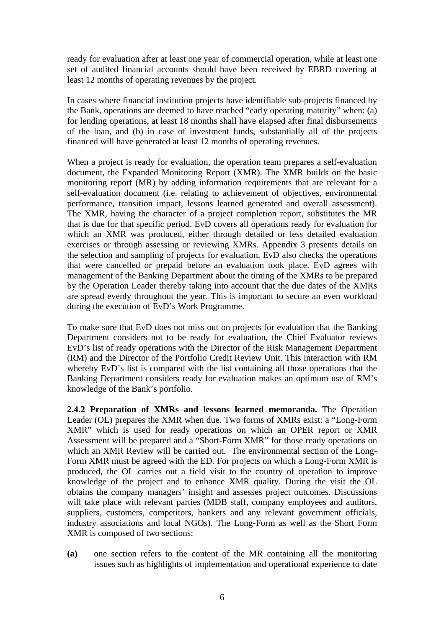ready for evaluation after at least one year of commercial operation, while at least one set of audited financial accounts should have been received by EBRD covering at least 12 months of operating revenues by the project.

In cases where financial institution projects have identifiable sub-projects financed by the Bank, operations are deemed to have reached "early operating maturity" when: (a) for lending operations, at least 18 months shall have elapsed after final disbursements of the loan, and (b) in case of investment funds, substantially all of the projects financed will have generated at least 12 months of operating revenues.

When a project is ready for evaluation, the operation team prepares a self-evaluation document, the Expanded Monitoring Report (XMR). The XMR builds on the basic monitoring report (MR) by adding information requirements that are relevant for a self-evaluation document (i.e. relating to achievement of objectives, environmental performance, transition impact, lessons learned generated and overall assessment). The XMR, having the character of a project completion report, substitutes the MR that is due for that specific period. EvD covers all operations ready for evaluation for which an XMR was produced, either through detailed or less detailed evaluation exercises or through assessing or reviewing XMRs. Appendix 3 presents details on the selection and sampling of projects for evaluation. EvD also checks the operations that were cancelled or prepaid before an evaluation took place. EvD agrees with management of the Banking Department about the timing of the XMRs to be prepared by the Operation Leader thereby taking into account that the due dates of the XMRs are spread evenly throughout the year. This is important to secure an even workload during the execution of EvD's Work Programme.

To make sure that EvD does not miss out on projects for evaluation that the Banking Department considers not to be ready for evaluation, the Chief Evaluator reviews EvD's list of ready operations with the Director of the Risk Management Department (RM) and the Director of the Portfolio Credit Review Unit. This interaction with RM whereby EvD's list is compared with the list containing all those operations that the Banking Department considers ready for evaluation makes an optimum use of RM's knowledge of the Bank's portfolio.

**2.4.2 Preparation of XMRs and lessons learned memoranda.** The Operation Leader (OL) prepares the XMR when due. Two forms of XMRs exist: a "Long-Form XMR" which is used for ready operations on which an OPER report or XMR Assessment will be prepared and a "Short-Form XMR" for those ready operations on which an XMR Review will be carried out. The environmental section of the Long-Form XMR must be agreed with the ED. For projects on which a Long-Form XMR is produced, the OL carries out a field visit to the country of operation to improve knowledge of the project and to enhance XMR quality. During the visit the OL obtains the company managers' insight and assesses project outcomes. Discussions will take place with relevant parties (MDB staff, company employees and auditors, suppliers, customers, competitors, bankers and any relevant government officials, industry associations and local NGOs). The Long-Form as well as the Short Form XMR is composed of two sections:

**(a)** one section refers to the content of the MR containing all the monitoring issues such as highlights of implementation and operational experience to date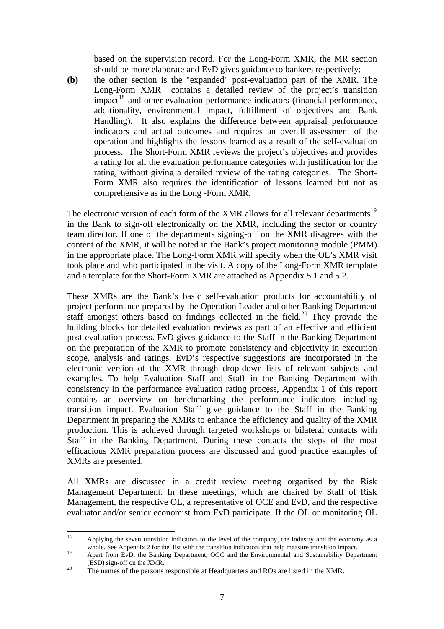based on the supervision record. For the Long-Form XMR, the MR section should be more elaborate and EvD gives guidance to bankers respectively;

**(b)** the other section is the "expanded" post-evaluation part of the XMR. The Long-Form XMR contains a detailed review of the project's transition  $impact<sup>18</sup>$  $impact<sup>18</sup>$  $impact<sup>18</sup>$  and other evaluation performance indicators (financial performance, additionality, environmental impact, fulfillment of objectives and Bank Handling). It also explains the difference between appraisal performance indicators and actual outcomes and requires an overall assessment of the operation and highlights the lessons learned as a result of the self-evaluation process. The Short-Form XMR reviews the project's objectives and provides a rating for all the evaluation performance categories with justification for the rating, without giving a detailed review of the rating categories. The Short-Form XMR also requires the identification of lessons learned but not as comprehensive as in the Long -Form XMR.

The electronic version of each form of the XMR allows for all relevant departments<sup>[19](#page-8-1)</sup> in the Bank to sign-off electronically on the XMR, including the sector or country team director. If one of the departments signing-off on the XMR disagrees with the content of the XMR, it will be noted in the Bank's project monitoring module (PMM) in the appropriate place. The Long-Form XMR will specify when the OL's XMR visit took place and who participated in the visit. A copy of the Long-Form XMR template and a template for the Short-Form XMR are attached as Appendix 5.1 and 5.2.

These XMRs are the Bank's basic self-evaluation products for accountability of project performance prepared by the Operation Leader and other Banking Department staff amongst others based on findings collected in the field.<sup>[20](#page-8-2)</sup> They provide the building blocks for detailed evaluation reviews as part of an effective and efficient post-evaluation process. EvD gives guidance to the Staff in the Banking Department on the preparation of the XMR to promote consistency and objectivity in execution scope, analysis and ratings. EvD's respective suggestions are incorporated in the electronic version of the XMR through drop-down lists of relevant subjects and examples. To help Evaluation Staff and Staff in the Banking Department with consistency in the performance evaluation rating process, Appendix 1 of this report contains an overview on benchmarking the performance indicators including transition impact. Evaluation Staff give guidance to the Staff in the Banking Department in preparing the XMRs to enhance the efficiency and quality of the XMR production. This is achieved through targeted workshops or bilateral contacts with Staff in the Banking Department. During these contacts the steps of the most efficacious XMR preparation process are discussed and good practice examples of XMRs are presented.

All XMRs are discussed in a credit review meeting organised by the Risk Management Department. In these meetings, which are chaired by Staff of Risk Management, the respective OL, a representative of OCE and EvD, and the respective evaluator and/or senior economist from EvD participate. If the OL or monitoring OL

<span id="page-8-0"></span><sup>18</sup> Applying the seven transition indicators to the level of the company, the industry and the economy as a

<span id="page-8-1"></span>whole. See Appendix 2 for the list with the transition indicators that help measure transition impact.<br>Apart from EvD, the Banking Department, OGC and the Environmental and Sustainability Department<br>(ESD) sign-off on the X

<span id="page-8-2"></span><sup>&</sup>lt;sup>20</sup> The names of the persons responsible at Headquarters and ROs are listed in the XMR.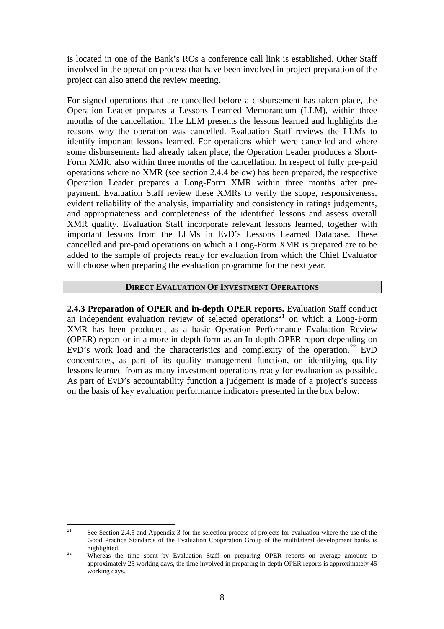is located in one of the Bank's ROs a conference call link is established. Other Staff involved in the operation process that have been involved in project preparation of the project can also attend the review meeting.

For signed operations that are cancelled before a disbursement has taken place, the Operation Leader prepares a Lessons Learned Memorandum (LLM), within three months of the cancellation. The LLM presents the lessons learned and highlights the reasons why the operation was cancelled. Evaluation Staff reviews the LLMs to identify important lessons learned. For operations which were cancelled and where some disbursements had already taken place, the Operation Leader produces a Short-Form XMR, also within three months of the cancellation. In respect of fully pre-paid operations where no XMR (see section 2.4.4 below) has been prepared, the respective Operation Leader prepares a Long-Form XMR within three months after prepayment. Evaluation Staff review these XMRs to verify the scope, responsiveness, evident reliability of the analysis, impartiality and consistency in ratings judgements, and appropriateness and completeness of the identified lessons and assess overall XMR quality. Evaluation Staff incorporate relevant lessons learned, together with important lessons from the LLMs in EvD's Lessons Learned Database. These cancelled and pre-paid operations on which a Long-Form XMR is prepared are to be added to the sample of projects ready for evaluation from which the Chief Evaluator will choose when preparing the evaluation programme for the next year.

#### **DIRECT EVALUATION OF INVESTMENT OPERATIONS**

**2.4.3 Preparation of OPER and in-depth OPER reports.** Evaluation Staff conduct an independent evaluation review of selected operations<sup>[21](#page-9-0)</sup> on which a Long-Form XMR has been produced, as a basic Operation Performance Evaluation Review (OPER) report or in a more in-depth form as an In-depth OPER report depending on EvD's work load and the characteristics and complexity of the operation.<sup>[22](#page-9-1)</sup> EvD concentrates, as part of its quality management function, on identifying quality lessons learned from as many investment operations ready for evaluation as possible. As part of EvD's accountability function a judgement is made of a project's success on the basis of key evaluation performance indicators presented in the box below.

<span id="page-9-0"></span> $21\,$ See Section 2.4.5 and Appendix 3 for the selection process of projects for evaluation where the use of the Good Practice Standards of the Evaluation Cooperation Group of the multilateral development banks is highlighted.<br><sup>22</sup> Whereas the time spent by Evaluation Staff on preparing OPER reports on average amounts to

<span id="page-9-1"></span>approximately 25 working days, the time involved in preparing In-depth OPER reports is approximately 45 working days.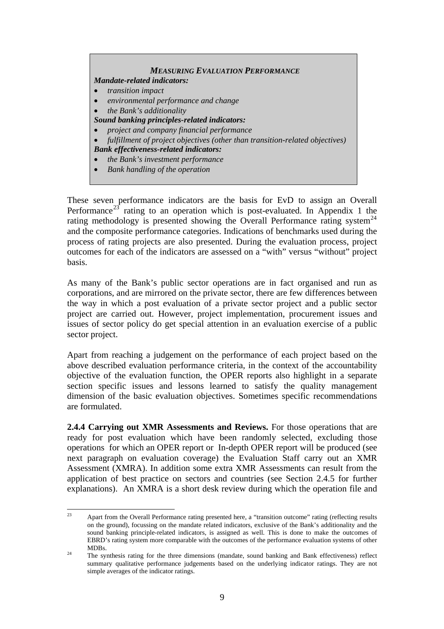#### *MEASURING EVALUATION PERFORMANCE*

## *Mandate-related indicators:*

- *transition impact*
- *environmental performance and change*
- *the Bank's additionality*
- *Sound banking principles-related indicators:*
- *project and company financial performance*
- *fulfillment of project objectives (other than transition-related objectives) Bank effectiveness-related indicators:*
- *the Bank's investment performance*
- *Bank handling of the operation*

These seven performance indicators are the basis for EvD to assign an Overall Performance<sup>[23](#page-10-0)</sup> rating to an operation which is post-evaluated. In Appendix 1 the rating methodology is presented showing the Overall Performance rating system<sup>[24](#page-10-1)</sup> and the composite performance categories. Indications of benchmarks used during the process of rating projects are also presented. During the evaluation process, project outcomes for each of the indicators are assessed on a "with" versus "without" project basis.

As many of the Bank's public sector operations are in fact organised and run as corporations, and are mirrored on the private sector, there are few differences between the way in which a post evaluation of a private sector project and a public sector project are carried out. However, project implementation, procurement issues and issues of sector policy do get special attention in an evaluation exercise of a public sector project.

Apart from reaching a judgement on the performance of each project based on the above described evaluation performance criteria, in the context of the accountability objective of the evaluation function, the OPER reports also highlight in a separate section specific issues and lessons learned to satisfy the quality management dimension of the basic evaluation objectives. Sometimes specific recommendations are formulated.

**2.4.4 Carrying out XMR Assessments and Reviews.** For those operations that are ready for post evaluation which have been randomly selected, excluding those operations for which an OPER report or In-depth OPER report will be produced (see next paragraph on evaluation coverage) the Evaluation Staff carry out an XMR Assessment (XMRA). In addition some extra XMR Assessments can result from the application of best practice on sectors and countries (see Section 2.4.5 for further explanations). An XMRA is a short desk review during which the operation file and

<span id="page-10-0"></span> $23$ 23 Apart from the Overall Performance rating presented here, a "transition outcome" rating (reflecting results on the ground), focussing on the mandate related indicators, exclusive of the Bank's additionality and the sound banking principle-related indicators, is assigned as well. This is done to make the outcomes of EBRD's rating system more comparable with the outcomes of the performance evaluation systems of other MDBs.<br><sup>24</sup> The synthesis rating for the three dimensions (mandate, sound banking and Bank effectiveness) reflect

<span id="page-10-1"></span>summary qualitative performance judgements based on the underlying indicator ratings. They are not simple averages of the indicator ratings.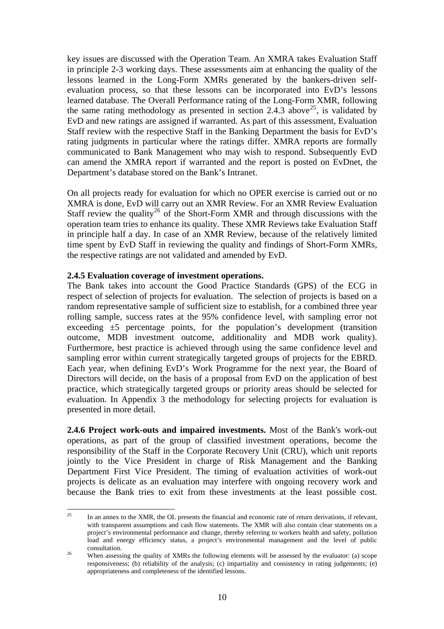key issues are discussed with the Operation Team. An XMRA takes Evaluation Staff in principle 2-3 working days. These assessments aim at enhancing the quality of the lessons learned in the Long-Form XMRs generated by the bankers-driven selfevaluation process, so that these lessons can be incorporated into EvD's lessons learned database. The Overall Performance rating of the Long-Form XMR, following the same rating methodology as presented in section 2.4.3 above<sup>[25](#page-11-0)</sup>, is validated by EvD and new ratings are assigned if warranted. As part of this assessment, Evaluation Staff review with the respective Staff in the Banking Department the basis for EvD's rating judgments in particular where the ratings differ. XMRA reports are formally communicated to Bank Management who may wish to respond. Subsequently EvD can amend the XMRA report if warranted and the report is posted on EvDnet, the Department's database stored on the Bank's Intranet.

On all projects ready for evaluation for which no OPER exercise is carried out or no XMRA is done, EvD will carry out an XMR Review. For an XMR Review Evaluation Staff review the quality<sup>[26](#page-11-1)</sup> of the Short-Form XMR and through discussions with the operation team tries to enhance its quality. These XMR Reviews take Evaluation Staff in principle half a day. In case of an XMR Review, because of the relatively limited time spent by EvD Staff in reviewing the quality and findings of Short-Form XMRs, the respective ratings are not validated and amended by EvD.

#### **2.4.5 Evaluation coverage of investment operations.**

The Bank takes into account the Good Practice Standards (GPS) of the ECG in respect of selection of projects for evaluation. The selection of projects is based on a random representative sample of sufficient size to establish, for a combined three year rolling sample, success rates at the 95% confidence level, with sampling error not exceeding  $\pm 5$  percentage points, for the population's development (transition outcome, MDB investment outcome, additionality and MDB work quality). Furthermore, best practice is achieved through using the same confidence level and sampling error within current strategically targeted groups of projects for the EBRD. Each year, when defining EvD's Work Programme for the next year, the Board of Directors will decide, on the basis of a proposal from EvD on the application of best practice, which strategically targeted groups or priority areas should be selected for evaluation. In Appendix 3 the methodology for selecting projects for evaluation is presented in more detail.

**2.4.6 Project work-outs and impaired investments.** Most of the Bank's work-out operations, as part of the group of classified investment operations, become the responsibility of the Staff in the Corporate Recovery Unit (CRU), which unit reports jointly to the Vice President in charge of Risk Management and the Banking Department First Vice President. The timing of evaluation activities of work-out projects is delicate as an evaluation may interfere with ongoing recovery work and because the Bank tries to exit from these investments at the least possible cost.

<span id="page-11-0"></span> $25$ 25 In an annex to the XMR, the OL presents the financial and economic rate of return derivations, if relevant, with transparent assumptions and cash flow statements. The XMR will also contain clear statements on a project's environmental performance and change, thereby referring to workers health and safety, pollution load and energy efficiency status, a project's environmental management and the level of public consultation.<br><sup>26</sup> When assessing the quality of XMRs the following elements will be assessed by the evaluator: (a) scope

<span id="page-11-1"></span>responsiveness; (b) reliability of the analysis; (c) impartiality and consistency in rating judgements; (e) appropriateness and completeness of the identified lessons.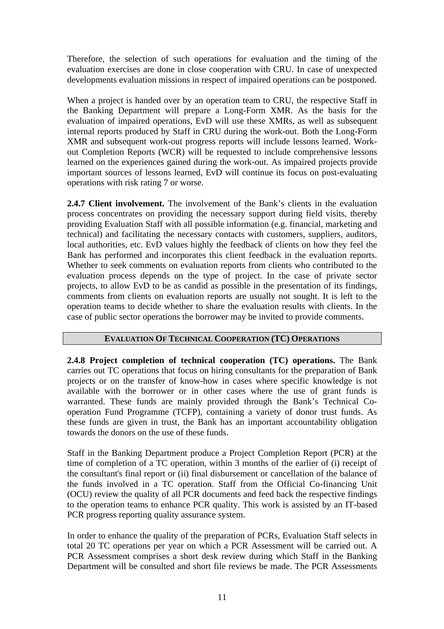Therefore, the selection of such operations for evaluation and the timing of the evaluation exercises are done in close cooperation with CRU. In case of unexpected developments evaluation missions in respect of impaired operations can be postponed.

When a project is handed over by an operation team to CRU, the respective Staff in the Banking Department will prepare a Long-Form XMR. As the basis for the evaluation of impaired operations, EvD will use these XMRs, as well as subsequent internal reports produced by Staff in CRU during the work-out. Both the Long-Form XMR and subsequent work-out progress reports will include lessons learned. Workout Completion Reports (WCR) will be requested to include comprehensive lessons learned on the experiences gained during the work-out. As impaired projects provide important sources of lessons learned, EvD will continue its focus on post-evaluating operations with risk rating 7 or worse.

**2.4.7 Client involvement.** The involvement of the Bank's clients in the evaluation process concentrates on providing the necessary support during field visits, thereby providing Evaluation Staff with all possible information (e.g. financial, marketing and technical) and facilitating the necessary contacts with customers, suppliers, auditors, local authorities, etc. EvD values highly the feedback of clients on how they feel the Bank has performed and incorporates this client feedback in the evaluation reports. Whether to seek comments on evaluation reports from clients who contributed to the evaluation process depends on the type of project. In the case of private sector projects, to allow EvD to be as candid as possible in the presentation of its findings, comments from clients on evaluation reports are usually not sought. It is left to the operation teams to decide whether to share the evaluation results with clients. In the case of public sector operations the borrower may be invited to provide comments.

#### **EVALUATION OF TECHNICAL COOPERATION (TC) OPERATIONS**

**2.4.8 Project completion of technical cooperation (TC) operations.** The Bank carries out TC operations that focus on hiring consultants for the preparation of Bank projects or on the transfer of know-how in cases where specific knowledge is not available with the borrower or in other cases where the use of grant funds is warranted. These funds are mainly provided through the Bank's Technical Cooperation Fund Programme (TCFP), containing a variety of donor trust funds. As these funds are given in trust, the Bank has an important accountability obligation towards the donors on the use of these funds.

Staff in the Banking Department produce a Project Completion Report (PCR) at the time of completion of a TC operation, within 3 months of the earlier of (i) receipt of the consultant's final report or (ii) final disbursement or cancellation of the balance of the funds involved in a TC operation. Staff from the Official Co-financing Unit (OCU) review the quality of all PCR documents and feed back the respective findings to the operation teams to enhance PCR quality. This work is assisted by an IT-based PCR progress reporting quality assurance system.

In order to enhance the quality of the preparation of PCRs, Evaluation Staff selects in total 20 TC operations per year on which a PCR Assessment will be carried out. A PCR Assessment comprises a short desk review during which Staff in the Banking Department will be consulted and short file reviews be made. The PCR Assessments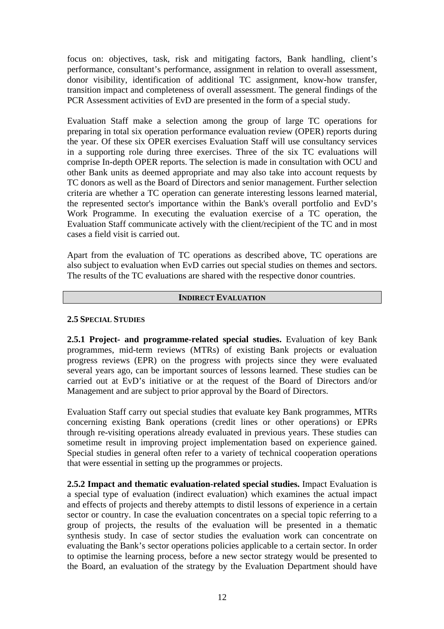focus on: objectives, task, risk and mitigating factors, Bank handling, client's performance, consultant's performance, assignment in relation to overall assessment, donor visibility, identification of additional TC assignment, know-how transfer, transition impact and completeness of overall assessment. The general findings of the PCR Assessment activities of EvD are presented in the form of a special study.

Evaluation Staff make a selection among the group of large TC operations for preparing in total six operation performance evaluation review (OPER) reports during the year. Of these six OPER exercises Evaluation Staff will use consultancy services in a supporting role during three exercises. Three of the six TC evaluations will comprise In-depth OPER reports. The selection is made in consultation with OCU and other Bank units as deemed appropriate and may also take into account requests by TC donors as well as the Board of Directors and senior management. Further selection criteria are whether a TC operation can generate interesting lessons learned material, the represented sector's importance within the Bank's overall portfolio and EvD's Work Programme. In executing the evaluation exercise of a TC operation, the Evaluation Staff communicate actively with the client/recipient of the TC and in most cases a field visit is carried out.

Apart from the evaluation of TC operations as described above, TC operations are also subject to evaluation when EvD carries out special studies on themes and sectors. The results of the TC evaluations are shared with the respective donor countries.

#### **INDIRECT EVALUATION**

#### **2.5 SPECIAL STUDIES**

**2.5.1 Project- and programme-related special studies.** Evaluation of key Bank programmes, mid-term reviews (MTRs) of existing Bank projects or evaluation progress reviews (EPR) on the progress with projects since they were evaluated several years ago, can be important sources of lessons learned. These studies can be carried out at EvD's initiative or at the request of the Board of Directors and/or Management and are subject to prior approval by the Board of Directors.

Evaluation Staff carry out special studies that evaluate key Bank programmes, MTRs concerning existing Bank operations (credit lines or other operations) or EPRs through re-visiting operations already evaluated in previous years. These studies can sometime result in improving project implementation based on experience gained. Special studies in general often refer to a variety of technical cooperation operations that were essential in setting up the programmes or projects.

**2.5.2 Impact and thematic evaluation-related special studies.** Impact Evaluation is a special type of evaluation (indirect evaluation) which examines the actual impact and effects of projects and thereby attempts to distil lessons of experience in a certain sector or country. In case the evaluation concentrates on a special topic referring to a group of projects, the results of the evaluation will be presented in a thematic synthesis study. In case of sector studies the evaluation work can concentrate on evaluating the Bank's sector operations policies applicable to a certain sector. In order to optimise the learning process, before a new sector strategy would be presented to the Board, an evaluation of the strategy by the Evaluation Department should have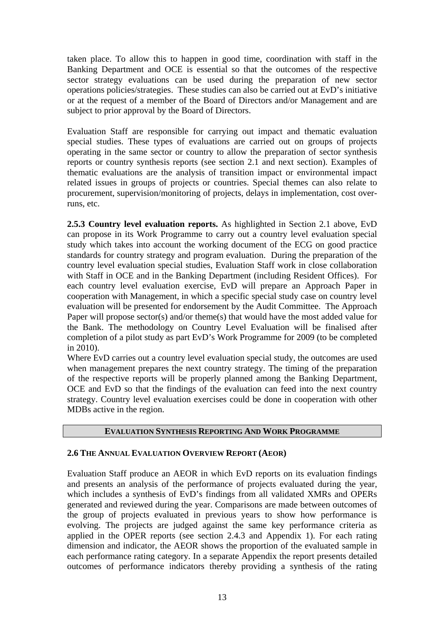taken place. To allow this to happen in good time, coordination with staff in the Banking Department and OCE is essential so that the outcomes of the respective sector strategy evaluations can be used during the preparation of new sector operations policies/strategies. These studies can also be carried out at EvD's initiative or at the request of a member of the Board of Directors and/or Management and are subject to prior approval by the Board of Directors.

Evaluation Staff are responsible for carrying out impact and thematic evaluation special studies. These types of evaluations are carried out on groups of projects operating in the same sector or country to allow the preparation of sector synthesis reports or country synthesis reports (see section 2.1 and next section). Examples of thematic evaluations are the analysis of transition impact or environmental impact related issues in groups of projects or countries. Special themes can also relate to procurement, supervision/monitoring of projects, delays in implementation, cost overruns, etc.

**2.5.3 Country level evaluation reports.** As highlighted in Section 2.1 above, EvD can propose in its Work Programme to carry out a country level evaluation special study which takes into account the working document of the ECG on good practice standards for country strategy and program evaluation. During the preparation of the country level evaluation special studies, Evaluation Staff work in close collaboration with Staff in OCE and in the Banking Department (including Resident Offices). For each country level evaluation exercise, EvD will prepare an Approach Paper in cooperation with Management, in which a specific special study case on country level evaluation will be presented for endorsement by the Audit Committee. The Approach Paper will propose sector(s) and/or theme(s) that would have the most added value for the Bank. The methodology on Country Level Evaluation will be finalised after completion of a pilot study as part EvD's Work Programme for 2009 (to be completed in 2010).

Where EvD carries out a country level evaluation special study, the outcomes are used when management prepares the next country strategy. The timing of the preparation of the respective reports will be properly planned among the Banking Department, OCE and EvD so that the findings of the evaluation can feed into the next country strategy. Country level evaluation exercises could be done in cooperation with other MDBs active in the region.

#### **EVALUATION SYNTHESIS REPORTING AND WORK PROGRAMME**

#### **2.6 THE ANNUAL EVALUATION OVERVIEW REPORT (AEOR)**

Evaluation Staff produce an AEOR in which EvD reports on its evaluation findings and presents an analysis of the performance of projects evaluated during the year, which includes a synthesis of EvD's findings from all validated XMRs and OPERs generated and reviewed during the year. Comparisons are made between outcomes of the group of projects evaluated in previous years to show how performance is evolving. The projects are judged against the same key performance criteria as applied in the OPER reports (see section 2.4.3 and Appendix 1). For each rating dimension and indicator, the AEOR shows the proportion of the evaluated sample in each performance rating category. In a separate Appendix the report presents detailed outcomes of performance indicators thereby providing a synthesis of the rating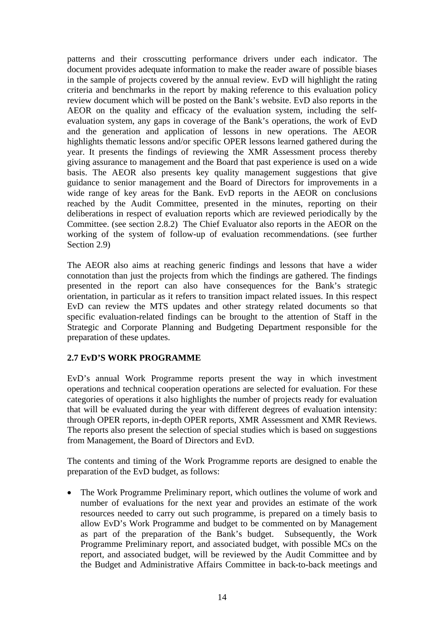patterns and their crosscutting performance drivers under each indicator. The document provides adequate information to make the reader aware of possible biases in the sample of projects covered by the annual review. EvD will highlight the rating criteria and benchmarks in the report by making reference to this evaluation policy review document which will be posted on the Bank's website. EvD also reports in the AEOR on the quality and efficacy of the evaluation system, including the selfevaluation system, any gaps in coverage of the Bank's operations, the work of EvD and the generation and application of lessons in new operations. The AEOR highlights thematic lessons and/or specific OPER lessons learned gathered during the year. It presents the findings of reviewing the XMR Assessment process thereby giving assurance to management and the Board that past experience is used on a wide basis. The AEOR also presents key quality management suggestions that give guidance to senior management and the Board of Directors for improvements in a wide range of key areas for the Bank. EvD reports in the AEOR on conclusions reached by the Audit Committee, presented in the minutes, reporting on their deliberations in respect of evaluation reports which are reviewed periodically by the Committee. (see section 2.8.2) The Chief Evaluator also reports in the AEOR on the working of the system of follow-up of evaluation recommendations. (see further Section 2.9)

The AEOR also aims at reaching generic findings and lessons that have a wider connotation than just the projects from which the findings are gathered. The findings presented in the report can also have consequences for the Bank's strategic orientation, in particular as it refers to transition impact related issues. In this respect EvD can review the MTS updates and other strategy related documents so that specific evaluation-related findings can be brought to the attention of Staff in the Strategic and Corporate Planning and Budgeting Department responsible for the preparation of these updates.

## **2.7 EvD'S WORK PROGRAMME**

EvD's annual Work Programme reports present the way in which investment operations and technical cooperation operations are selected for evaluation. For these categories of operations it also highlights the number of projects ready for evaluation that will be evaluated during the year with different degrees of evaluation intensity: through OPER reports, in-depth OPER reports, XMR Assessment and XMR Reviews. The reports also present the selection of special studies which is based on suggestions from Management, the Board of Directors and EvD.

The contents and timing of the Work Programme reports are designed to enable the preparation of the EvD budget, as follows:

• The Work Programme Preliminary report, which outlines the volume of work and number of evaluations for the next year and provides an estimate of the work resources needed to carry out such programme, is prepared on a timely basis to allow EvD's Work Programme and budget to be commented on by Management as part of the preparation of the Bank's budget. Subsequently, the Work Programme Preliminary report, and associated budget, with possible MCs on the report, and associated budget, will be reviewed by the Audit Committee and by the Budget and Administrative Affairs Committee in back-to-back meetings and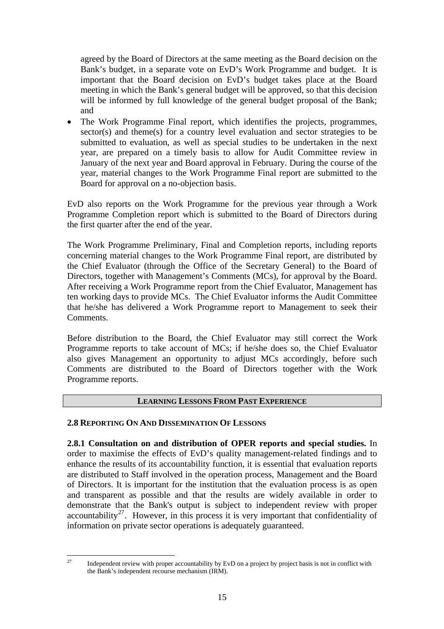agreed by the Board of Directors at the same meeting as the Board decision on the Bank's budget, in a separate vote on EvD's Work Programme and budget. It is important that the Board decision on EvD's budget takes place at the Board meeting in which the Bank's general budget will be approved, so that this decision will be informed by full knowledge of the general budget proposal of the Bank; and

• The Work Programme Final report, which identifies the projects, programmes, sector(s) and theme(s) for a country level evaluation and sector strategies to be submitted to evaluation, as well as special studies to be undertaken in the next year, are prepared on a timely basis to allow for Audit Committee review in January of the next year and Board approval in February. During the course of the year, material changes to the Work Programme Final report are submitted to the Board for approval on a no-objection basis.

EvD also reports on the Work Programme for the previous year through a Work Programme Completion report which is submitted to the Board of Directors during the first quarter after the end of the year.

The Work Programme Preliminary, Final and Completion reports, including reports concerning material changes to the Work Programme Final report, are distributed by the Chief Evaluator (through the Office of the Secretary General) to the Board of Directors, together with Management's Comments (MCs), for approval by the Board. After receiving a Work Programme report from the Chief Evaluator, Management has ten working days to provide MCs. The Chief Evaluator informs the Audit Committee that he/she has delivered a Work Programme report to Management to seek their Comments.

Before distribution to the Board, the Chief Evaluator may still correct the Work Programme reports to take account of MCs; if he/she does so, the Chief Evaluator also gives Management an opportunity to adjust MCs accordingly, before such Comments are distributed to the Board of Directors together with the Work Programme reports.

## **LEARNING LESSONS FROM PAST EXPERIENCE**

#### **2.8 REPORTING ON AND DISSEMINATION OF LESSONS**

**2.8.1 Consultation on and distribution of OPER reports and special studies.** In order to maximise the effects of EvD's quality management-related findings and to enhance the results of its accountability function, it is essential that evaluation reports are distributed to Staff involved in the operation process, Management and the Board of Directors. It is important for the institution that the evaluation process is as open and transparent as possible and that the results are widely available in order to demonstrate that the Bank's output is subject to independent review with proper accountability<sup>[27](#page-16-0)</sup>. However, in this process it is very important that confidentiality of information on private sector operations is adequately guaranteed.

<span id="page-16-0"></span> $27$ Independent review with proper accountability by EvD on a project by project basis is not in conflict with the Bank's independent recourse mechanism (IRM).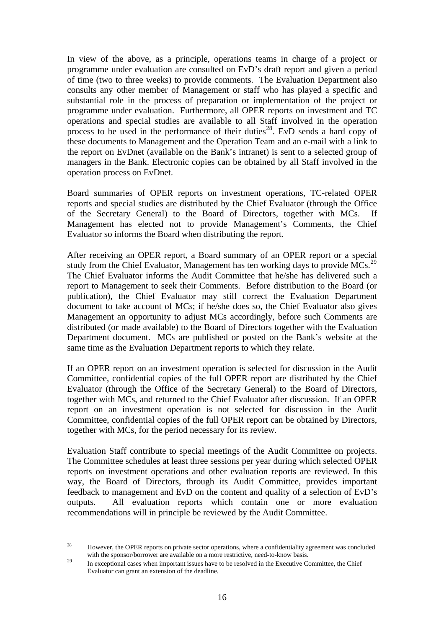In view of the above, as a principle, operations teams in charge of a project or programme under evaluation are consulted on EvD's draft report and given a period of time (two to three weeks) to provide comments. The Evaluation Department also consults any other member of Management or staff who has played a specific and substantial role in the process of preparation or implementation of the project or programme under evaluation. Furthermore, all OPER reports on investment and TC operations and special studies are available to all Staff involved in the operation process to be used in the performance of their duties<sup>[28](#page-17-0)</sup>. EvD sends a hard copy of these documents to Management and the Operation Team and an e-mail with a link to the report on EvDnet (available on the Bank's intranet) is sent to a selected group of managers in the Bank. Electronic copies can be obtained by all Staff involved in the operation process on EvDnet.

Board summaries of OPER reports on investment operations, TC-related OPER reports and special studies are distributed by the Chief Evaluator (through the Office of the Secretary General) to the Board of Directors, together with MCs. If Management has elected not to provide Management's Comments, the Chief Evaluator so informs the Board when distributing the report.

After receiving an OPER report, a Board summary of an OPER report or a special study from the Chief Evaluator, Management has ten working days to provide MCs.<sup>[29](#page-17-1)</sup> The Chief Evaluator informs the Audit Committee that he/she has delivered such a report to Management to seek their Comments. Before distribution to the Board (or publication), the Chief Evaluator may still correct the Evaluation Department document to take account of MCs; if he/she does so, the Chief Evaluator also gives Management an opportunity to adjust MCs accordingly, before such Comments are distributed (or made available) to the Board of Directors together with the Evaluation Department document. MCs are published or posted on the Bank's website at the same time as the Evaluation Department reports to which they relate.

If an OPER report on an investment operation is selected for discussion in the Audit Committee, confidential copies of the full OPER report are distributed by the Chief Evaluator (through the Office of the Secretary General) to the Board of Directors, together with MCs, and returned to the Chief Evaluator after discussion. If an OPER report on an investment operation is not selected for discussion in the Audit Committee, confidential copies of the full OPER report can be obtained by Directors, together with MCs, for the period necessary for its review.

Evaluation Staff contribute to special meetings of the Audit Committee on projects. The Committee schedules at least three sessions per year during which selected OPER reports on investment operations and other evaluation reports are reviewed. In this way, the Board of Directors, through its Audit Committee, provides important feedback to management and EvD on the content and quality of a selection of EvD's outputs. All evaluation reports which contain one or more evaluation recommendations will in principle be reviewed by the Audit Committee.

<span id="page-17-0"></span><sup>28</sup> 28 However, the OPER reports on private sector operations, where a confidentiality agreement was concluded with the sponsor/borrower are available on a more restrictive, need-to-know basis.

<span id="page-17-1"></span><sup>&</sup>lt;sup>29</sup> In exceptional cases when important issues have to be resolved in the Executive Committee, the Chief Evaluator can grant an extension of the deadline.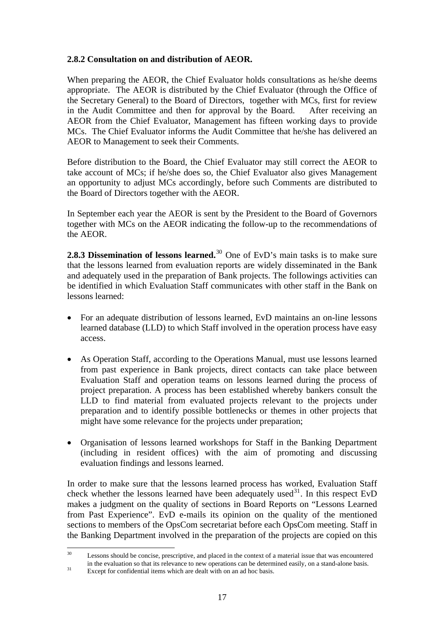## **2.8.2 Consultation on and distribution of AEOR.**

When preparing the AEOR, the Chief Evaluator holds consultations as he/she deems appropriate. The AEOR is distributed by the Chief Evaluator (through the Office of the Secretary General) to the Board of Directors, together with MCs, first for review in the Audit Committee and then for approval by the Board.After receiving an AEOR from the Chief Evaluator, Management has fifteen working days to provide MCs. The Chief Evaluator informs the Audit Committee that he/she has delivered an AEOR to Management to seek their Comments.

Before distribution to the Board, the Chief Evaluator may still correct the AEOR to take account of MCs; if he/she does so, the Chief Evaluator also gives Management an opportunity to adjust MCs accordingly, before such Comments are distributed to the Board of Directors together with the AEOR.

In September each year the AEOR is sent by the President to the Board of Governors together with MCs on the AEOR indicating the follow-up to the recommendations of the AEOR.

**2.8.3 Dissemination of lessons learned.**[30](#page-18-0) One of EvD's main tasks is to make sure that the lessons learned from evaluation reports are widely disseminated in the Bank and adequately used in the preparation of Bank projects. The followings activities can be identified in which Evaluation Staff communicates with other staff in the Bank on lessons learned:

- For an adequate distribution of lessons learned, EvD maintains an on-line lessons learned database (LLD) to which Staff involved in the operation process have easy access.
- As Operation Staff, according to the Operations Manual, must use lessons learned from past experience in Bank projects, direct contacts can take place between Evaluation Staff and operation teams on lessons learned during the process of project preparation. A process has been established whereby bankers consult the LLD to find material from evaluated projects relevant to the projects under preparation and to identify possible bottlenecks or themes in other projects that might have some relevance for the projects under preparation;
- Organisation of lessons learned workshops for Staff in the Banking Department (including in resident offices) with the aim of promoting and discussing evaluation findings and lessons learned.

In order to make sure that the lessons learned process has worked, Evaluation Staff check whether the lessons learned have been adequately used<sup>[31](#page-18-1)</sup>. In this respect EvD makes a judgment on the quality of sections in Board Reports on "Lessons Learned from Past Experience". EvD e-mails its opinion on the quality of the mentioned sections to members of the OpsCom secretariat before each OpsCom meeting. Staff in the Banking Department involved in the preparation of the projects are copied on this

<span id="page-18-0"></span> $30^{\circ}$ Lessons should be concise, prescriptive, and placed in the context of a material issue that was encountered in the evaluation so that its relevance to new operations can be determined easily, on a stand-alone basis.<br><sup>31</sup> Except for confidential items which are dealt with on an ad hoc basis.

<span id="page-18-1"></span>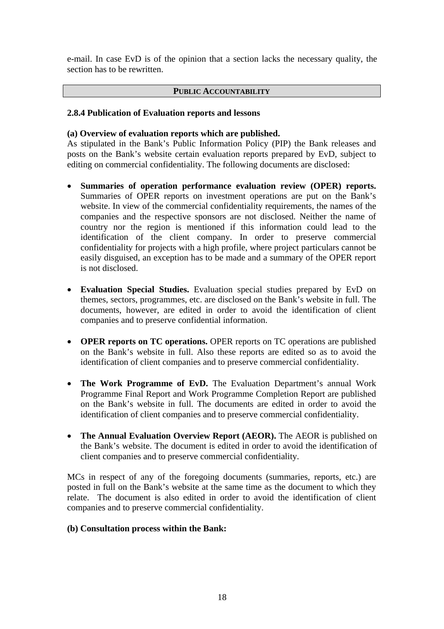e-mail. In case EvD is of the opinion that a section lacks the necessary quality, the section has to be rewritten.

#### **PUBLIC ACCOUNTABILITY**

#### **2.8.4 Publication of Evaluation reports and lessons**

#### **(a) Overview of evaluation reports which are published.**

As stipulated in the Bank's Public Information Policy (PIP) the Bank releases and posts on the Bank's website certain evaluation reports prepared by EvD, subject to editing on commercial confidentiality. The following documents are disclosed:

- **Summaries of operation performance evaluation review (OPER) reports.** Summaries of OPER reports on investment operations are put on the Bank's website. In view of the commercial confidentiality requirements, the names of the companies and the respective sponsors are not disclosed. Neither the name of country nor the region is mentioned if this information could lead to the identification of the client company. In order to preserve commercial confidentiality for projects with a high profile, where project particulars cannot be easily disguised, an exception has to be made and a summary of the OPER report is not disclosed.
- **Evaluation Special Studies.** Evaluation special studies prepared by EvD on themes, sectors, programmes, etc. are disclosed on the Bank's website in full. The documents, however, are edited in order to avoid the identification of client companies and to preserve confidential information.
- **OPER reports on TC operations.** OPER reports on TC operations are published on the Bank's website in full. Also these reports are edited so as to avoid the identification of client companies and to preserve commercial confidentiality.
- **The Work Programme of EvD.** The Evaluation Department's annual Work Programme Final Report and Work Programme Completion Report are published on the Bank's website in full. The documents are edited in order to avoid the identification of client companies and to preserve commercial confidentiality.
- **The Annual Evaluation Overview Report (AEOR).** The AEOR is published on the Bank's website. The document is edited in order to avoid the identification of client companies and to preserve commercial confidentiality.

MCs in respect of any of the foregoing documents (summaries, reports, etc.) are posted in full on the Bank's website at the same time as the document to which they relate. The document is also edited in order to avoid the identification of client companies and to preserve commercial confidentiality.

#### **(b) Consultation process within the Bank:**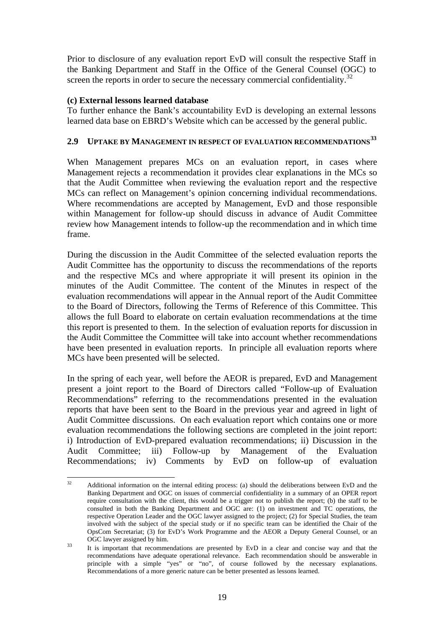Prior to disclosure of any evaluation report EvD will consult the respective Staff in the Banking Department and Staff in the Office of the General Counsel (OGC) to screen the reports in order to secure the necessary commercial confidentiality.<sup>[32](#page-20-0)</sup>

#### **(c) External lessons learned database**

To further enhance the Bank's accountability EvD is developing an external lessons learned data base on EBRD's Website which can be accessed by the general public.

## **2.9 UPTAKE BY MANAGEMENT IN RESPECT OF EVALUATION RECOMMENDATIONS[33](#page-20-1)**

When Management prepares MCs on an evaluation report, in cases where Management rejects a recommendation it provides clear explanations in the MCs so that the Audit Committee when reviewing the evaluation report and the respective MCs can reflect on Management's opinion concerning individual recommendations. Where recommendations are accepted by Management, EvD and those responsible within Management for follow-up should discuss in advance of Audit Committee review how Management intends to follow-up the recommendation and in which time frame.

During the discussion in the Audit Committee of the selected evaluation reports the Audit Committee has the opportunity to discuss the recommendations of the reports and the respective MCs and where appropriate it will present its opinion in the minutes of the Audit Committee. The content of the Minutes in respect of the evaluation recommendations will appear in the Annual report of the Audit Committee to the Board of Directors, following the Terms of Reference of this Committee. This allows the full Board to elaborate on certain evaluation recommendations at the time this report is presented to them. In the selection of evaluation reports for discussion in the Audit Committee the Committee will take into account whether recommendations have been presented in evaluation reports. In principle all evaluation reports where MCs have been presented will be selected.

In the spring of each year, well before the AEOR is prepared, EvD and Management present a joint report to the Board of Directors called "Follow-up of Evaluation Recommendations" referring to the recommendations presented in the evaluation reports that have been sent to the Board in the previous year and agreed in light of Audit Committee discussions. On each evaluation report which contains one or more evaluation recommendations the following sections are completed in the joint report: i) Introduction of EvD-prepared evaluation recommendations; ii) Discussion in the Audit Committee; iii) Follow-up by Management of the Evaluation Recommendations; iv) Comments by EvD on follow-up of evaluation

<span id="page-20-0"></span> $32$ Additional information on the internal editing process: (a) should the deliberations between EvD and the Banking Department and OGC on issues of commercial confidentiality in a summary of an OPER report require consultation with the client, this would be a trigger not to publish the report; (b) the staff to be consulted in both the Banking Department and OGC are: (1) on investment and TC operations, the respective Operation Leader and the OGC lawyer assigned to the project; (2) for Special Studies, the team involved with the subject of the special study or if no specific team can be identified the Chair of the OpsCom Secretariat; (3) for EvD's Work Programme and the AEOR a Deputy General Counsel, or an OGC lawyer assigned by him.<br>33 It is important that recommendations are presented by EvD in a clear and concise way and that the

<span id="page-20-1"></span>recommendations have adequate operational relevance. Each recommendation should be answerable in principle with a simple "yes" or "no", of course followed by the necessary explanations. Recommendations of a more generic nature can be better presented as lessons learned.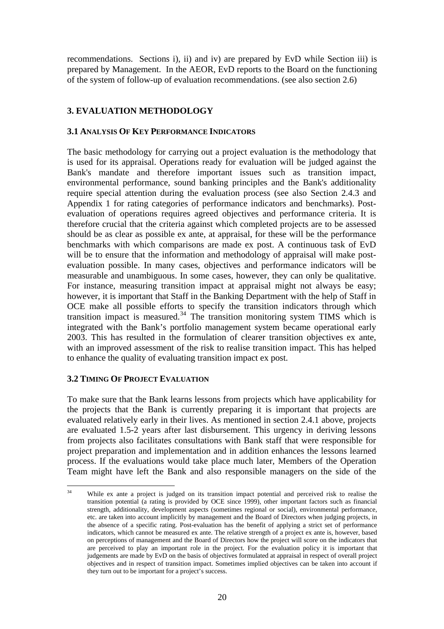recommendations. Sections i), ii) and iv) are prepared by EvD while Section iii) is prepared by Management. In the AEOR, EvD reports to the Board on the functioning of the system of follow-up of evaluation recommendations. (see also section 2.6)

## **3. EVALUATION METHODOLOGY**

#### **3.1 ANALYSIS OF KEY PERFORMANCE INDICATORS**

The basic methodology for carrying out a project evaluation is the methodology that is used for its appraisal. Operations ready for evaluation will be judged against the Bank's mandate and therefore important issues such as transition impact, environmental performance, sound banking principles and the Bank's additionality require special attention during the evaluation process (see also Section 2.4.3 and Appendix 1 for rating categories of performance indicators and benchmarks). Postevaluation of operations requires agreed objectives and performance criteria. It is therefore crucial that the criteria against which completed projects are to be assessed should be as clear as possible ex ante, at appraisal, for these will be the performance benchmarks with which comparisons are made ex post. A continuous task of EvD will be to ensure that the information and methodology of appraisal will make postevaluation possible. In many cases, objectives and performance indicators will be measurable and unambiguous. In some cases, however, they can only be qualitative. For instance, measuring transition impact at appraisal might not always be easy; however, it is important that Staff in the Banking Department with the help of Staff in OCE make all possible efforts to specify the transition indicators through which transition impact is measured.<sup>[34](#page-21-0)</sup> The transition monitoring system TIMS which is integrated with the Bank's portfolio management system became operational early 2003. This has resulted in the formulation of clearer transition objectives ex ante, with an improved assessment of the risk to realise transition impact. This has helped to enhance the quality of evaluating transition impact ex post.

#### **3.2 TIMING OF PROJECT EVALUATION**

To make sure that the Bank learns lessons from projects which have applicability for the projects that the Bank is currently preparing it is important that projects are evaluated relatively early in their lives. As mentioned in section 2.4.1 above, projects are evaluated 1.5-2 years after last disbursement. This urgency in deriving lessons from projects also facilitates consultations with Bank staff that were responsible for project preparation and implementation and in addition enhances the lessons learned process. If the evaluations would take place much later, Members of the Operation Team might have left the Bank and also responsible managers on the side of the

<span id="page-21-0"></span> $34$ While ex ante a project is judged on its transition impact potential and perceived risk to realise the transition potential (a rating is provided by OCE since 1999), other important factors such as financial strength, additionality, development aspects (sometimes regional or social), environmental performance, etc. are taken into account implicitly by management and the Board of Directors when judging projects, in the absence of a specific rating. Post-evaluation has the benefit of applying a strict set of performance indicators, which cannot be measured ex ante. The relative strength of a project ex ante is, however, based on perceptions of management and the Board of Directors how the project will score on the indicators that are perceived to play an important role in the project. For the evaluation policy it is important that judgements are made by EvD on the basis of objectives formulated at appraisal in respect of overall project objectives and in respect of transition impact. Sometimes implied objectives can be taken into account if they turn out to be important for a project's success.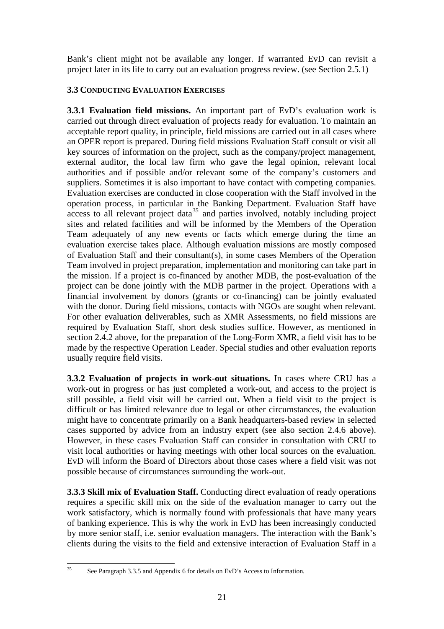Bank's client might not be available any longer. If warranted EvD can revisit a project later in its life to carry out an evaluation progress review. (see Section 2.5.1)

## **3.3 CONDUCTING EVALUATION EXERCISES**

**3.3.1 Evaluation field missions.** An important part of EvD's evaluation work is carried out through direct evaluation of projects ready for evaluation. To maintain an acceptable report quality, in principle, field missions are carried out in all cases where an OPER report is prepared. During field missions Evaluation Staff consult or visit all key sources of information on the project, such as the company/project management, external auditor, the local law firm who gave the legal opinion, relevant local authorities and if possible and/or relevant some of the company's customers and suppliers. Sometimes it is also important to have contact with competing companies. Evaluation exercises are conducted in close cooperation with the Staff involved in the operation process, in particular in the Banking Department. Evaluation Staff have  $\frac{1}{2}$  access to all relevant project data<sup>[35](#page-22-0)</sup> and parties involved, notably including project sites and related facilities and will be informed by the Members of the Operation Team adequately of any new events or facts which emerge during the time an evaluation exercise takes place. Although evaluation missions are mostly composed of Evaluation Staff and their consultant(s), in some cases Members of the Operation Team involved in project preparation, implementation and monitoring can take part in the mission. If a project is co-financed by another MDB, the post-evaluation of the project can be done jointly with the MDB partner in the project. Operations with a financial involvement by donors (grants or co-financing) can be jointly evaluated with the donor. During field missions, contacts with NGOs are sought when relevant. For other evaluation deliverables, such as XMR Assessments, no field missions are required by Evaluation Staff, short desk studies suffice. However, as mentioned in section 2.4.2 above, for the preparation of the Long-Form XMR, a field visit has to be made by the respective Operation Leader. Special studies and other evaluation reports usually require field visits.

**3.3.2 Evaluation of projects in work-out situations.** In cases where CRU has a work-out in progress or has just completed a work-out, and access to the project is still possible, a field visit will be carried out. When a field visit to the project is difficult or has limited relevance due to legal or other circumstances, the evaluation might have to concentrate primarily on a Bank headquarters-based review in selected cases supported by advice from an industry expert (see also section 2.4.6 above). However, in these cases Evaluation Staff can consider in consultation with CRU to visit local authorities or having meetings with other local sources on the evaluation. EvD will inform the Board of Directors about those cases where a field visit was not possible because of circumstances surrounding the work-out.

**3.3.3 Skill mix of Evaluation Staff.** Conducting direct evaluation of ready operations requires a specific skill mix on the side of the evaluation manager to carry out the work satisfactory, which is normally found with professionals that have many years of banking experience. This is why the work in EvD has been increasingly conducted by more senior staff, i.e. senior evaluation managers. The interaction with the Bank's clients during the visits to the field and extensive interaction of Evaluation Staff in a

<span id="page-22-0"></span> $35$ See Paragraph 3.3.5 and Appendix 6 for details on EvD's Access to Information.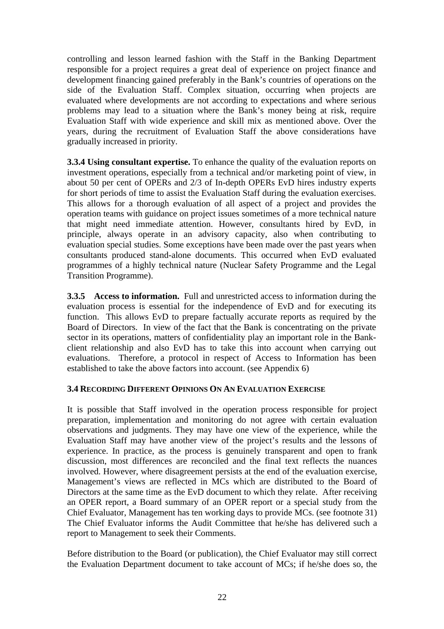controlling and lesson learned fashion with the Staff in the Banking Department responsible for a project requires a great deal of experience on project finance and development financing gained preferably in the Bank's countries of operations on the side of the Evaluation Staff. Complex situation, occurring when projects are evaluated where developments are not according to expectations and where serious problems may lead to a situation where the Bank's money being at risk, require Evaluation Staff with wide experience and skill mix as mentioned above. Over the years, during the recruitment of Evaluation Staff the above considerations have gradually increased in priority.

**3.3.4 Using consultant expertise.** To enhance the quality of the evaluation reports on investment operations, especially from a technical and/or marketing point of view, in about 50 per cent of OPERs and 2/3 of In-depth OPERs EvD hires industry experts for short periods of time to assist the Evaluation Staff during the evaluation exercises. This allows for a thorough evaluation of all aspect of a project and provides the operation teams with guidance on project issues sometimes of a more technical nature that might need immediate attention. However, consultants hired by EvD, in principle, always operate in an advisory capacity, also when contributing to evaluation special studies. Some exceptions have been made over the past years when consultants produced stand-alone documents. This occurred when EvD evaluated programmes of a highly technical nature (Nuclear Safety Programme and the Legal Transition Programme).

**3.3.5 Access to information.** Full and unrestricted access to information during the evaluation process is essential for the independence of EvD and for executing its function. This allows EvD to prepare factually accurate reports as required by the Board of Directors. In view of the fact that the Bank is concentrating on the private sector in its operations, matters of confidentiality play an important role in the Bankclient relationship and also EvD has to take this into account when carrying out evaluations. Therefore, a protocol in respect of Access to Information has been established to take the above factors into account. (see Appendix 6)

## **3.4 RECORDING DIFFERENT OPINIONS ON AN EVALUATION EXERCISE**

It is possible that Staff involved in the operation process responsible for project preparation, implementation and monitoring do not agree with certain evaluation observations and judgments. They may have one view of the experience, while the Evaluation Staff may have another view of the project's results and the lessons of experience. In practice, as the process is genuinely transparent and open to frank discussion, most differences are reconciled and the final text reflects the nuances involved. However, where disagreement persists at the end of the evaluation exercise, Management's views are reflected in MCs which are distributed to the Board of Directors at the same time as the EvD document to which they relate. After receiving an OPER report, a Board summary of an OPER report or a special study from the Chief Evaluator, Management has ten working days to provide MCs. (see footnote 31) The Chief Evaluator informs the Audit Committee that he/she has delivered such a report to Management to seek their Comments.

Before distribution to the Board (or publication), the Chief Evaluator may still correct the Evaluation Department document to take account of MCs; if he/she does so, the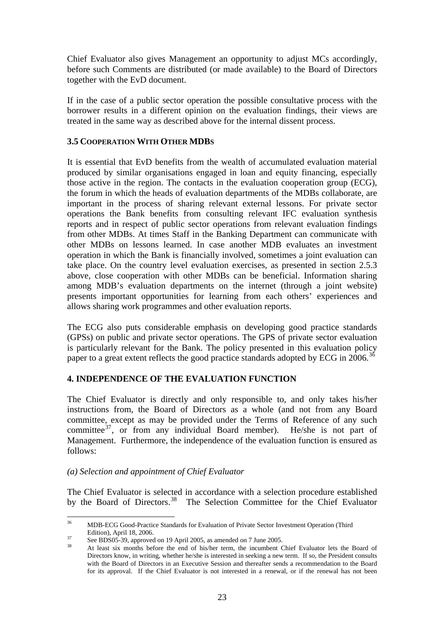Chief Evaluator also gives Management an opportunity to adjust MCs accordingly, before such Comments are distributed (or made available) to the Board of Directors together with the EvD document.

If in the case of a public sector operation the possible consultative process with the borrower results in a different opinion on the evaluation findings, their views are treated in the same way as described above for the internal dissent process.

### **3.5 COOPERATION WITH OTHER MDBS**

It is essential that EvD benefits from the wealth of accumulated evaluation material produced by similar organisations engaged in loan and equity financing, especially those active in the region. The contacts in the evaluation cooperation group (ECG), the forum in which the heads of evaluation departments of the MDBs collaborate, are important in the process of sharing relevant external lessons. For private sector operations the Bank benefits from consulting relevant IFC evaluation synthesis reports and in respect of public sector operations from relevant evaluation findings from other MDBs. At times Staff in the Banking Department can communicate with other MDBs on lessons learned. In case another MDB evaluates an investment operation in which the Bank is financially involved, sometimes a joint evaluation can take place. On the country level evaluation exercises, as presented in section 2.5.3 above, close cooperation with other MDBs can be beneficial. Information sharing among MDB's evaluation departments on the internet (through a joint website) presents important opportunities for learning from each others' experiences and allows sharing work programmes and other evaluation reports.

The ECG also puts considerable emphasis on developing good practice standards (GPSs) on public and private sector operations. The GPS of private sector evaluation is particularly relevant for the Bank. The policy presented in this evaluation policy paper to a great extent reflects the good practice standards adopted by ECG in 2006.<sup>[36](#page-24-0)</sup>

## **4. INDEPENDENCE OF THE EVALUATION FUNCTION**

The Chief Evaluator is directly and only responsible to, and only takes his/her instructions from, the Board of Directors as a whole (and not from any Board committee, except as may be provided under the Terms of Reference of any such committee<sup>[37](#page-24-1)</sup>, or from any individual Board member). He/she is not part of Management. Furthermore, the independence of the evaluation function is ensured as follows:

## *(a) Selection and appointment of Chief Evaluator*

The Chief Evaluator is selected in accordance with a selection procedure established by the Board of Directors.<sup>[38](#page-24-2)</sup> The Selection Committee for the Chief Evaluator

<span id="page-24-0"></span> $36$ 36 MDB-ECG Good-Practice Standards for Evaluation of Private Sector Investment Operation (Third

<span id="page-24-2"></span>

<span id="page-24-1"></span>Edition), April 18, 2006.<br>
37 See BDS05-39, approved on 19 April 2005, as amended on 7 June 2005.<br>
38 At least six months before the end of his/her term, the incumbent Chief Evaluator lets the Board of Directors know, in writing, whether he/she is interested in seeking a new term. If so, the President consults with the Board of Directors in an Executive Session and thereafter sends a recommendation to the Board for its approval. If the Chief Evaluator is not interested in a renewal, or if the renewal has not been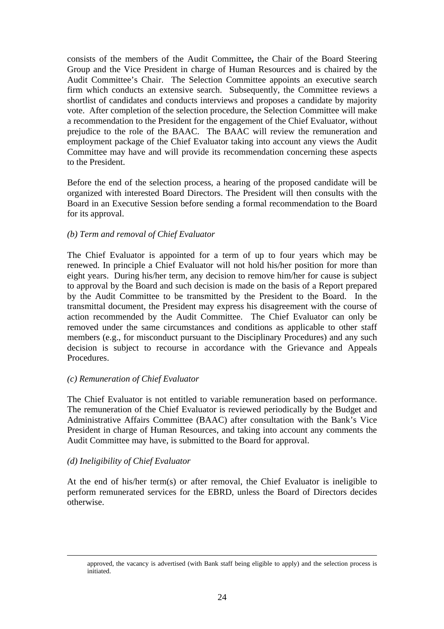consists of the members of the Audit Committee**,** the Chair of the Board Steering Group and the Vice President in charge of Human Resources and is chaired by the Audit Committee's Chair. The Selection Committee appoints an executive search firm which conducts an extensive search. Subsequently, the Committee reviews a shortlist of candidates and conducts interviews and proposes a candidate by majority vote. After completion of the selection procedure, the Selection Committee will make a recommendation to the President for the engagement of the Chief Evaluator, without prejudice to the role of the BAAC. The BAAC will review the remuneration and employment package of the Chief Evaluator taking into account any views the Audit Committee may have and will provide its recommendation concerning these aspects to the President.

Before the end of the selection process, a hearing of the proposed candidate will be organized with interested Board Directors. The President will then consults with the Board in an Executive Session before sending a formal recommendation to the Board for its approval.

### *(b) Term and removal of Chief Evaluator*

The Chief Evaluator is appointed for a term of up to four years which may be renewed. In principle a Chief Evaluator will not hold his/her position for more than eight years. During his/her term, any decision to remove him/her for cause is subject to approval by the Board and such decision is made on the basis of a Report prepared by the Audit Committee to be transmitted by the President to the Board. In the transmittal document, the President may express his disagreement with the course of action recommended by the Audit Committee. The Chief Evaluator can only be removed under the same circumstances and conditions as applicable to other staff members (e.g., for misconduct pursuant to the Disciplinary Procedures) and any such decision is subject to recourse in accordance with the Grievance and Appeals Procedures.

#### *(c) Remuneration of Chief Evaluator*

The Chief Evaluator is not entitled to variable remuneration based on performance. The remuneration of the Chief Evaluator is reviewed periodically by the Budget and Administrative Affairs Committee (BAAC) after consultation with the Bank's Vice President in charge of Human Resources, and taking into account any comments the Audit Committee may have, is submitted to the Board for approval.

#### *(d) Ineligibility of Chief Evaluator*

At the end of his/her term(s) or after removal, the Chief Evaluator is ineligible to perform remunerated services for the EBRD, unless the Board of Directors decides otherwise.

approved, the vacancy is advertised (with Bank staff being eligible to apply) and the selection process is initiated.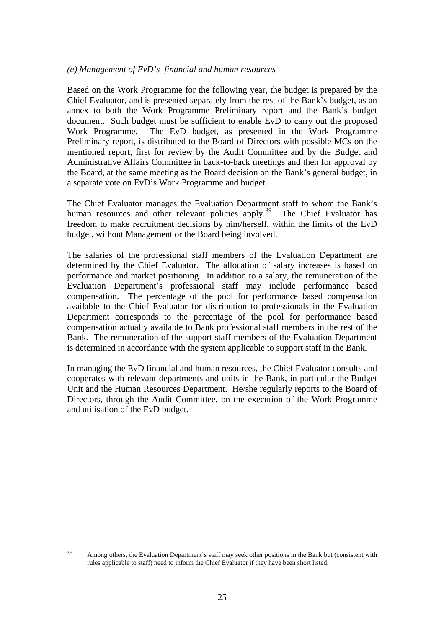#### *(e) Management of EvD's financial and human resources*

Based on the Work Programme for the following year, the budget is prepared by the Chief Evaluator, and is presented separately from the rest of the Bank's budget, as an annex to both the Work Programme Preliminary report and the Bank's budget document. Such budget must be sufficient to enable EvD to carry out the proposed Work Programme. The EvD budget, as presented in the Work Programme Preliminary report, is distributed to the Board of Directors with possible MCs on the mentioned report, first for review by the Audit Committee and by the Budget and Administrative Affairs Committee in back-to-back meetings and then for approval by the Board, at the same meeting as the Board decision on the Bank's general budget, in a separate vote on EvD's Work Programme and budget.

The Chief Evaluator manages the Evaluation Department staff to whom the Bank's human resources and other relevant policies apply.<sup>[39](#page-26-0)</sup> The Chief Evaluator has freedom to make recruitment decisions by him/herself, within the limits of the EvD budget, without Management or the Board being involved.

The salaries of the professional staff members of the Evaluation Department are determined by the Chief Evaluator. The allocation of salary increases is based on performance and market positioning. In addition to a salary, the remuneration of the Evaluation Department's professional staff may include performance based compensation. The percentage of the pool for performance based compensation available to the Chief Evaluator for distribution to professionals in the Evaluation Department corresponds to the percentage of the pool for performance based compensation actually available to Bank professional staff members in the rest of the Bank. The remuneration of the support staff members of the Evaluation Department is determined in accordance with the system applicable to support staff in the Bank.

In managing the EvD financial and human resources, the Chief Evaluator consults and cooperates with relevant departments and units in the Bank, in particular the Budget Unit and the Human Resources Department. He/she regularly reports to the Board of Directors, through the Audit Committee, on the execution of the Work Programme and utilisation of the EvD budget.

<span id="page-26-0"></span> $30<sup>2</sup>$ Among others, the Evaluation Department's staff may seek other positions in the Bank but (consistent with rules applicable to staff) need to inform the Chief Evaluator if they have been short listed.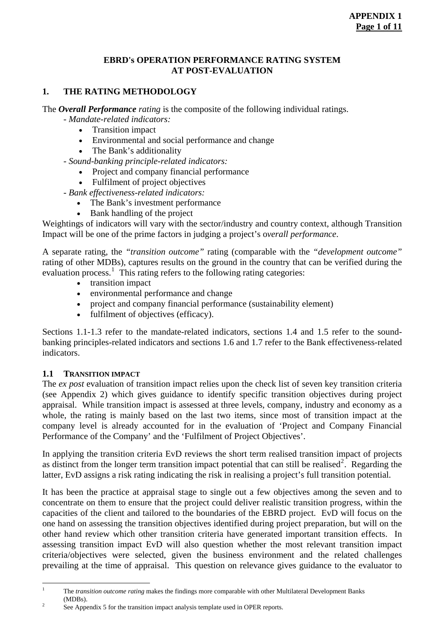#### **EBRD's OPERATION PERFORMANCE RATING SYSTEM AT POST-EVALUATION**

## **1. THE RATING METHODOLOGY**

The *Overall Performance rating* is the composite of the following individual ratings.

*- Mandate-related indicators:* 

- Transition impact
- Environmental and social performance and change
- The Bank's additionality

- *Sound-banking principle-related indicators:* 

- Project and company financial performance
- Fulfilment of project objectives

*- Bank effectiveness-related indicators:* 

- The Bank's investment performance
- Bank handling of the project

Weightings of indicators will vary with the sector/industry and country context, although Transition Impact will be one of the prime factors in judging a project's o*verall performance*.

A separate rating, the *"transition outcome"* rating (comparable with the *"development outcome"* rating of other MDBs)*,* captures results on the ground in the country that can be verified during the evaluation process.<sup>[1](#page-27-0)</sup> This rating refers to the following rating categories:

- transition impact
- environmental performance and change
- project and company financial performance (sustainability element)
- fulfilment of objectives (efficacy).

Sections 1.1-1.3 refer to the mandate-related indicators, sections 1.4 and 1.5 refer to the soundbanking principles-related indicators and sections 1.6 and 1.7 refer to the Bank effectiveness-related indicators.

#### **1.1 TRANSITION IMPACT**

The *ex post* evaluation of transition impact relies upon the check list of seven key transition criteria (see Appendix 2) which gives guidance to identify specific transition objectives during project appraisal. While transition impact is assessed at three levels, company, industry and economy as a whole, the rating is mainly based on the last two items, since most of transition impact at the company level is already accounted for in the evaluation of 'Project and Company Financial Performance of the Company' and the 'Fulfilment of Project Objectives'.

In applying the transition criteria EvD reviews the short term realised transition impact of projects as distinct from the longer term transition impact potential that can still be realised<sup>[2](#page-27-1)</sup>. Regarding the latter, EvD assigns a risk rating indicating the risk in realising a project's full transition potential.

It has been the practice at appraisal stage to single out a few objectives among the seven and to concentrate on them to ensure that the project could deliver realistic transition progress, within the capacities of the client and tailored to the boundaries of the EBRD project. EvD will focus on the one hand on assessing the transition objectives identified during project preparation, but will on the other hand review which other transition criteria have generated important transition effects. In assessing transition impact EvD will also question whether the most relevant transition impact criteria/objectives were selected, given the business environment and the related challenges prevailing at the time of appraisal. This question on relevance gives guidance to the evaluator to

<span id="page-27-0"></span> $\frac{1}{1}$  The *transition outcome rating* makes the findings more comparable with other Multilateral Development Banks  $(MDBs)$ .

<span id="page-27-1"></span>See Appendix 5 for the transition impact analysis template used in OPER reports.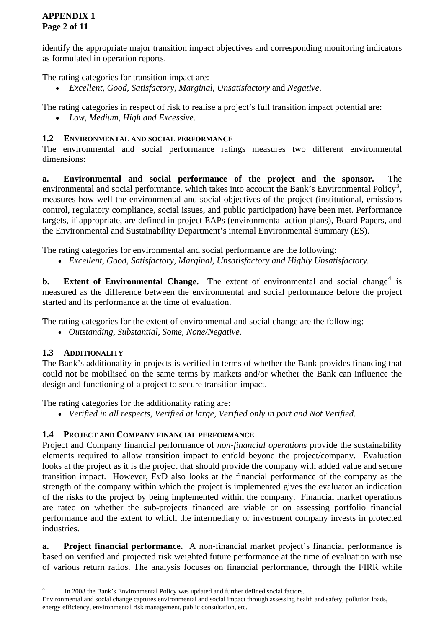## **APPENDIX 1 Page 2 of 11**

identify the appropriate major transition impact objectives and corresponding monitoring indicators as formulated in operation reports.

The rating categories for transition impact are:

• *Excellent, Good, Satisfactory, Marginal, Unsatisfactory* and *Negative*.

The rating categories in respect of risk to realise a project's full transition impact potential are:

• *Low, Medium, High and Excessive.* 

## **1.2 ENVIRONMENTAL AND SOCIAL PERFORMANCE**

The environmental and social performance ratings measures two different environmental dimensions:

**a. Environmental and social performance of the project and the sponsor.** The environmental and social performance, which takes into account the Bank's Environmental Policy<sup>[3](#page-28-0)</sup>, measures how well the environmental and social objectives of the project (institutional, emissions control, regulatory compliance, social issues, and public participation) have been met. Performance targets, if appropriate, are defined in project EAPs (environmental action plans), Board Papers, and the Environmental and Sustainability Department's internal Environmental Summary (ES).

The rating categories for environmental and social performance are the following:

• *Excellent, Good, Satisfactory, Marginal, Unsatisfactory and Highly Unsatisfactory.* 

**b.** Extent of Environmental Change. The extent of environmental and social change<sup>[4](#page-28-1)</sup> is measured as the difference between the environmental and social performance before the project started and its performance at the time of evaluation.

The rating categories for the extent of environmental and social change are the following:

• *Outstanding, Substantial, Some, None/Negative.* 

## **1.3 ADDITIONALITY**

The Bank's additionality in projects is verified in terms of whether the Bank provides financing that could not be mobilised on the same terms by markets and/or whether the Bank can influence the design and functioning of a project to secure transition impact.

The rating categories for the additionality rating are:

• *Verified in all respects, Verified at large, Verified only in part and Not Verified.* 

## **1.4 PROJECT AND COMPANY FINANCIAL PERFORMANCE**

Project and Company financial performance of *non-financial operations* provide the sustainability elements required to allow transition impact to enfold beyond the project/company. Evaluation looks at the project as it is the project that should provide the company with added value and secure transition impact. However, EvD also looks at the financial performance of the company as the strength of the company within which the project is implemented gives the evaluator an indication of the risks to the project by being implemented within the company. Financial market operations are rated on whether the sub-projects financed are viable or on assessing portfolio financial performance and the extent to which the intermediary or investment company invests in protected industries.

**a. Project financial performance.** A non-financial market project's financial performance is based on verified and projected risk weighted future performance at the time of evaluation with use of various return ratios. The analysis focuses on financial performance, through the FIRR while

<span id="page-28-0"></span><sup>&</sup>lt;sup>2</sup><br>3 In 2008 the Bank's Environmental Policy was updated and further defined social factors.

<span id="page-28-1"></span>Environmental and social change captures environmental and social impact through assessing health and safety, pollution loads, energy efficiency, environmental risk management, public consultation, etc.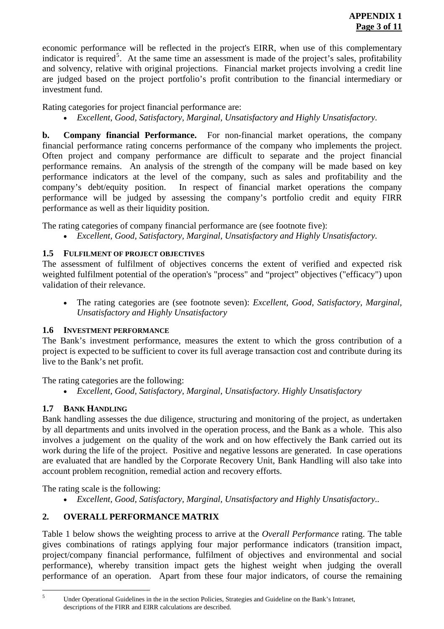economic performance will be reflected in the project's EIRR, when use of this complementary indicator is required<sup>[5](#page-29-0)</sup>. At the same time an assessment is made of the project's sales, profitability and solvency, relative with original projections. Financial market projects involving a credit line are judged based on the project portfolio's profit contribution to the financial intermediary or investment fund.

Rating categories for project financial performance are:

• *Excellent, Good, Satisfactory, Marginal, Unsatisfactory and Highly Unsatisfactory.*

**b. Company financial Performance.** For non-financial market operations, the company financial performance rating concerns performance of the company who implements the project. Often project and company performance are difficult to separate and the project financial performance remains. An analysis of the strength of the company will be made based on key performance indicators at the level of the company, such as sales and profitability and the company's debt/equity position. In respect of financial market operations the company performance will be judged by assessing the company's portfolio credit and equity FIRR performance as well as their liquidity position.

The rating categories of company financial performance are (see footnote five):

• *Excellent, Good, Satisfactory, Marginal, Unsatisfactory and Highly Unsatisfactory.* 

## **1.5 FULFILMENT OF PROJECT OBJECTIVES**

The assessment of fulfilment of objectives concerns the extent of verified and expected risk weighted fulfilment potential of the operation's "process" and "project" objectives ("efficacy") upon validation of their relevance.

• The rating categories are (see footnote seven): *Excellent, Good, Satisfactory, Marginal, Unsatisfactory and Highly Unsatisfactory* 

## **1.6 INVESTMENT PERFORMANCE**

The Bank's investment performance, measures the extent to which the gross contribution of a project is expected to be sufficient to cover its full average transaction cost and contribute during its live to the Bank's net profit.

The rating categories are the following:

• *Excellent, Good, Satisfactory, Marginal, Unsatisfactory. Highly Unsatisfactory* 

## **1.7 BANK HANDLING**

Bank handling assesses the due diligence, structuring and monitoring of the project, as undertaken by all departments and units involved in the operation process, and the Bank as a whole. This also involves a judgement on the quality of the work and on how effectively the Bank carried out its work during the life of the project. Positive and negative lessons are generated. In case operations are evaluated that are handled by the Corporate Recovery Unit, Bank Handling will also take into account problem recognition, remedial action and recovery efforts.

The rating scale is the following:

• *Excellent, Good, Satisfactory, Marginal, Unsatisfactory and Highly Unsatisfactory..* 

## **2. OVERALL PERFORMANCE MATRIX**

Table 1 below shows the weighting process to arrive at the *Overall Performance* rating. The table gives combinations of ratings applying four major performance indicators (transition impact, project/company financial performance, fulfilment of objectives and environmental and social performance), whereby transition impact gets the highest weight when judging the overall performance of an operation. Apart from these four major indicators, of course the remaining

<span id="page-29-0"></span> 5

Under Operational Guidelines in the in the section Policies, Strategies and Guideline on the Bank's Intranet, descriptions of the FIRR and EIRR calculations are described.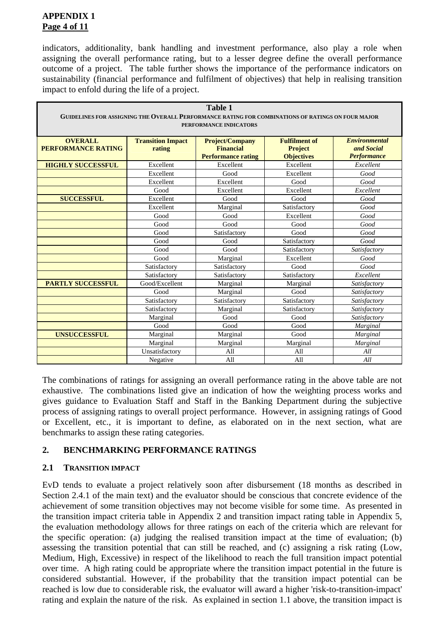## **APPENDIX 1 Page 4 of 11**

indicators, additionality, bank handling and investment performance, also play a role when assigning the overall performance rating, but to a lesser degree define the overall performance outcome of a project. The table further shows the importance of the performance indicators on sustainability (financial performance and fulfilment of objectives) that help in realising transition impact to enfold during the life of a project.

| <b>Table 1</b>                                                                                    |                                    |                                            |                                        |                                    |
|---------------------------------------------------------------------------------------------------|------------------------------------|--------------------------------------------|----------------------------------------|------------------------------------|
| GUIDELINES FOR ASSIGNING THE OVERALL PERFORMANCE RATING FOR COMBINATIONS OF RATINGS ON FOUR MAJOR |                                    |                                            |                                        |                                    |
| PERFORMANCE INDICATORS                                                                            |                                    |                                            |                                        |                                    |
|                                                                                                   |                                    |                                            |                                        |                                    |
| <b>OVERALL</b><br><b>PERFORMANCE RATING</b>                                                       | <b>Transition Impact</b><br>rating | <b>Project/Company</b><br><b>Financial</b> | <b>Fulfilment of</b><br><b>Project</b> | <b>Environmental</b><br>and Social |
|                                                                                                   |                                    | <b>Performance rating</b>                  | <b>Objectives</b>                      | <b>Performance</b>                 |
| <b>HIGHLY SUCCESSFUL</b>                                                                          | Excellent                          | Excellent                                  | Excellent                              | Excellent                          |
|                                                                                                   | Excellent                          | Good                                       | Excellent                              | Good                               |
|                                                                                                   | Excellent                          | Excellent                                  | Good                                   | Good                               |
|                                                                                                   | Good                               | Excellent                                  | Excellent                              | Excellent                          |
| <b>SUCCESSFUL</b>                                                                                 | Excellent                          | Good                                       | Good                                   | Good                               |
|                                                                                                   | Excellent                          | Marginal                                   | Satisfactory                           | Good                               |
|                                                                                                   | Good                               | Good                                       | Excellent                              | Good                               |
|                                                                                                   | Good                               | Good                                       | Good                                   | Good                               |
|                                                                                                   | Good                               | Satisfactory                               | Good                                   | Good                               |
|                                                                                                   | Good                               | Good                                       | Satisfactory                           | Good                               |
|                                                                                                   | Good                               | Good                                       | Satisfactory                           | Satisfactory                       |
|                                                                                                   | Good                               | Marginal                                   | Excellent                              | Good                               |
|                                                                                                   | Satisfactory                       | Satisfactory                               | Good                                   | Good                               |
|                                                                                                   | Satisfactory                       | Satisfactory                               | Satisfactory                           | Excellent                          |
| <b>PARTLY SUCCESSFUL</b>                                                                          | Good/Excellent                     | Marginal                                   | Marginal                               | Satisfactory                       |
|                                                                                                   | Good                               | Marginal                                   | Good                                   | Satisfactory                       |
|                                                                                                   | Satisfactory                       | Satisfactory                               | Satisfactory                           | Satisfactory                       |
|                                                                                                   | Satisfactory                       | Marginal                                   | Satisfactory                           | Satisfactory                       |
|                                                                                                   | Marginal                           | Good                                       | Good                                   | Satisfactory                       |
|                                                                                                   | Good                               | Good                                       | Good                                   | Marginal                           |
| <b>UNSUCCESSFUL</b>                                                                               | Marginal                           | Marginal                                   | Good                                   | Marginal                           |
|                                                                                                   | Marginal                           | Marginal                                   | Marginal                               | Marginal                           |
|                                                                                                   | Unsatisfactory                     | A <sub>11</sub>                            | All                                    | All                                |
|                                                                                                   | Negative                           | A11                                        | All                                    | All                                |

The combinations of ratings for assigning an overall performance rating in the above table are not exhaustive. The combinations listed give an indication of how the weighting process works and gives guidance to Evaluation Staff and Staff in the Banking Department during the subjective process of assigning ratings to overall project performance. However, in assigning ratings of Good or Excellent, etc., it is important to define, as elaborated on in the next section, what are benchmarks to assign these rating categories.

## **2. BENCHMARKING PERFORMANCE RATINGS**

## **2.1 TRANSITION IMPACT**

EvD tends to evaluate a project relatively soon after disbursement (18 months as described in Section 2.4.1 of the main text) and the evaluator should be conscious that concrete evidence of the achievement of some transition objectives may not become visible for some time. As presented in the transition impact criteria table in Appendix 2 and transition impact rating table in Appendix 5, the evaluation methodology allows for three ratings on each of the criteria which are relevant for the specific operation: (a) judging the realised transition impact at the time of evaluation; (b) assessing the transition potential that can still be reached, and (c) assigning a risk rating (Low, Medium, High, Excessive) in respect of the likelihood to reach the full transition impact potential over time. A high rating could be appropriate where the transition impact potential in the future is considered substantial. However, if the probability that the transition impact potential can be reached is low due to considerable risk, the evaluator will award a higher 'risk-to-transition-impact' rating and explain the nature of the risk. As explained in section 1.1 above, the transition impact is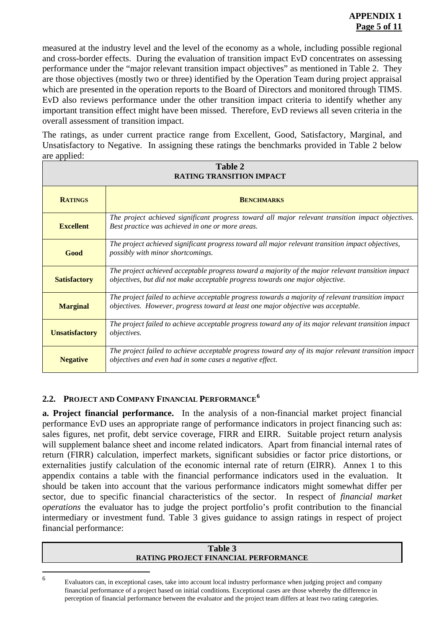measured at the industry level and the level of the economy as a whole, including possible regional and cross-border effects. During the evaluation of transition impact EvD concentrates on assessing performance under the "major relevant transition impact objectives" as mentioned in Table 2. They are those objectives (mostly two or three) identified by the Operation Team during project appraisal which are presented in the operation reports to the Board of Directors and monitored through TIMS. EvD also reviews performance under the other transition impact criteria to identify whether any important transition effect might have been missed. Therefore, EvD reviews all seven criteria in the overall assessment of transition impact.

The ratings, as under current practice range from Excellent, Good, Satisfactory, Marginal, and Unsatisfactory to Negative. In assigning these ratings the benchmarks provided in Table 2 below are applied:

| Table 2<br><b>RATING TRANSITION IMPACT</b> |                                                                                                                                                                                         |  |
|--------------------------------------------|-----------------------------------------------------------------------------------------------------------------------------------------------------------------------------------------|--|
| <b>RATINGS</b>                             | <b>BENCHMARKS</b>                                                                                                                                                                       |  |
| <b>Excellent</b>                           | The project achieved significant progress toward all major relevant transition impact objectives.<br>Best practice was achieved in one or more areas.                                   |  |
| Good                                       | The project achieved significant progress toward all major relevant transition impact objectives,<br>possibly with minor shortcomings.                                                  |  |
| <b>Satisfactory</b>                        | The project achieved acceptable progress toward a majority of the major relevant transition impact<br>objectives, but did not make acceptable progress towards one major objective.     |  |
| <b>Marginal</b>                            | The project failed to achieve acceptable progress towards a majority of relevant transition impact<br>objectives. However, progress toward at least one major objective was acceptable. |  |
| <b>Unsatisfactory</b>                      | The project failed to achieve acceptable progress toward any of its major relevant transition impact<br><i>objectives.</i>                                                              |  |
| <b>Negative</b>                            | The project failed to achieve acceptable progress toward any of its major relevant transition impact<br>objectives and even had in some cases a negative effect.                        |  |

## **2.2. PROJECT AND COMPANY FINANCIAL PERFORMANCE[6](#page-31-0)**

**a. Project financial performance.** In the analysis of a non-financial market project financial performance EvD uses an appropriate range of performance indicators in project financing such as: sales figures, net profit, debt service coverage, FIRR and EIRR. Suitable project return analysis will supplement balance sheet and income related indicators. Apart from financial internal rates of return (FIRR) calculation, imperfect markets, significant subsidies or factor price distortions, or externalities justify calculation of the economic internal rate of return (EIRR). Annex 1 to this appendix contains a table with the financial performance indicators used in the evaluation. It should be taken into account that the various performance indicators might somewhat differ per sector, due to specific financial characteristics of the sector. In respect of *financial market operations* the evaluator has to judge the project portfolio's profit contribution to the financial intermediary or investment fund. Table 3 gives guidance to assign ratings in respect of project financial performance:

#### **Table 3 RATING PROJECT FINANCIAL PERFORMANCE**

<span id="page-31-0"></span> 6

Evaluators can, in exceptional cases, take into account local industry performance when judging project and company financial performance of a project based on initial conditions. Exceptional cases are those whereby the difference in perception of financial performance between the evaluator and the project team differs at least two rating categories.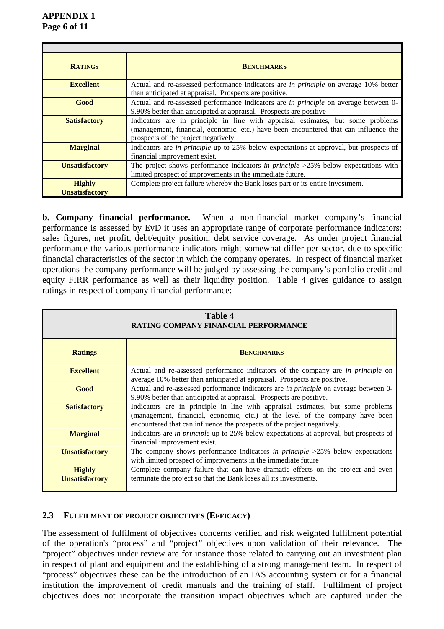| <b>RATINGS</b>                         | <b>BENCHMARKS</b>                                                                                                                                                                                               |  |
|----------------------------------------|-----------------------------------------------------------------------------------------------------------------------------------------------------------------------------------------------------------------|--|
| <b>Excellent</b>                       | Actual and re-assessed performance indicators are <i>in principle</i> on average 10% better<br>than anticipated at appraisal. Prospects are positive.                                                           |  |
| Good                                   | Actual and re-assessed performance indicators are in principle on average between 0-<br>9.90% better than anticipated at appraisal. Prospects are positive                                                      |  |
| <b>Satisfactory</b>                    | Indicators are in principle in line with appraisal estimates, but some problems<br>(management, financial, economic, etc.) have been encountered that can influence the<br>prospects of the project negatively. |  |
| <b>Marginal</b>                        | Indicators are <i>in principle</i> up to 25% below expectations at approval, but prospects of<br>financial improvement exist.                                                                                   |  |
| <b>Unsatisfactory</b>                  | The project shows performance indicators in principle $>25\%$ below expectations with<br>limited prospect of improvements in the immediate future.                                                              |  |
| <b>Highly</b><br><b>Unsatisfactory</b> | Complete project failure whereby the Bank loses part or its entire investment.                                                                                                                                  |  |

**b. Company financial performance.** When a non-financial market company's financial performance is assessed by EvD it uses an appropriate range of corporate performance indicators: sales figures, net profit, debt/equity position, debt service coverage. As under project financial performance the various performance indicators might somewhat differ per sector, due to specific financial characteristics of the sector in which the company operates. In respect of financial market operations the company performance will be judged by assessing the company's portfolio credit and equity FIRR performance as well as their liquidity position. Table 4 gives guidance to assign ratings in respect of company financial performance:

| Table 4<br>RATING COMPANY FINANCIAL PERFORMANCE |                                                                                                                                                                                                                                             |  |
|-------------------------------------------------|---------------------------------------------------------------------------------------------------------------------------------------------------------------------------------------------------------------------------------------------|--|
| <b>Ratings</b>                                  | <b>BENCHMARKS</b>                                                                                                                                                                                                                           |  |
| <b>Excellent</b>                                | Actual and re-assessed performance indicators of the company are in <i>principle</i> on<br>average 10% better than anticipated at appraisal. Prospects are positive.                                                                        |  |
| Good                                            | Actual and re-assessed performance indicators are <i>in principle</i> on average between 0-<br>9.90% better than anticipated at appraisal. Prospects are positive.                                                                          |  |
| <b>Satisfactory</b>                             | Indicators are in principle in line with appraisal estimates, but some problems<br>(management, financial, economic, etc.) at the level of the company have been<br>encountered that can influence the prospects of the project negatively. |  |
| <b>Marginal</b>                                 | Indicators are <i>in principle</i> up to 25% below expectations at approval, but prospects of<br>financial improvement exist.                                                                                                               |  |
| <b>Unsatisfactory</b>                           | The company shows performance indicators in <i>principle</i> $>25\%$ below expectations<br>with limited prospect of improvements in the immediate future                                                                                    |  |
| <b>Highly</b><br><b>Unsatisfactory</b>          | Complete company failure that can have dramatic effects on the project and even<br>terminate the project so that the Bank loses all its investments.                                                                                        |  |

## **2.3 FULFILMENT OF PROJECT OBJECTIVES (EFFICACY)**

The assessment of fulfilment of objectives concerns verified and risk weighted fulfilment potential of the operation's "process" and "project" objectives upon validation of their relevance. The "project" objectives under review are for instance those related to carrying out an investment plan in respect of plant and equipment and the establishing of a strong management team. In respect of "process" objectives these can be the introduction of an IAS accounting system or for a financial institution the improvement of credit manuals and the training of staff. Fulfilment of project objectives does not incorporate the transition impact objectives which are captured under the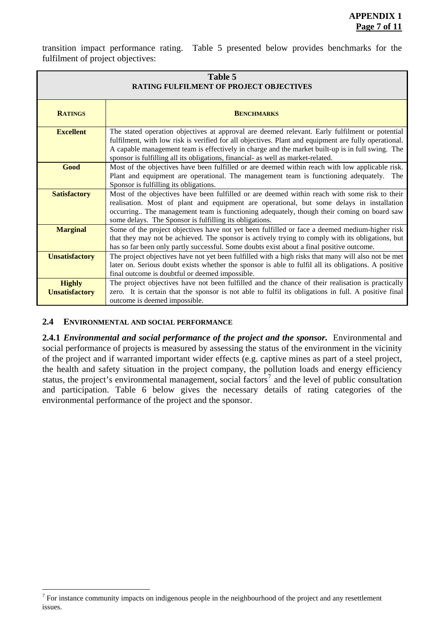transition impact performance rating. Table 5 presented below provides benchmarks for the fulfilment of project objectives:

| Table 5<br>RATING FULFILMENT OF PROJECT OBJECTIVES |                                                                                                                                                                                                                                                                                                                                                                                                |  |
|----------------------------------------------------|------------------------------------------------------------------------------------------------------------------------------------------------------------------------------------------------------------------------------------------------------------------------------------------------------------------------------------------------------------------------------------------------|--|
| <b>RATINGS</b>                                     | <b>BENCHMARKS</b>                                                                                                                                                                                                                                                                                                                                                                              |  |
| <b>Excellent</b>                                   | The stated operation objectives at approval are deemed relevant. Early fulfilment or potential<br>fulfilment, with low risk is verified for all objectives. Plant and equipment are fully operational.<br>A capable management team is effectively in charge and the market built-up is in full swing. The<br>sponsor is fulfilling all its obligations, financial- as well as market-related. |  |
| Good                                               | Most of the objectives have been fulfilled or are deemed within reach with low applicable risk.<br>Plant and equipment are operational. The management team is functioning adequately. The<br>Sponsor is fulfilling its obligations.                                                                                                                                                           |  |
| <b>Satisfactory</b>                                | Most of the objectives have been fulfilled or are deemed within reach with some risk to their<br>realisation. Most of plant and equipment are operational, but some delays in installation<br>occurring The management team is functioning adequately, though their coming on board saw<br>some delays. The Sponsor is fulfilling its obligations.                                             |  |
| <b>Marginal</b>                                    | Some of the project objectives have not yet been fulfilled or face a deemed medium-higher risk<br>that they may not be achieved. The sponsor is actively trying to comply with its obligations, but<br>has so far been only partly successful. Some doubts exist about a final positive outcome.                                                                                               |  |
| <b>Unsatisfactory</b>                              | The project objectives have not yet been fulfilled with a high risks that many will also not be met<br>later on. Serious doubt exists whether the sponsor is able to fulfil all its obligations. A positive<br>final outcome is doubtful or deemed impossible.                                                                                                                                 |  |
| <b>Highly</b><br><b>Unsatisfactory</b>             | The project objectives have not been fulfilled and the chance of their realisation is practically<br>zero. It is certain that the sponsor is not able to fulfil its obligations in full. A positive final<br>outcome is deemed impossible.                                                                                                                                                     |  |

#### **2.4 ENVIRONMENTAL AND SOCIAL PERFORMANCE**

 $\overline{a}$ 

**2.4.1** *Environmental and social performance of the project and the sponsor.* Environmental and social performance of projects is measured by assessing the status of the environment in the vicinity of the project and if warranted important wider effects (e.g. captive mines as part of a steel project, the health and safety situation in the project company, the pollution loads and energy efficiency status, the project's environmental management, social factors<sup>[7](#page-33-0)</sup> and the level of public consultation and participation. Table 6 below gives the necessary details of rating categories of the environmental performance of the project and the sponsor.

<span id="page-33-0"></span> $<sup>7</sup>$  For instance community impacts on indigenous people in the neighbourhood of the project and any resettlement</sup> issues.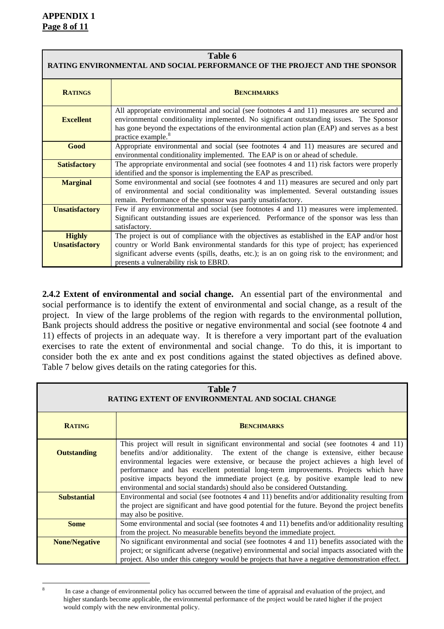<span id="page-34-0"></span>8

| Table 6<br>RATING ENVIRONMENTAL AND SOCIAL PERFORMANCE OF THE PROJECT AND THE SPONSOR |                                                                                                                                                                                                                                                                                                                                   |  |
|---------------------------------------------------------------------------------------|-----------------------------------------------------------------------------------------------------------------------------------------------------------------------------------------------------------------------------------------------------------------------------------------------------------------------------------|--|
| <b>RATINGS</b>                                                                        | <b>BENCHMARKS</b>                                                                                                                                                                                                                                                                                                                 |  |
| <b>Excellent</b>                                                                      | All appropriate environmental and social (see footnotes 4 and 11) measures are secured and<br>environmental conditionality implemented. No significant outstanding issues. The Sponsor<br>has gone beyond the expectations of the environmental action plan (EAP) and serves as a best<br>practice example. <sup>8</sup>          |  |
| Good                                                                                  | Appropriate environmental and social (see footnotes 4 and 11) measures are secured and<br>environmental conditionality implemented. The EAP is on or ahead of schedule.                                                                                                                                                           |  |
| <b>Satisfactory</b>                                                                   | The appropriate environmental and social (see footnotes 4 and 11) risk factors were properly<br>identified and the sponsor is implementing the EAP as prescribed.                                                                                                                                                                 |  |
| <b>Marginal</b>                                                                       | Some environmental and social (see footnotes 4 and 11) measures are secured and only part<br>of environmental and social conditionality was implemented. Several outstanding issues<br>remain. Performance of the sponsor was partly unsatisfactory.                                                                              |  |
| <b>Unsatisfactory</b>                                                                 | Few if any environmental and social (see footnotes 4 and 11) measures were implemented.<br>Significant outstanding issues are experienced. Performance of the sponsor was less than<br>satisfactory.                                                                                                                              |  |
| <b>Highly</b><br><b>Unsatisfactory</b>                                                | The project is out of compliance with the objectives as established in the EAP and/or host<br>country or World Bank environmental standards for this type of project; has experienced<br>significant adverse events (spills, deaths, etc.); is an on going risk to the environment; and<br>presents a vulnerability risk to EBRD. |  |

**2.4.2 Extent of environmental and social change.**An essential part of the environmental and social performance is to identify the extent of environmental and social change, as a result of the project. In view of the large problems of the region with regards to the environmental pollution, Bank projects should address the positive or negative environmental and social (see footnote 4 and 11) effects of projects in an adequate way. It is therefore a very important part of the evaluation exercises to rate the extent of environmental and social change. To do this, it is important to consider both the ex ante and ex post conditions against the stated objectives as defined above. Table 7 below gives details on the rating categories for this.

| Table 7<br><b>RATING EXTENT OF ENVIRONMENTAL AND SOCIAL CHANGE</b> |                                                                                                                                                                                                                                                                                                                                                                                                                                                                                                                                         |  |
|--------------------------------------------------------------------|-----------------------------------------------------------------------------------------------------------------------------------------------------------------------------------------------------------------------------------------------------------------------------------------------------------------------------------------------------------------------------------------------------------------------------------------------------------------------------------------------------------------------------------------|--|
| <b>RATING</b>                                                      | <b>BENCHMARKS</b>                                                                                                                                                                                                                                                                                                                                                                                                                                                                                                                       |  |
| <b>Outstanding</b>                                                 | This project will result in significant environmental and social (see footnotes 4 and 11)<br>benefits and/or additionality. The extent of the change is extensive, either because<br>environmental legacies were extensive, or because the project achieves a high level of<br>performance and has excellent potential long-term improvements. Projects which have<br>positive impacts beyond the immediate project (e.g. by positive example lead to new<br>environmental and social standards) should also be considered Outstanding. |  |
| <b>Substantial</b>                                                 | Environmental and social (see footnotes 4 and 11) benefits and/or additionality resulting from<br>the project are significant and have good potential for the future. Beyond the project benefits<br>may also be positive.                                                                                                                                                                                                                                                                                                              |  |
| <b>Some</b>                                                        | Some environmental and social (see footnotes 4 and 11) benefits and/or additionality resulting<br>from the project. No measurable benefits beyond the immediate project.                                                                                                                                                                                                                                                                                                                                                                |  |
| <b>None/Negative</b>                                               | No significant environmental and social (see footnotes 4 and 11) benefits associated with the<br>project; or significant adverse (negative) environmental and social impacts associated with the<br>project. Also under this category would be projects that have a negative demonstration effect.                                                                                                                                                                                                                                      |  |

In case a change of environmental policy has occurred between the time of appraisal and evaluation of the project, and higher standards become applicable, the environmental performance of the project would be rated higher if the project would comply with the new environmental policy.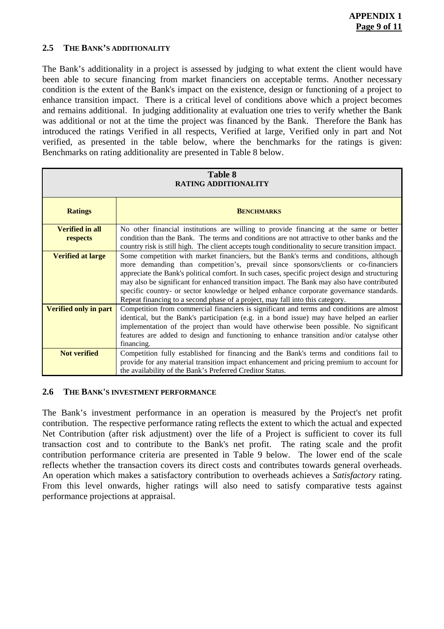#### **2.5 THE BANK'S ADDITIONALITY**

The Bank's additionality in a project is assessed by judging to what extent the client would have been able to secure financing from market financiers on acceptable terms. Another necessary condition is the extent of the Bank's impact on the existence, design or functioning of a project to enhance transition impact. There is a critical level of conditions above which a project becomes and remains additional. In judging additionality at evaluation one tries to verify whether the Bank was additional or not at the time the project was financed by the Bank. Therefore the Bank has introduced the ratings Verified in all respects, Verified at large, Verified only in part and Not verified, as presented in the table below, where the benchmarks for the ratings is given: Benchmarks on rating additionality are presented in Table 8 below.

| Table 8<br><b>RATING ADDITIONALITY</b> |                                                                                                                                                                                                                                                                                                                                                                                                                                                                                                                                                           |  |
|----------------------------------------|-----------------------------------------------------------------------------------------------------------------------------------------------------------------------------------------------------------------------------------------------------------------------------------------------------------------------------------------------------------------------------------------------------------------------------------------------------------------------------------------------------------------------------------------------------------|--|
| <b>Ratings</b>                         | <b>BENCHMARKS</b>                                                                                                                                                                                                                                                                                                                                                                                                                                                                                                                                         |  |
| <b>Verified in all</b><br>respects     | No other financial institutions are willing to provide financing at the same or better<br>condition than the Bank. The terms and conditions are not attractive to other banks and the<br>country risk is still high. The client accepts tough conditionality to secure transition impact.                                                                                                                                                                                                                                                                 |  |
| <b>Verified at large</b>               | Some competition with market financiers, but the Bank's terms and conditions, although<br>more demanding than competition's, prevail since sponsors/clients or co-financiers<br>appreciate the Bank's political comfort. In such cases, specific project design and structuring<br>may also be significant for enhanced transition impact. The Bank may also have contributed<br>specific country- or sector knowledge or helped enhance corporate governance standards.<br>Repeat financing to a second phase of a project, may fall into this category. |  |
| <b>Verified only in part</b>           | Competition from commercial financiers is significant and terms and conditions are almost<br>identical, but the Bank's participation (e.g. in a bond issue) may have helped an earlier<br>implementation of the project than would have otherwise been possible. No significant<br>features are added to design and functioning to enhance transition and/or catalyse other<br>financing.                                                                                                                                                                 |  |
| <b>Not verified</b>                    | Competition fully established for financing and the Bank's terms and conditions fail to<br>provide for any material transition impact enhancement and pricing premium to account for<br>the availability of the Bank's Preferred Creditor Status.                                                                                                                                                                                                                                                                                                         |  |

#### **2.6 THE BANK'S INVESTMENT PERFORMANCE**

The Bank's investment performance in an operation is measured by the Project's net profit contribution. The respective performance rating reflects the extent to which the actual and expected Net Contribution (after risk adjustment) over the life of a Project is sufficient to cover its full transaction cost and to contribute to the Bank's net profit. The rating scale and the profit contribution performance criteria are presented in Table 9 below. The lower end of the scale reflects whether the transaction covers its direct costs and contributes towards general overheads. An operation which makes a satisfactory contribution to overheads achieves a *Satisfactory* rating. From this level onwards, higher ratings will also need to satisfy comparative tests against performance projections at appraisal.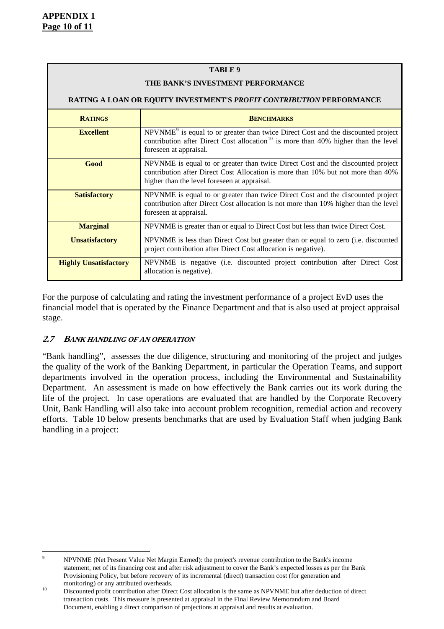#### **TABLE 9**

#### **THE BANK'S INVESTMENT PERFORMANCE**

| RATING A LOAN OR EQUITY INVESTMENT'S PROFIT CONTRIBUTION PERFORMANCE |                                                                                                                                                                                                                          |  |  |  |  |
|----------------------------------------------------------------------|--------------------------------------------------------------------------------------------------------------------------------------------------------------------------------------------------------------------------|--|--|--|--|
| <b>RATINGS</b>                                                       | <b>BENCHMARKS</b>                                                                                                                                                                                                        |  |  |  |  |
| <b>Excellent</b>                                                     | NPVNME <sup>9</sup> is equal to or greater than twice Direct Cost and the discounted project<br>contribution after Direct Cost allocation <sup>10</sup> is more than 40% higher than the level<br>foreseen at appraisal. |  |  |  |  |
| Good                                                                 | NPVNME is equal to or greater than twice Direct Cost and the discounted project<br>contribution after Direct Cost Allocation is more than 10% but not more than 40%<br>higher than the level foreseen at appraisal.      |  |  |  |  |
| <b>Satisfactory</b>                                                  | NPVNME is equal to or greater than twice Direct Cost and the discounted project<br>contribution after Direct Cost allocation is not more than 10% higher than the level<br>foreseen at appraisal.                        |  |  |  |  |
| <b>Marginal</b>                                                      | NPVNME is greater than or equal to Direct Cost but less than twice Direct Cost.                                                                                                                                          |  |  |  |  |
| <b>Unsatisfactory</b>                                                | NPVNME is less than Direct Cost but greater than or equal to zero (i.e. discounted<br>project contribution after Direct Cost allocation is negative).                                                                    |  |  |  |  |
| <b>Highly Unsatisfactory</b>                                         | NPVNME is negative (i.e. discounted project contribution after Direct Cost<br>allocation is negative).                                                                                                                   |  |  |  |  |

For the purpose of calculating and rating the investment performance of a project EvD uses the financial model that is operated by the Finance Department and that is also used at project appraisal stage.

#### **2.7 BANK HANDLING OF AN OPERATION**

"Bank handling", assesses the due diligence, structuring and monitoring of the project and judges the quality of the work of the Banking Department, in particular the Operation Teams, and support departments involved in the operation process, including the Environmental and Sustainability Department. An assessment is made on how effectively the Bank carries out its work during the life of the project. In case operations are evaluated that are handled by the Corporate Recovery Unit, Bank Handling will also take into account problem recognition, remedial action and recovery efforts. Table 10 below presents benchmarks that are used by Evaluation Staff when judging Bank handling in a project:

<span id="page-36-0"></span><sup>-&</sup>lt;br>9 NPVNME (Net Present Value Net Margin Earned): the project's revenue contribution to the Bank's income statement, net of its financing cost and after risk adjustment to cover the Bank's expected losses as per the Bank Provisioning Policy, but before recovery of its incremental (direct) transaction cost (for generation and

<span id="page-36-1"></span><sup>10</sup> Discounted profit contribution after Direct Cost allocation is the same as NPVNME but after deduction of direct transaction costs. This measure is presented at appraisal in the Final Review Memorandum and Board Document, enabling a direct comparison of projections at appraisal and results at evaluation.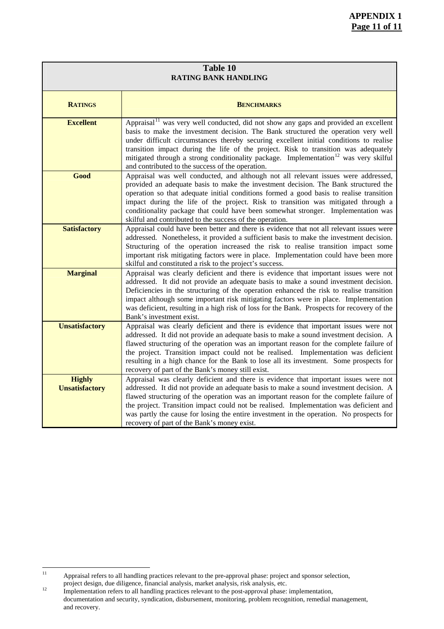| Table 10<br><b>RATING BANK HANDLING</b> |                                                                                                                                                                                                                                                                                                                                                                                                                                                                                                                                                        |  |  |  |  |
|-----------------------------------------|--------------------------------------------------------------------------------------------------------------------------------------------------------------------------------------------------------------------------------------------------------------------------------------------------------------------------------------------------------------------------------------------------------------------------------------------------------------------------------------------------------------------------------------------------------|--|--|--|--|
| <b>RATINGS</b>                          | <b>BENCHMARKS</b>                                                                                                                                                                                                                                                                                                                                                                                                                                                                                                                                      |  |  |  |  |
| <b>Excellent</b>                        | Appraisal <sup><math>\overline{1}</math></sup> was very well conducted, did not show any gaps and provided an excellent<br>basis to make the investment decision. The Bank structured the operation very well<br>under difficult circumstances thereby securing excellent initial conditions to realise<br>transition impact during the life of the project. Risk to transition was adequately<br>mitigated through a strong conditionality package. Implementation <sup>12</sup> was very skilful<br>and contributed to the success of the operation. |  |  |  |  |
| Good                                    | Appraisal was well conducted, and although not all relevant issues were addressed,<br>provided an adequate basis to make the investment decision. The Bank structured the<br>operation so that adequate initial conditions formed a good basis to realise transition<br>impact during the life of the project. Risk to transition was mitigated through a<br>conditionality package that could have been somewhat stronger. Implementation was<br>skilful and contributed to the success of the operation.                                             |  |  |  |  |
| <b>Satisfactory</b>                     | Appraisal could have been better and there is evidence that not all relevant issues were<br>addressed. Nonetheless, it provided a sufficient basis to make the investment decision.<br>Structuring of the operation increased the risk to realise transition impact some<br>important risk mitigating factors were in place. Implementation could have been more<br>skilful and constituted a risk to the project's success.                                                                                                                           |  |  |  |  |
| <b>Marginal</b>                         | Appraisal was clearly deficient and there is evidence that important issues were not<br>addressed. It did not provide an adequate basis to make a sound investment decision.<br>Deficiencies in the structuring of the operation enhanced the risk to realise transition<br>impact although some important risk mitigating factors were in place. Implementation<br>was deficient, resulting in a high risk of loss for the Bank. Prospects for recovery of the<br>Bank's investment exist.                                                            |  |  |  |  |
| <b>Unsatisfactory</b>                   | Appraisal was clearly deficient and there is evidence that important issues were not<br>addressed. It did not provide an adequate basis to make a sound investment decision. A<br>flawed structuring of the operation was an important reason for the complete failure of<br>the project. Transition impact could not be realised. Implementation was deficient<br>resulting in a high chance for the Bank to lose all its investment. Some prospects for<br>recovery of part of the Bank's money still exist.                                         |  |  |  |  |
| <b>Highly</b><br><b>Unsatisfactory</b>  | Appraisal was clearly deficient and there is evidence that important issues were not<br>addressed. It did not provide an adequate basis to make a sound investment decision. A<br>flawed structuring of the operation was an important reason for the complete failure of<br>the project. Transition impact could not be realised. Implementation was deficient and<br>was partly the cause for losing the entire investment in the operation. No prospects for<br>recovery of part of the Bank's money exist.                                         |  |  |  |  |

<span id="page-37-0"></span> $\overline{11}$ Appraisal refers to all handling practices relevant to the pre-approval phase: project and sponsor selection, project design, due diligence, financial analysis, market analysis, risk analysis, etc.

<span id="page-37-1"></span>project design, due diligence, financial analysis, market analysis, risk analysis, etc.<br><sup>12</sup> Implementation refers to all handling practices relevant to the post-approval phase: implementation, documentation and security, syndication, disbursement, monitoring, problem recognition, remedial management, and recovery.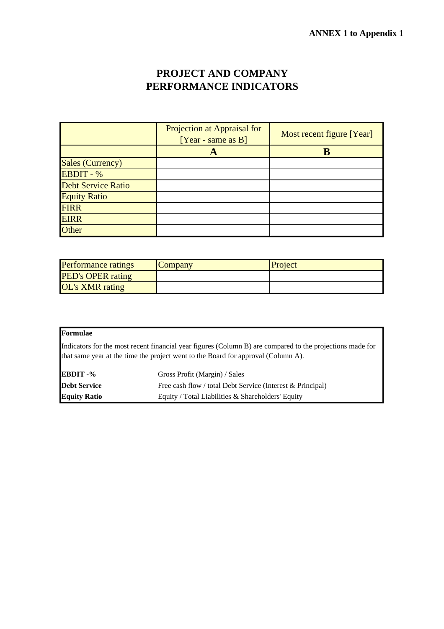### **PROJECT AND COMPANY PERFORMANCE INDICATORS**

|                           | Projection at Appraisal for<br>$[Year - same as B]$ | Most recent figure [Year] |
|---------------------------|-----------------------------------------------------|---------------------------|
|                           |                                                     |                           |
| Sales (Currency)          |                                                     |                           |
| EBDIT - %                 |                                                     |                           |
| <b>Debt Service Ratio</b> |                                                     |                           |
| <b>Equity Ratio</b>       |                                                     |                           |
| <b>FIRR</b>               |                                                     |                           |
| <b>EIRR</b>               |                                                     |                           |
| Other                     |                                                     |                           |

| <b>Performance ratings</b> | Company | Project |
|----------------------------|---------|---------|
| <b>PED's OPER rating</b>   |         |         |
| <b>OL's XMR</b> rating     |         |         |

#### **Formulae**

Indicators for the most recent financial year figures (Column B) are compared to the projections made for that same year at the time the project went to the Board for approval (Column A).

| <b>EBDIT</b> -%     | Gross Profit (Margin) / Sales                              |
|---------------------|------------------------------------------------------------|
| <b>Debt Service</b> | Free cash flow / total Debt Service (Interest & Principal) |
| <b>Equity Ratio</b> | Equity / Total Liabilities $\&$ Shareholders' Equity       |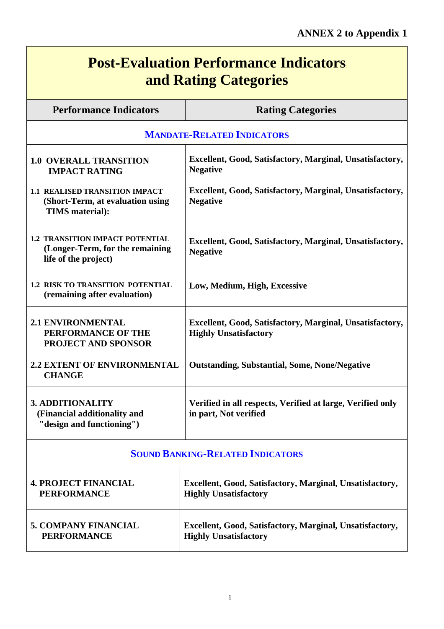$\overline{\phantom{0}}$ 

| <b>Post-Evaluation Performance Indicators</b><br>and Rating Categories                            |                                                                                          |  |  |  |  |  |  |
|---------------------------------------------------------------------------------------------------|------------------------------------------------------------------------------------------|--|--|--|--|--|--|
| <b>Performance Indicators</b><br><b>Rating Categories</b>                                         |                                                                                          |  |  |  |  |  |  |
| <b>MANDATE-RELATED INDICATORS</b>                                                                 |                                                                                          |  |  |  |  |  |  |
| <b>1.0 OVERALL TRANSITION</b><br><b>IMPACT RATING</b>                                             | Excellent, Good, Satisfactory, Marginal, Unsatisfactory,<br><b>Negative</b>              |  |  |  |  |  |  |
| 1.1 REALISED TRANSITION IMPACT<br>(Short-Term, at evaluation using<br><b>TIMS</b> material):      | Excellent, Good, Satisfactory, Marginal, Unsatisfactory,<br><b>Negative</b>              |  |  |  |  |  |  |
| <b>1.2 TRANSITION IMPACT POTENTIAL</b><br>(Longer-Term, for the remaining<br>life of the project) | Excellent, Good, Satisfactory, Marginal, Unsatisfactory,<br><b>Negative</b>              |  |  |  |  |  |  |
| <b>1.2 RISK TO TRANSITION POTENTIAL</b><br>(remaining after evaluation)                           | Low, Medium, High, Excessive                                                             |  |  |  |  |  |  |
| <b>2.1 ENVIRONMENTAL</b><br>PERFORMANCE OF THE<br><b>PROJECT AND SPONSOR</b>                      | Excellent, Good, Satisfactory, Marginal, Unsatisfactory,<br><b>Highly Unsatisfactory</b> |  |  |  |  |  |  |
| <b>2.2 EXTENT OF ENVIRONMENTAL</b><br><b>CHANGE</b>                                               | <b>Outstanding, Substantial, Some, None/Negative</b>                                     |  |  |  |  |  |  |
| <b>3. ADDITIONALITY</b><br>(Financial additionality and<br>"design and functioning")              | Verified in all respects, Verified at large, Verified only<br>in part, Not verified      |  |  |  |  |  |  |
|                                                                                                   | <b>SOUND BANKING-RELATED INDICATORS</b>                                                  |  |  |  |  |  |  |
| <b>4. PROJECT FINANCIAL</b><br><b>PERFORMANCE</b>                                                 | Excellent, Good, Satisfactory, Marginal, Unsatisfactory,<br><b>Highly Unsatisfactory</b> |  |  |  |  |  |  |
| <b>5. COMPANY FINANCIAL</b><br><b>PERFORMANCE</b>                                                 | Excellent, Good, Satisfactory, Marginal, Unsatisfactory,<br><b>Highly Unsatisfactory</b> |  |  |  |  |  |  |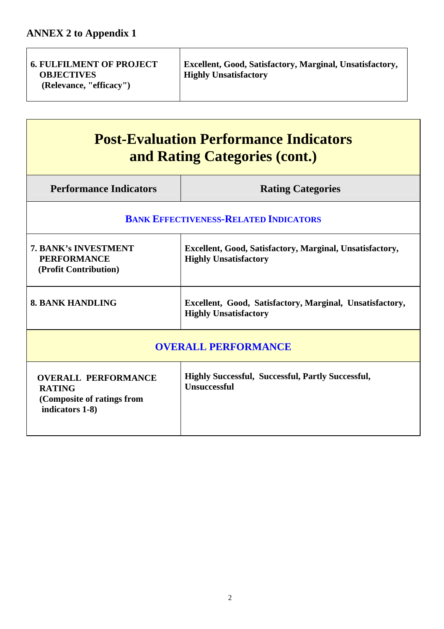| <b>6. FULFILMENT OF PROJECT</b><br><b>OBJECTIVES</b><br>(Relevance, "efficacy") | Excellent, Good, Satisfactory, Marginal, Unsatisfactory,<br><b>Highly Unsatisfactory</b> |
|---------------------------------------------------------------------------------|------------------------------------------------------------------------------------------|
|                                                                                 |                                                                                          |

# **Post-Evaluation Performance Indicators and Rating Categories (cont.)**

| <b>Performance Indicators</b>                                                                                                                                          | <b>Rating Categories</b>                                                                 |  |  |  |  |  |
|------------------------------------------------------------------------------------------------------------------------------------------------------------------------|------------------------------------------------------------------------------------------|--|--|--|--|--|
| <b>BANK EFFECTIVENESS-RELATED INDICATORS</b>                                                                                                                           |                                                                                          |  |  |  |  |  |
| <b>7. BANK's INVESTMENT</b><br>Excellent, Good, Satisfactory, Marginal, Unsatisfactory,<br><b>PERFORMANCE</b><br><b>Highly Unsatisfactory</b><br>(Profit Contribution) |                                                                                          |  |  |  |  |  |
| <b>8. BANK HANDLING</b>                                                                                                                                                | Excellent, Good, Satisfactory, Marginal, Unsatisfactory,<br><b>Highly Unsatisfactory</b> |  |  |  |  |  |
| <b>OVERALL PERFORMANCE</b>                                                                                                                                             |                                                                                          |  |  |  |  |  |
| <b>OVERALL PERFORMANCE</b><br><b>RATING</b><br>(Composite of ratings from<br>indicators 1-8)                                                                           | <b>Highly Successful, Successful, Partly Successful,</b><br><b>Unsuccessful</b>          |  |  |  |  |  |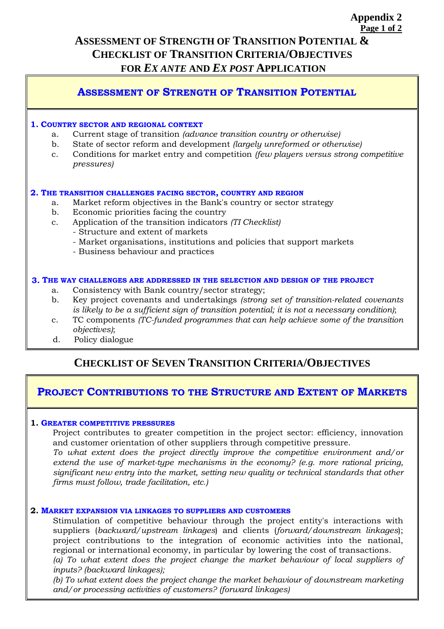### **Page 1 of 2 ASSESSMENT OF STRENGTH OF TRANSITION POTENTIAL & CHECKLIST OF TRANSITION CRITERIA/OBJECTIVES FOR** *EX ANTE* **AND** *EX POST* **APPLICATION**

**Appendix 2** 

### **ASSESSMENT OF STRENGTH OF TRANSITION POTENTIAL**

#### **1. COUNTRY SECTOR AND REGIONAL CONTEXT**

- a. Current stage of transition *(advance transition country or otherwise)*
- b. State of sector reform and development *(largely unreformed or otherwise)*
- c. Conditions for market entry and competition *(few players versus strong competitive pressures)*

#### **2. THE TRANSITION CHALLENGES FACING SECTOR, COUNTRY AND REGION**

- a. Market reform objectives in the Bank's country or sector strategy
- b. Economic priorities facing the country
- c. Application of the transition indicators *(TI Checklist)* 
	- Structure and extent of markets
	- Market organisations, institutions and policies that support markets
	- Business behaviour and practices

#### **3. THE WAY CHALLENGES ARE ADDRESSED IN THE SELECTION AND DESIGN OF THE PROJECT**

- a. Consistency with Bank country/sector strategy;
- b. Key project covenants and undertakings *(strong set of transition-related covenants is likely to be a sufficient sign of transition potential; it is not a necessary condition)*;
- c. TC components *(TC-funded programmes that can help achieve some of the transition objectives)*;
- d. Policy dialogue

### **CHECKLIST OF SEVEN TRANSITION CRITERIA/OBJECTIVES**

### **PROJECT CONTRIBUTIONS TO THE STRUCTURE AND EXTENT OF MARKETS**

#### **1. GREATER COMPETITIVE PRESSURES**

 Project contributes to greater competition in the project sector: efficiency, innovation and customer orientation of other suppliers through competitive pressure.

 *To what extent does the project directly improve the competitive environment and/or extend the use of market-type mechanisms in the economy? (e.g. more rational pricing, significant new entry into the market, setting new quality or technical standards that other firms must follow, trade facilitation, etc.)*

#### **2. MARKET EXPANSION VIA LINKAGES TO SUPPLIERS AND CUSTOMERS**

 Stimulation of competitive behaviour through the project entity's interactions with suppliers (*backward/upstream linkages*) and clients (*forward/downstream linkages*); project contributions to the integration of economic activities into the national, regional or international economy, in particular by lowering the cost of transactions.  *(a) To what extent does the project change the market behaviour of local suppliers of* 

*inputs? (backward linkages);* 

 *(b) To what extent does the project change the market behaviour of downstream marketing and/or processing activities of customers? (forward linkages)*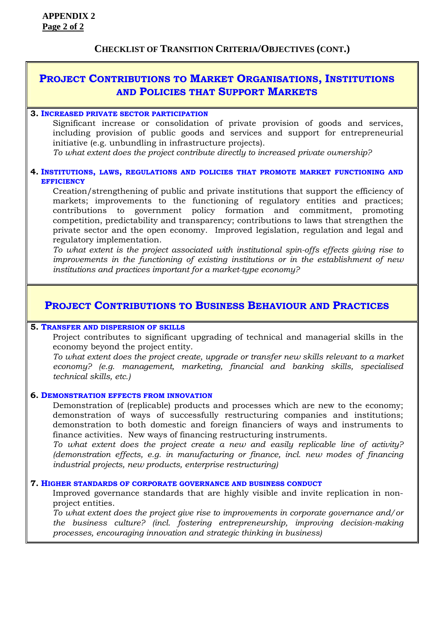### **PROJECT CONTRIBUTIONS TO MARKET ORGANISATIONS, INSTITUTIONS AND POLICIES THAT SUPPORT MARKETS**

#### **3. INCREASED PRIVATE SECTOR PARTICIPATION**

 Significant increase or consolidation of private provision of goods and services, including provision of public goods and services and support for entrepreneurial initiative (e.g. unbundling in infrastructure projects).

 *To what extent does the project contribute directly to increased private ownership?*

#### **4. INSTITUTIONS, LAWS, REGULATIONS AND POLICIES THAT PROMOTE MARKET FUNCTIONING AND EFFICIENCY**

 Creation/strengthening of public and private institutions that support the efficiency of markets; improvements to the functioning of regulatory entities and practices; contributions to government policy formation and commitment, promoting competition, predictability and transparency; contributions to laws that strengthen the private sector and the open economy. Improved legislation, regulation and legal and regulatory implementation.

*To what extent is the project associated with institutional spin-offs effects giving rise to improvements in the functioning of existing institutions or in the establishment of new institutions and practices important for a market-type economy?*

### **PROJECT CONTRIBUTIONS TO BUSINESS BEHAVIOUR AND PRACTICES**

#### **5. TRANSFER AND DISPERSION OF SKILLS**

 Project contributes to significant upgrading of technical and managerial skills in the economy beyond the project entity.

*To what extent does the project create, upgrade or transfer new skills relevant to a market economy? (e.g. management, marketing, financial and banking skills, specialised technical skills, etc.)*

#### **6. DEMONSTRATION EFFECTS FROM INNOVATION**

 Demonstration of (replicable) products and processes which are new to the economy; demonstration of ways of successfully restructuring companies and institutions; demonstration to both domestic and foreign financiers of ways and instruments to finance activities. New ways of financing restructuring instruments.

*To what extent does the project create a new and easily replicable line of activity? (demonstration effects, e.g. in manufacturing or finance, incl. new modes of financing industrial projects, new products, enterprise restructuring)* 

#### **7. HIGHER STANDARDS OF CORPORATE GOVERNANCE AND BUSINESS CONDUCT**

 Improved governance standards that are highly visible and invite replication in nonproject entities.

*To what extent does the project give rise to improvements in corporate governance and/or the business culture? (incl. fostering entrepreneurship, improving decision-making processes, encouraging innovation and strategic thinking in business)*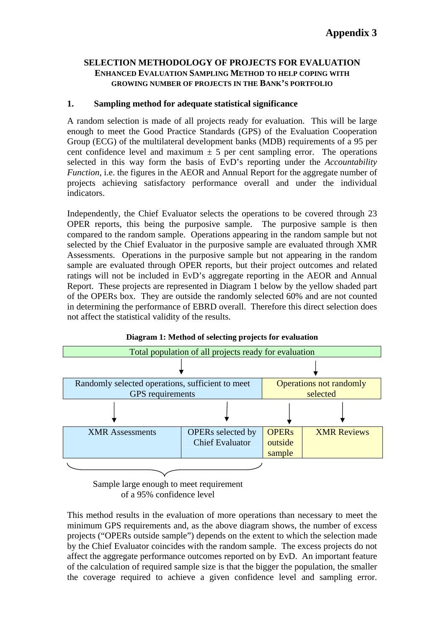#### **SELECTION METHODOLOGY OF PROJECTS FOR EVALUATION ENHANCED EVALUATION SAMPLING METHOD TO HELP COPING WITH GROWING NUMBER OF PROJECTS IN THE BANK'S PORTFOLIO**

#### **1. Sampling method for adequate statistical significance**

A random selection is made of all projects ready for evaluation. This will be large enough to meet the Good Practice Standards (GPS) of the Evaluation Cooperation Group (ECG) of the multilateral development banks (MDB) requirements of a 95 per cent confidence level and maximum  $\pm$  5 per cent sampling error. The operations selected in this way form the basis of EvD's reporting under the *Accountability Function*, i.e. the figures in the AEOR and Annual Report for the aggregate number of projects achieving satisfactory performance overall and under the individual indicators.

Independently, the Chief Evaluator selects the operations to be covered through 23 OPER reports, this being the purposive sample. The purposive sample is then compared to the random sample. Operations appearing in the random sample but not selected by the Chief Evaluator in the purposive sample are evaluated through XMR Assessments. Operations in the purposive sample but not appearing in the random sample are evaluated through OPER reports, but their project outcomes and related ratings will not be included in EvD's aggregate reporting in the AEOR and Annual Report. These projects are represented in Diagram 1 below by the yellow shaded part of the OPERs box. They are outside the randomly selected 60% and are not counted in determining the performance of EBRD overall. Therefore this direct selection does not affect the statistical validity of the results.





This method results in the evaluation of more operations than necessary to meet the minimum GPS requirements and, as the above diagram shows, the number of excess projects ("OPERs outside sample") depends on the extent to which the selection made by the Chief Evaluator coincides with the random sample. The excess projects do not affect the aggregate performance outcomes reported on by EvD. An important feature of the calculation of required sample size is that the bigger the population, the smaller the coverage required to achieve a given confidence level and sampling error.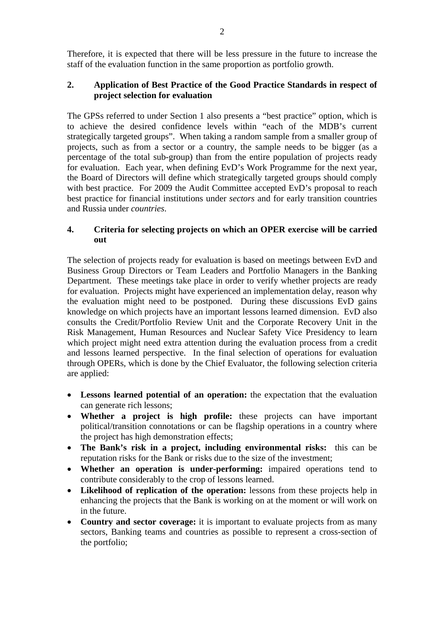Therefore, it is expected that there will be less pressure in the future to increase the staff of the evaluation function in the same proportion as portfolio growth.

#### **2. Application of Best Practice of the Good Practice Standards in respect of project selection for evaluation**

The GPSs referred to under Section 1 also presents a "best practice" option, which is to achieve the desired confidence levels within "each of the MDB's current strategically targeted groups". When taking a random sample from a smaller group of projects, such as from a sector or a country, the sample needs to be bigger (as a percentage of the total sub-group) than from the entire population of projects ready for evaluation. Each year, when defining EvD's Work Programme for the next year, the Board of Directors will define which strategically targeted groups should comply with best practice. For 2009 the Audit Committee accepted EvD's proposal to reach best practice for financial institutions under *sectors* and for early transition countries and Russia under *countries*.

#### **4. Criteria for selecting projects on which an OPER exercise will be carried out**

The selection of projects ready for evaluation is based on meetings between EvD and Business Group Directors or Team Leaders and Portfolio Managers in the Banking Department. These meetings take place in order to verify whether projects are ready for evaluation. Projects might have experienced an implementation delay, reason why the evaluation might need to be postponed. During these discussions EvD gains knowledge on which projects have an important lessons learned dimension. EvD also consults the Credit/Portfolio Review Unit and the Corporate Recovery Unit in the Risk Management, Human Resources and Nuclear Safety Vice Presidency to learn which project might need extra attention during the evaluation process from a credit and lessons learned perspective. In the final selection of operations for evaluation through OPERs, which is done by the Chief Evaluator, the following selection criteria are applied:

- **Lessons learned potential of an operation:** the expectation that the evaluation can generate rich lessons;
- **Whether a project is high profile:** these projects can have important political/transition connotations or can be flagship operations in a country where the project has high demonstration effects;
- **The Bank's risk in a project, including environmental risks:**this can be reputation risks for the Bank or risks due to the size of the investment;
- **Whether an operation is under-performing:** impaired operations tend to contribute considerably to the crop of lessons learned.
- **Likelihood of replication of the operation:** lessons from these projects help in enhancing the projects that the Bank is working on at the moment or will work on in the future.
- **Country and sector coverage:** it is important to evaluate projects from as many sectors, Banking teams and countries as possible to represent a cross-section of the portfolio;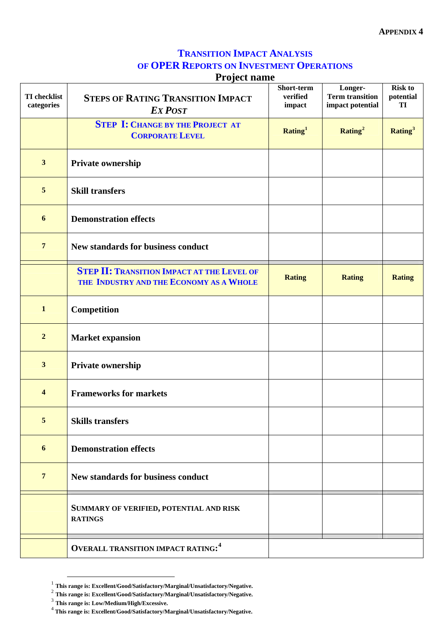#### **TRANSITION IMPACT ANALYSIS OF OPER REPORTS ON INVESTMENT OPERATIONS Project name**

|                                   | <b>Project name</b>                                                                          |                                  |                                                       |                                   |
|-----------------------------------|----------------------------------------------------------------------------------------------|----------------------------------|-------------------------------------------------------|-----------------------------------|
| <b>TI</b> checklist<br>categories | <b>STEPS OF RATING TRANSITION IMPACT</b><br><b>EXPOST</b>                                    | Short-term<br>verified<br>impact | Longer-<br><b>Term transition</b><br>impact potential | <b>Risk to</b><br>potential<br>TI |
|                                   | <b>STEP I: CHANGE BY THE PROJECT AT</b><br><b>CORPORATE LEVEL</b>                            | Rating <sup>1</sup>              | Rating <sup>2</sup>                                   | Rating <sup>3</sup>               |
| $\overline{\mathbf{3}}$           | Private ownership                                                                            |                                  |                                                       |                                   |
| 5                                 | <b>Skill transfers</b>                                                                       |                                  |                                                       |                                   |
| 6                                 | <b>Demonstration effects</b>                                                                 |                                  |                                                       |                                   |
| $\overline{7}$                    | <b>New standards for business conduct</b>                                                    |                                  |                                                       |                                   |
|                                   | <b>STEP II: TRANSITION IMPACT AT THE LEVEL OF</b><br>THE INDUSTRY AND THE ECONOMY AS A WHOLE | <b>Rating</b>                    | <b>Rating</b>                                         | <b>Rating</b>                     |
| $\mathbf{1}$                      | Competition                                                                                  |                                  |                                                       |                                   |
| $\boldsymbol{2}$                  | <b>Market expansion</b>                                                                      |                                  |                                                       |                                   |
| $\mathbf{3}$                      | Private ownership                                                                            |                                  |                                                       |                                   |
| $\overline{\mathbf{4}}$           | <b>Frameworks for markets</b>                                                                |                                  |                                                       |                                   |
| 5                                 | <b>Skills transfers</b>                                                                      |                                  |                                                       |                                   |
| 6                                 | <b>Demonstration effects</b>                                                                 |                                  |                                                       |                                   |
| $7\phantom{.0}$                   | <b>New standards for business conduct</b>                                                    |                                  |                                                       |                                   |
|                                   | SUMMARY OF VERIFIED, POTENTIAL AND RISK<br><b>RATINGS</b>                                    |                                  |                                                       |                                   |
|                                   | <b>OVERALL TRANSITION IMPACT RATING:4</b>                                                    |                                  |                                                       |                                   |

 <sup>1</sup> **This range is: Excellent/Good/Satisfactory/Marginal/Unsatisfactory/Negative.**

<span id="page-45-1"></span><span id="page-45-0"></span><sup>2</sup> **This range is: Excellent/Good/Satisfactory/Marginal/Unsatisfactory/Negative.**

<span id="page-45-2"></span><sup>3</sup> **This range is: Low/Medium/High/Excessive.**

<span id="page-45-3"></span><sup>4</sup>  **This range is: Excellent/Good/Satisfactory/Marginal/Unsatisfactory/Negative.**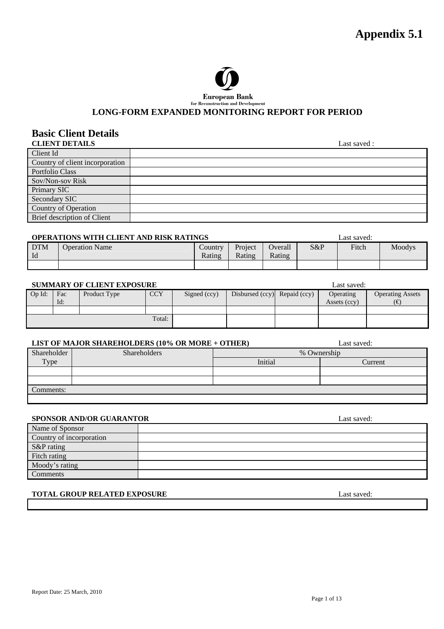**Appendix 5.1** 



**European Bank**<br>for Reconstruction and Development

#### LONG-FORM EXPANDED MONITORING REPORT FOR PERIOD

### **Basic Client Details**

| Last saved: |
|-------------|
|             |
|             |
|             |
|             |
|             |
|             |
|             |
|             |
|             |

#### **OPERATIONS WITH CLIENT AND RISK RATINGS Last saved:** Last saved:

|                   |                       |                                |                   |                   |     | ------------- |        |
|-------------------|-----------------------|--------------------------------|-------------------|-------------------|-----|---------------|--------|
| <b>DTM</b><br>-ld | <b>Operation Name</b> | $\mathcal{L}$ ountry<br>Rating | Project<br>Rating | Overall<br>Rating | S&P | Fitch         | Moodys |
|                   |                       |                                |                   |                   |     |               |        |

#### **SUMMARY OF CLIENT EXPOSURE Last saved: Last saved:**

| Op Id: | Fac<br>Id: | Product Type | <b>CCY</b> | Signed (ccy) | Disbursed (ccy) Repaid (ccy) | Operating<br>Assets (ccy) | <b>Operating Assets</b><br>6€ |
|--------|------------|--------------|------------|--------------|------------------------------|---------------------------|-------------------------------|
|        |            |              |            |              |                              |                           |                               |
|        |            |              |            |              |                              |                           |                               |
|        |            |              |            |              |                              |                           |                               |
|        |            |              | Total:     |              |                              |                           |                               |
|        |            |              |            |              |                              |                           |                               |

#### **LIST OF MAJOR SHAREHOLDERS (10% OR MORE + OTHER)** Last saved:

|             | LIBT OF MAJOR BHAREHOLDERS (TV /0 OR MORE   OTHER) |             | Lasi savcu. |  |
|-------------|----------------------------------------------------|-------------|-------------|--|
| Shareholder | <b>Shareholders</b>                                | % Ownership |             |  |
| Type        |                                                    | Initial     | Current     |  |
|             |                                                    |             |             |  |
|             |                                                    |             |             |  |
| Comments:   |                                                    |             |             |  |
|             |                                                    |             |             |  |

#### **SPONSOR AND/OR GUARANTOR** Last saved:

| Name of Sponsor          |  |
|--------------------------|--|
| Country of incorporation |  |
| S&P rating               |  |
| Fitch rating             |  |
| Moody's rating           |  |
| Comments                 |  |

#### **TOTAL GROUP RELATED EXPOSURE Last saved:** Last saved:

Report Date: 25 March, 2010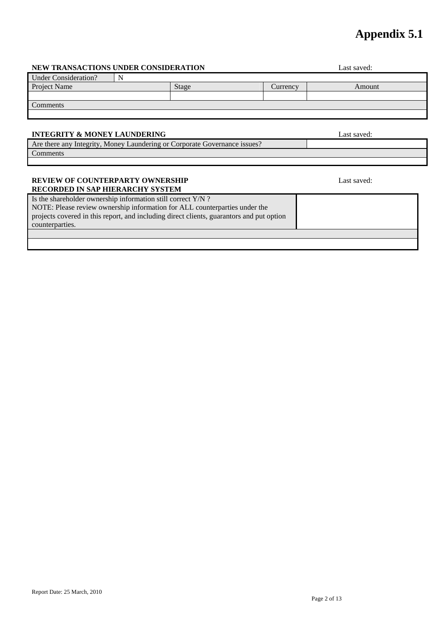## **Appendix 5.1**

#### Report Date: 25 March, 2010

#### **NEW TRANSACTIONS UNDER CONSIDERATION** Last saved:

| <b>Under Consideration?</b> |       |          |        |
|-----------------------------|-------|----------|--------|
| Project Name                | Stage | Currency | Amount |
|                             |       |          |        |
| Comments                    |       |          |        |
|                             |       |          |        |

#### **INTEGRITY & MONEY LAUNDERING** Last saved:

Are there any Integrity, Money Laundering or Corporate Governance issues? Comments

#### **REVIEW OF COUNTERPARTY OWNERSHIP**  Last saved: **RECORDED IN SAP HIERARCHY SYSTEM**

Is the shareholder ownership information still correct Y/N ? NOTE: Please review ownership information for ALL counterparties under the projects covered in this report, and including direct clients, guarantors and put option counterparties.

Page 2 of 13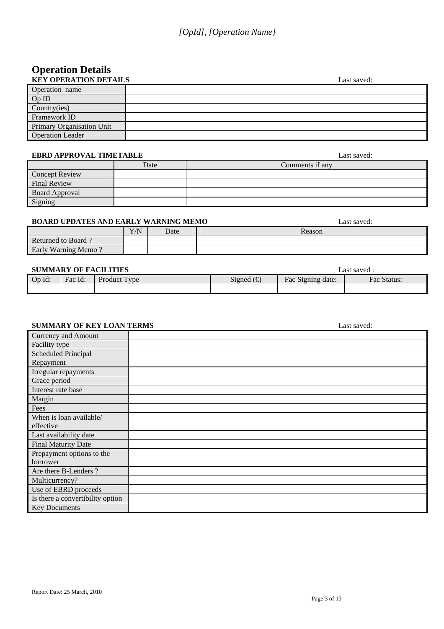# **Operation Details**

| <b>KEY OPERATION DETAILS</b> | Last saved: |
|------------------------------|-------------|
| Operation name               |             |
| OpID                         |             |
| Country(ies)                 |             |
| Framework ID                 |             |
| Primary Organisation Unit    |             |
| <b>Operation Leader</b>      |             |

#### **EBRD APPROVAL TIMETABLE Last saved:** Last saved:

| LDWD IN I INV THE INTILITIOUS |      | Label barrou.   |
|-------------------------------|------|-----------------|
|                               | Date | Comments if any |
| <b>Concept Review</b>         |      |                 |
| Final Review                  |      |                 |
| <b>Board Approval</b>         |      |                 |
| Signing                       |      |                 |

#### **BOARD UPDATES AND EARLY WARNING MEMO** Last saved:

|                       | Y/N | Date | Reason |
|-----------------------|-----|------|--------|
| Returned to<br>Board. |     |      |        |
| Early Warning Memo    |     |      |        |

#### **SUMMARY OF FACILITIES Last saved : Last saved :**

| <b>BUNIMARI OI FACILITIES</b> |         |                |                  |                           | Lasi savcu .   |
|-------------------------------|---------|----------------|------------------|---------------------------|----------------|
| $Op$ $Id:$                    | Fac Id: | Product<br>vne | $\sim$<br>Signed | -<br>Signing date:<br>Fac | Fac<br>Status: |
|                               |         |                |                  |                           |                |

#### **SUMMARY OF KEY LOAN TERMS** Last saved:

| Currency and Amount              |  |
|----------------------------------|--|
| Facility type                    |  |
| Scheduled Principal              |  |
| Repayment                        |  |
| Irregular repayments             |  |
| Grace period                     |  |
| Interest rate base               |  |
| Margin                           |  |
| Fees                             |  |
| When is loan available/          |  |
| effective                        |  |
| Last availability date           |  |
| Final Maturity Date              |  |
| Prepayment options to the        |  |
| borrower                         |  |
| Are there B-Lenders?             |  |
| Multicurrency?                   |  |
| Use of EBRD proceeds             |  |
| Is there a convertibility option |  |
| <b>Key Documents</b>             |  |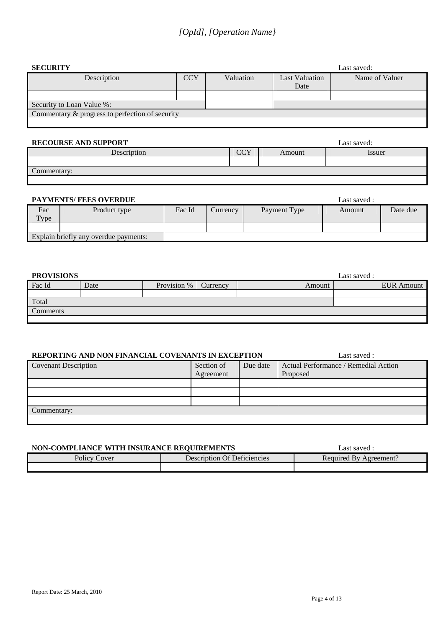| <b>SECURITY</b>                                 |            | Last saved: |                       |                |  |  |  |
|-------------------------------------------------|------------|-------------|-----------------------|----------------|--|--|--|
| Description                                     | <b>CCY</b> | Valuation   | <b>Last Valuation</b> | Name of Valuer |  |  |  |
|                                                 |            |             | Date                  |                |  |  |  |
|                                                 |            |             |                       |                |  |  |  |
| Security to Loan Value %:                       |            |             |                       |                |  |  |  |
| Commentary & progress to perfection of security |            |             |                       |                |  |  |  |
|                                                 |            |             |                       |                |  |  |  |

#### **RECOURSE AND SUPPORT** Last saved:

| Description               | $\sim$<br>UU 1 | Amount | Issuer |
|---------------------------|----------------|--------|--------|
|                           |                |        |        |
| $\sqrt{ }$<br>Commentary: |                |        |        |
|                           |                |        |        |

#### **PAYMENTS/ FEES OVERDUE Last saved :** Last saved :

|                                       |              |        |                 |              | -------------- |          |
|---------------------------------------|--------------|--------|-----------------|--------------|----------------|----------|
| Fac                                   | Product type | Fac Id | <b>Currency</b> | Payment Type | Amount         | Date due |
| Type                                  |              |        |                 |              |                |          |
|                                       |              |        |                 |              |                |          |
| Explain briefly any overdue payments: |              |        |                 |              |                |          |

| <b>PROVISIONS</b> |      |             |          |        | Last saved :      |
|-------------------|------|-------------|----------|--------|-------------------|
| Fac Id            | Date | Provision % | Currency | Amount | <b>EUR</b> Amount |
|                   |      |             |          |        |                   |
| Total             |      |             |          |        |                   |
| Comments          |      |             |          |        |                   |
|                   |      |             |          |        |                   |

#### **REPORTING AND NON FINANCIAL COVENANTS IN EXCEPTION** Last saved :

| <u>KLI OKTINO IND NONTRUN KOMB CO (ENTINTO IN EROBI TION</u> |                        |  | Label barrour.                       |  |  |  |  |  |
|--------------------------------------------------------------|------------------------|--|--------------------------------------|--|--|--|--|--|
| <b>Covenant Description</b>                                  | Section of<br>Due date |  | Actual Performance / Remedial Action |  |  |  |  |  |
|                                                              | Agreement              |  | Proposed                             |  |  |  |  |  |
|                                                              |                        |  |                                      |  |  |  |  |  |
|                                                              |                        |  |                                      |  |  |  |  |  |
|                                                              |                        |  |                                      |  |  |  |  |  |
| Commentary:                                                  |                        |  |                                      |  |  |  |  |  |
|                                                              |                        |  |                                      |  |  |  |  |  |

### **NON-COMPLIANCE WITH INSURANCE REQUIREMENTS** Last saved : Policy Cover Description Of Deficiencies Required By Agreement?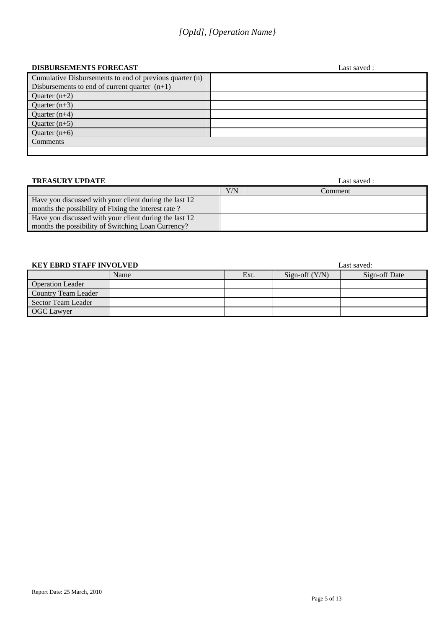### *[OpId], [Operation Name}*

#### **DISBURSEMENTS FORECAST** Last saved :

|                                                         | __…… |
|---------------------------------------------------------|------|
| Cumulative Disbursements to end of previous quarter (n) |      |
| Disbursements to end of current quarter $(n+1)$         |      |
| Quarter $(n+2)$                                         |      |
| Quarter $(n+3)$                                         |      |
| Quarter $(n+4)$                                         |      |
| Quarter $(n+5)$                                         |      |
| Quarter $(n+6)$                                         |      |
| Comments                                                |      |
|                                                         |      |

| <b>TREASURY UPDATE</b>                                                                                        | Last saved : |         |  |  |
|---------------------------------------------------------------------------------------------------------------|--------------|---------|--|--|
|                                                                                                               | Y/N          | Comment |  |  |
| Have you discussed with your client during the last 12<br>months the possibility of Fixing the interest rate? |              |         |  |  |
| Have you discussed with your client during the last 12<br>months the possibility of Switching Loan Currency?  |              |         |  |  |

| <b>KEY EBRD STAFF INVOLVED</b> |      | Last saved: |                  |               |
|--------------------------------|------|-------------|------------------|---------------|
|                                | Name | Ext.        | Sign-off $(Y/N)$ | Sign-off Date |
| <b>Operation Leader</b>        |      |             |                  |               |
| Country Team Leader            |      |             |                  |               |
| Sector Team Leader             |      |             |                  |               |
| <b>OGC</b> Lawyer              |      |             |                  |               |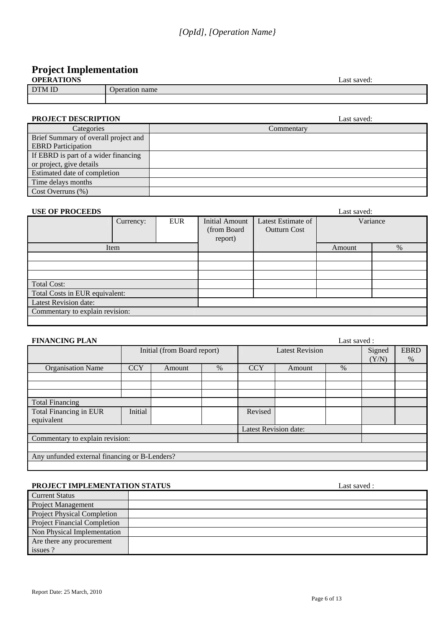## **Project Implementation**

| <b>OPERATIONS</b> | Last saved:    |
|-------------------|----------------|
| DTM ID            | Jperation name |
|                   |                |

#### **PROJECT DESCRIPTION** Last saved:

| Categories                           | Commentary |
|--------------------------------------|------------|
| Brief Summary of overall project and |            |
| <b>EBRD</b> Participation            |            |
| If EBRD is part of a wider financing |            |
| or project, give details             |            |
| Estimated date of completion         |            |
| Time delays months                   |            |
| $Cost$ Overruns $(\%)$               |            |

#### **USE OF PROCEEDS** Last saved:

| COL OF THOCLEDS<br>Last sa võu. |           |            |                                           |                                           |          |   |
|---------------------------------|-----------|------------|-------------------------------------------|-------------------------------------------|----------|---|
|                                 | Currency: | <b>EUR</b> | Initial Amount<br>(from Board)<br>report) | Latest Estimate of<br><b>Outturn Cost</b> | Variance |   |
|                                 | Item      |            |                                           |                                           | Amount   | % |
|                                 |           |            |                                           |                                           |          |   |
|                                 |           |            |                                           |                                           |          |   |
|                                 |           |            |                                           |                                           |          |   |
| <b>Total Cost:</b>              |           |            |                                           |                                           |          |   |
| Total Costs in EUR equivalent:  |           |            |                                           |                                           |          |   |
| Latest Revision date:           |           |            |                                           |                                           |          |   |
| Commentary to explain revision: |           |            |                                           |                                           |          |   |
|                                 |           |            |                                           |                                           |          |   |

| <b>FINANCING PLAN</b>                         |            |                              |      |            | Last saved:            |      |       |             |
|-----------------------------------------------|------------|------------------------------|------|------------|------------------------|------|-------|-------------|
|                                               |            | Initial (from Board report)  |      |            | <b>Latest Revision</b> |      |       | <b>EBRD</b> |
|                                               |            |                              |      |            |                        |      | (Y/N) | $\%$        |
| <b>Organisation Name</b>                      | <b>CCY</b> | Amount                       | $\%$ | <b>CCY</b> | Amount                 | $\%$ |       |             |
|                                               |            |                              |      |            |                        |      |       |             |
|                                               |            |                              |      |            |                        |      |       |             |
|                                               |            |                              |      |            |                        |      |       |             |
| <b>Total Financing</b>                        |            |                              |      |            |                        |      |       |             |
| Total Financing in EUR                        | Initial    |                              |      | Revised    |                        |      |       |             |
| equivalent                                    |            |                              |      |            |                        |      |       |             |
|                                               |            | <b>Latest Revision date:</b> |      |            |                        |      |       |             |
| Commentary to explain revision:               |            |                              |      |            |                        |      |       |             |
|                                               |            |                              |      |            |                        |      |       |             |
| Any unfunded external financing or B-Lenders? |            |                              |      |            |                        |      |       |             |
|                                               |            |                              |      |            |                        |      |       |             |

#### **PROJECT IMPLEMENTATION STATUS** Last saved :

| <b>Current Status</b>               |  |
|-------------------------------------|--|
| <b>Project Management</b>           |  |
| <b>Project Physical Completion</b>  |  |
| <b>Project Financial Completion</b> |  |
| Non Physical Implementation         |  |
| Are there any procurement           |  |
| issues ?                            |  |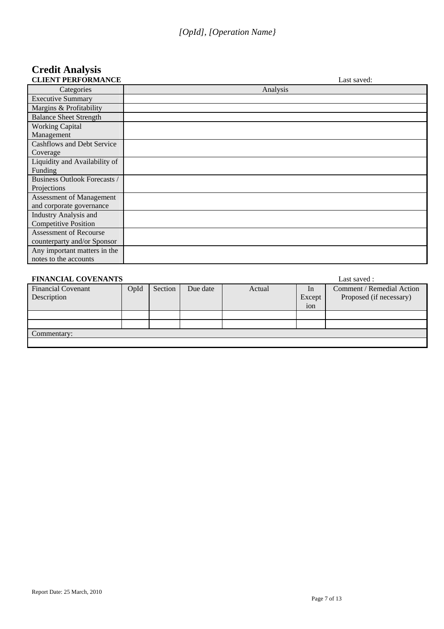# **Credit Analysis**

| <b>CLIENT PERFORMANCE</b>           | Last saved: |
|-------------------------------------|-------------|
| Categories                          | Analysis    |
| <b>Executive Summary</b>            |             |
| Margins & Profitability             |             |
| <b>Balance Sheet Strength</b>       |             |
| <b>Working Capital</b>              |             |
| Management                          |             |
| Cashflows and Debt Service          |             |
| Coverage                            |             |
| Liquidity and Availability of       |             |
| Funding                             |             |
| <b>Business Outlook Forecasts /</b> |             |
| Projections                         |             |
| Assessment of Management            |             |
| and corporate governance            |             |
| <b>Industry Analysis and</b>        |             |
| <b>Competitive Position</b>         |             |
| <b>Assessment of Recourse</b>       |             |
| counterparty and/or Sponsor         |             |
| Any important matters in the        |             |
| notes to the accounts               |             |

| <b>FINANCIAL COVENANTS</b>               | Last saved : |         |          |        |              |                                                      |  |
|------------------------------------------|--------------|---------|----------|--------|--------------|------------------------------------------------------|--|
| <b>Financial Covenant</b><br>Description | OpId         | Section | Due date | Actual | In<br>Except | Comment / Remedial Action<br>Proposed (if necessary) |  |
|                                          |              |         |          |        | ion          |                                                      |  |
|                                          |              |         |          |        |              |                                                      |  |
|                                          |              |         |          |        |              |                                                      |  |
| Commentary:                              |              |         |          |        |              |                                                      |  |
|                                          |              |         |          |        |              |                                                      |  |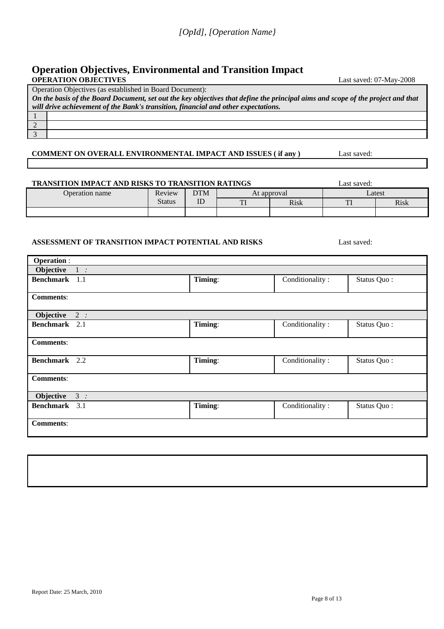#### **Operation Objectives, Environmental and Transition Impact OPERATION OBJECTIVES** Last saved: 07-May-2008

Operation Objectives (as established in Board Document):

2 3

*On the basis of the Board Document, set out the key objectives that define the principal aims and scope of the project and that will drive achievement of the Bank's transition, financial and other expectations.* 1

#### **COMMENT ON OVERALL ENVIRONMENTAL IMPACT AND ISSUES (if any )** Last saved:

**TRANSITION IMPACT AND RISKS TO TRANSITION RATINGS** Last saved:

#### Operation name Review DTM At approval Latest Status DTM ID TI Risk TI Risk

#### **ASSESSMENT OF TRANSITION IMPACT POTENTIAL AND RISKS** Last saved:

| <b>Operation:</b>    |       |         |                 |             |
|----------------------|-------|---------|-----------------|-------------|
| Objective            | $1$ : |         |                 |             |
| Benchmark 1.1        |       | Timing: | Conditionality: | Status Quo: |
| <b>Comments:</b>     |       |         |                 |             |
| Objective            | 2:    |         |                 |             |
| Benchmark 2.1        |       | Timing: | Conditionality: | Status Quo: |
| <b>Comments:</b>     |       |         |                 |             |
| <b>Benchmark</b> 2.2 |       | Timing: | Conditionality: | Status Quo: |
| <b>Comments:</b>     |       |         |                 |             |
| Objective            | 3:    |         |                 |             |
| Benchmark 3.1        |       | Timing: | Conditionality: | Status Quo: |
| <b>Comments:</b>     |       |         |                 |             |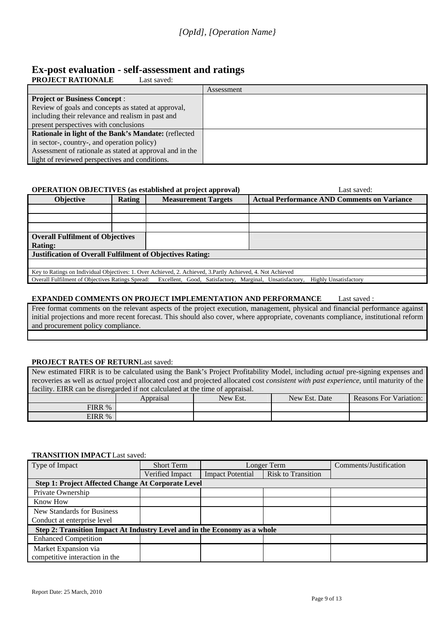### **Ex-post evaluation - self-assessment and ratings**

| <b>PROJECT RATIONALE</b><br>Last saved:                  |            |
|----------------------------------------------------------|------------|
|                                                          | Assessment |
| <b>Project or Business Concept:</b>                      |            |
| Review of goals and concepts as stated at approval,      |            |
| including their relevance and realism in past and        |            |
| present perspectives with conclusions                    |            |
| Rationale in light of the Bank's Mandate: (reflected     |            |
| in sector-, country-, and operation policy)              |            |
| Assessment of rationale as stated at approval and in the |            |
| light of reviewed perspectives and conditions.           |            |
|                                                          |            |

#### **OPERATION OBJECTIVES** (as established at project approval) **Last saved:** Last saved:

| <b>Objective</b>                                                                                            | Rating                                                                                                                                    | <b>Measurement Targets</b> | <b>Actual Performance AND Comments on Variance</b> |  |  |
|-------------------------------------------------------------------------------------------------------------|-------------------------------------------------------------------------------------------------------------------------------------------|----------------------------|----------------------------------------------------|--|--|
|                                                                                                             |                                                                                                                                           |                            |                                                    |  |  |
|                                                                                                             |                                                                                                                                           |                            |                                                    |  |  |
|                                                                                                             |                                                                                                                                           |                            |                                                    |  |  |
|                                                                                                             | <b>Overall Fulfilment of Objectives</b>                                                                                                   |                            |                                                    |  |  |
| <b>Rating:</b>                                                                                              |                                                                                                                                           |                            |                                                    |  |  |
| <b>Justification of Overall Fulfilment of Objectives Rating:</b>                                            |                                                                                                                                           |                            |                                                    |  |  |
|                                                                                                             |                                                                                                                                           |                            |                                                    |  |  |
| Key to Ratings on Individual Objectives: 1. Over Achieved, 2. Achieved, 3. Partly Achieved, 4. Not Achieved |                                                                                                                                           |                            |                                                    |  |  |
|                                                                                                             | Overall Fulfilment of Objectives Ratings Spread: Excellent, Good, Satisfactory, Marginal, Unsatisfactory,<br><b>Highly Unsatisfactory</b> |                            |                                                    |  |  |

#### **EXPANDED COMMENTS ON PROJECT IMPLEMENTATION AND PERFORMANCE** Last saved :

Free format comments on the relevant aspects of the project execution, management, physical and financial performance against initial projections and more recent forecast. This should also cover, where appropriate, covenants compliance, institutional reform and procurement policy compliance.

#### **PROJECT RATES OF RETURNLast saved:**

New estimated FIRR is to be calculated using the Bank's Project Profitability Model, including *actual* pre-signing expenses and recoveries as well as *actual* project allocated cost and projected allocated cost *consistent with past experience*, until maturity of the facility. EIRR can be disregarded if not calculated at the time of appraisal.

|        | Appraisal | New Est. | New Est.<br>Date | <b>TT</b><br>Reasons For<br>Variation: |
|--------|-----------|----------|------------------|----------------------------------------|
| FIRR % |           |          |                  |                                        |
| EIRR % |           |          |                  |                                        |

#### **TRANSITION IMPACT** Last saved:

| Type of Impact                                                            | <b>Short Term</b>                                         | Longer Term             |                           | Comments/Justification |  |  |  |
|---------------------------------------------------------------------------|-----------------------------------------------------------|-------------------------|---------------------------|------------------------|--|--|--|
|                                                                           | Verified Impact                                           | <b>Impact Potential</b> | <b>Risk to Transition</b> |                        |  |  |  |
|                                                                           | <b>Step 1: Project Affected Change At Corporate Level</b> |                         |                           |                        |  |  |  |
| Private Ownership                                                         |                                                           |                         |                           |                        |  |  |  |
| Know How                                                                  |                                                           |                         |                           |                        |  |  |  |
| New Standards for Business                                                |                                                           |                         |                           |                        |  |  |  |
| Conduct at enterprise level                                               |                                                           |                         |                           |                        |  |  |  |
| Step 2: Transition Impact At Industry Level and in the Economy as a whole |                                                           |                         |                           |                        |  |  |  |
| <b>Enhanced Competition</b>                                               |                                                           |                         |                           |                        |  |  |  |
| Market Expansion via                                                      |                                                           |                         |                           |                        |  |  |  |
| competitive interaction in the                                            |                                                           |                         |                           |                        |  |  |  |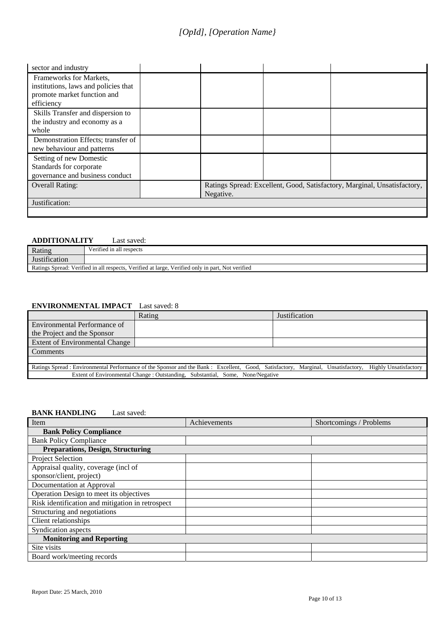| sector and industry                  |           |                                                                          |
|--------------------------------------|-----------|--------------------------------------------------------------------------|
| Frameworks for Markets,              |           |                                                                          |
| institutions, laws and policies that |           |                                                                          |
| promote market function and          |           |                                                                          |
| efficiency                           |           |                                                                          |
| Skills Transfer and dispersion to    |           |                                                                          |
| the industry and economy as a        |           |                                                                          |
| whole                                |           |                                                                          |
| Demonstration Effects; transfer of   |           |                                                                          |
| new behaviour and patterns           |           |                                                                          |
| Setting of new Domestic              |           |                                                                          |
| Standards for corporate              |           |                                                                          |
| governance and business conduct      |           |                                                                          |
| <b>Overall Rating:</b>               |           | Ratings Spread: Excellent, Good, Satisfactory, Marginal, Unsatisfactory, |
|                                      | Negative. |                                                                          |
| Justification:                       |           |                                                                          |
|                                      |           |                                                                          |

#### **ADDITIONALITY** Last saved:

|                                                                                                  | 110011101111111<br>Lauren van Van |  |  |
|--------------------------------------------------------------------------------------------------|-----------------------------------|--|--|
| Rating                                                                                           | Verified in all respects          |  |  |
| Justification                                                                                    |                                   |  |  |
| Ratings Spread: Verified in all respects, Verified at large, Verified only in part, Not verified |                                   |  |  |

#### **ENVIRONMENTAL IMPACT** Last saved: 8

|                                                                                                                                   | Rating                                                                         | <b>Justification</b> |                              |
|-----------------------------------------------------------------------------------------------------------------------------------|--------------------------------------------------------------------------------|----------------------|------------------------------|
| Environmental Performance of                                                                                                      |                                                                                |                      |                              |
| the Project and the Sponsor                                                                                                       |                                                                                |                      |                              |
| Extent of Environmental Change                                                                                                    |                                                                                |                      |                              |
| Comments                                                                                                                          |                                                                                |                      |                              |
|                                                                                                                                   |                                                                                |                      |                              |
| Ratings Spread : Environmental Performance of the Sponsor and the Bank : Excellent, Good, Satisfactory, Marginal, Unsatisfactory, |                                                                                |                      | <b>Highly Unsatisfactory</b> |
|                                                                                                                                   | Extent of Environmental Change : Outstanding, Substantial, Some, None/Negative |                      |                              |

#### **BANK HANDLING** Last saved:

| Item                                             | Achievements | Shortcomings / Problems |  |  |  |  |  |
|--------------------------------------------------|--------------|-------------------------|--|--|--|--|--|
| <b>Bank Policy Compliance</b>                    |              |                         |  |  |  |  |  |
| <b>Bank Policy Compliance</b>                    |              |                         |  |  |  |  |  |
| <b>Preparations, Design, Structuring</b>         |              |                         |  |  |  |  |  |
| Project Selection                                |              |                         |  |  |  |  |  |
| Appraisal quality, coverage (incl of             |              |                         |  |  |  |  |  |
| sponsor/client, project)                         |              |                         |  |  |  |  |  |
| Documentation at Approval                        |              |                         |  |  |  |  |  |
| Operation Design to meet its objectives          |              |                         |  |  |  |  |  |
| Risk identification and mitigation in retrospect |              |                         |  |  |  |  |  |
| Structuring and negotiations                     |              |                         |  |  |  |  |  |
| Client relationships                             |              |                         |  |  |  |  |  |
| Syndication aspects                              |              |                         |  |  |  |  |  |
| <b>Monitoring and Reporting</b>                  |              |                         |  |  |  |  |  |
| Site visits                                      |              |                         |  |  |  |  |  |
| Board work/meeting records                       |              |                         |  |  |  |  |  |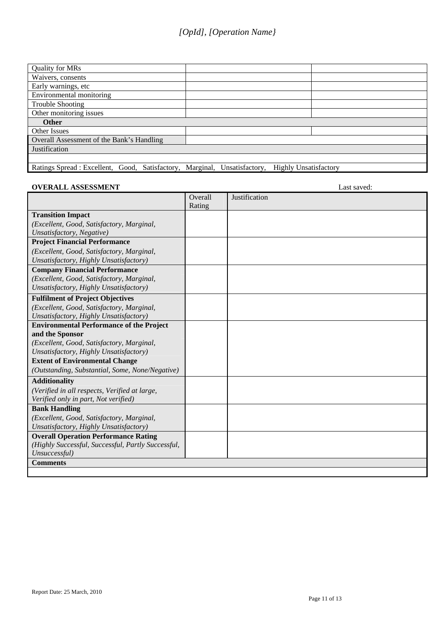| <b>Quality for MRs</b>                                                    |                              |  |
|---------------------------------------------------------------------------|------------------------------|--|
| Waivers, consents                                                         |                              |  |
| Early warnings, etc                                                       |                              |  |
| Environmental monitoring                                                  |                              |  |
| <b>Trouble Shooting</b>                                                   |                              |  |
| Other monitoring issues                                                   |                              |  |
| <b>Other</b>                                                              |                              |  |
| Other Issues                                                              |                              |  |
| Overall Assessment of the Bank's Handling                                 |                              |  |
| Justification                                                             |                              |  |
|                                                                           |                              |  |
| Ratings Spread : Excellent, Good, Satisfactory, Marginal, Unsatisfactory, | <b>Highly Unsatisfactory</b> |  |

#### **OVERALL ASSESSMENT** Last saved:

|                                                    | Overall | Justification |
|----------------------------------------------------|---------|---------------|
|                                                    | Rating  |               |
| <b>Transition Impact</b>                           |         |               |
| (Excellent, Good, Satisfactory, Marginal,          |         |               |
| Unsatisfactory, Negative)                          |         |               |
| <b>Project Financial Performance</b>               |         |               |
| (Excellent, Good, Satisfactory, Marginal,          |         |               |
| Unsatisfactory, Highly Unsatisfactory)             |         |               |
| <b>Company Financial Performance</b>               |         |               |
| (Excellent, Good, Satisfactory, Marginal,          |         |               |
| Unsatisfactory, Highly Unsatisfactory)             |         |               |
| <b>Fulfilment of Project Objectives</b>            |         |               |
| (Excellent, Good, Satisfactory, Marginal,          |         |               |
| Unsatisfactory, Highly Unsatisfactory)             |         |               |
| <b>Environmental Performance of the Project</b>    |         |               |
| and the Sponsor                                    |         |               |
| (Excellent, Good, Satisfactory, Marginal,          |         |               |
| Unsatisfactory, Highly Unsatisfactory)             |         |               |
| <b>Extent of Environmental Change</b>              |         |               |
| (Outstanding, Substantial, Some, None/Negative)    |         |               |
| <b>Additionality</b>                               |         |               |
| (Verified in all respects, Verified at large,      |         |               |
| Verified only in part, Not verified)               |         |               |
| <b>Bank Handling</b>                               |         |               |
| (Excellent, Good, Satisfactory, Marginal,          |         |               |
| Unsatisfactory, Highly Unsatisfactory)             |         |               |
| <b>Overall Operation Performance Rating</b>        |         |               |
| (Highly Successful, Successful, Partly Successful, |         |               |
| Unsuccessful)                                      |         |               |
| <b>Comments</b>                                    |         |               |
|                                                    |         |               |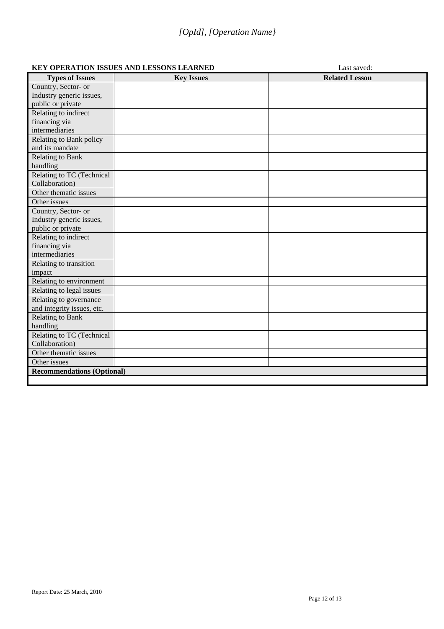#### **KEY OPERATION ISSUES AND LESSONS LEARNED** Last saved:

| <b>Types of Issues</b>            | <b>Key Issues</b> | <b>Related Lesson</b> |
|-----------------------------------|-------------------|-----------------------|
| Country, Sector- or               |                   |                       |
| Industry generic issues,          |                   |                       |
| public or private                 |                   |                       |
| Relating to indirect              |                   |                       |
| financing via                     |                   |                       |
| intermediaries                    |                   |                       |
| Relating to Bank policy           |                   |                       |
| and its mandate                   |                   |                       |
| <b>Relating to Bank</b>           |                   |                       |
| handling                          |                   |                       |
| Relating to TC (Technical         |                   |                       |
| Collaboration)                    |                   |                       |
| Other thematic issues             |                   |                       |
| Other issues                      |                   |                       |
| Country, Sector- or               |                   |                       |
| Industry generic issues,          |                   |                       |
| public or private                 |                   |                       |
| Relating to indirect              |                   |                       |
| financing via                     |                   |                       |
| intermediaries                    |                   |                       |
| Relating to transition            |                   |                       |
| impact                            |                   |                       |
| Relating to environment           |                   |                       |
| Relating to legal issues          |                   |                       |
| Relating to governance            |                   |                       |
| and integrity issues, etc.        |                   |                       |
| <b>Relating to Bank</b>           |                   |                       |
| handling                          |                   |                       |
| Relating to TC (Technical         |                   |                       |
| Collaboration)                    |                   |                       |
| Other thematic issues             |                   |                       |
| Other issues                      |                   |                       |
| <b>Recommendations (Optional)</b> |                   |                       |
|                                   |                   |                       |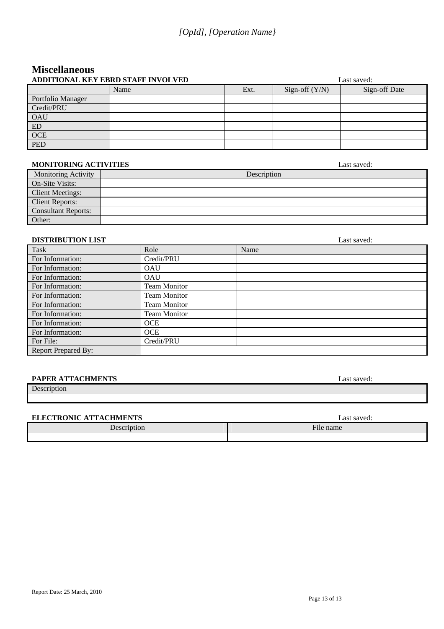### **Miscellaneous ADDITIONAL KEY EBRD STAFF INVOLVED Last saved:** Last saved:

| ADDITIONAL KEY EBRD STAFF INVOLVED |      |      | Last saved:      |               |  |
|------------------------------------|------|------|------------------|---------------|--|
|                                    | Name | Ext. | Sign-off $(Y/N)$ | Sign-off Date |  |
| Portfolio Manager                  |      |      |                  |               |  |
| Credit/PRU                         |      |      |                  |               |  |
| <b>OAU</b>                         |      |      |                  |               |  |
| ED                                 |      |      |                  |               |  |
| <b>OCE</b>                         |      |      |                  |               |  |
| <b>PED</b>                         |      |      |                  |               |  |

#### **MONITORING ACTIVITIES** Last saved:

| <b>Monitoring Activity</b> | Description |
|----------------------------|-------------|
| On-Site Visits:            |             |
| <b>Client Meetings:</b>    |             |
| <b>Client Reports:</b>     |             |
| <b>Consultant Reports:</b> |             |
| Other:                     |             |

#### **DISTRIBUTION LIST** Last saved:

| Task                       | Role                | Name |
|----------------------------|---------------------|------|
| For Information:           | Credit/PRU          |      |
| For Information:           | <b>OAU</b>          |      |
| For Information:           | <b>OAU</b>          |      |
| For Information:           | <b>Team Monitor</b> |      |
| For Information:           | <b>Team Monitor</b> |      |
| For Information:           | Team Monitor        |      |
| For Information:           | <b>Team Monitor</b> |      |
| For Information:           | <b>OCE</b>          |      |
| For Information:           | <b>OCE</b>          |      |
| For File:                  | Credit/PRU          |      |
| <b>Report Prepared By:</b> |                     |      |

#### **PAPER ATTACHMENTS** Last saved:

#### Description

#### **ELECTRONIC ATTACHMENTS** Last saved:

| <b>ELECTRONIC AT LACHMENTS</b> | Last sa võud.       |  |
|--------------------------------|---------------------|--|
| $\Delta$ escription            | $\sim$<br>⊣ile name |  |
|                                |                     |  |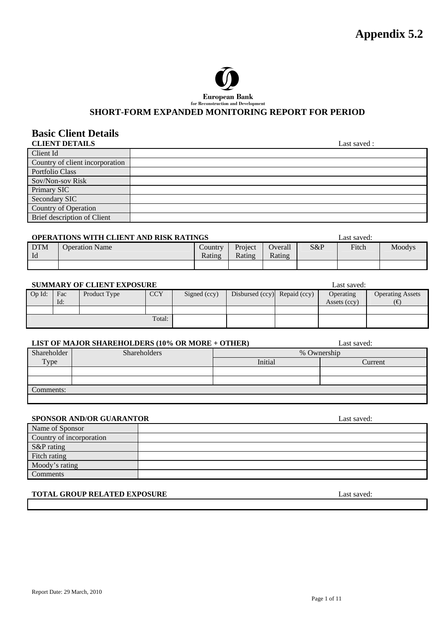

### **European Bank**<br>for Reconstruction and Development

#### SHORT-FORM EXPANDED MONITORING REPORT FOR PERIOD

## **Basic Client Details**

| <b>CLIENT DETAILS</b>           | Last saved: |
|---------------------------------|-------------|
| Client Id                       |             |
| Country of client incorporation |             |
| Portfolio Class                 |             |
| Sov/Non-sov Risk                |             |
| Primary SIC                     |             |
| Secondary SIC                   |             |
| Country of Operation            |             |
| Brief description of Client     |             |
|                                 |             |

#### **OPERATIONS WITH CLIENT AND RISK RATINGS Last saved:** Last saved:

|                  |                       |                   |                   |                   | ------------- |              |        |
|------------------|-----------------------|-------------------|-------------------|-------------------|---------------|--------------|--------|
| <b>DTM</b><br>Id | <b>Operation Name</b> | Country<br>Rating | Project<br>Rating | Overall<br>Rating | S&P           | <b>Fitch</b> | Moodys |
|                  |                       |                   |                   |                   |               |              |        |

#### **SUMMARY OF CLIENT EXPOSURE** Last saved:

| $Op$ Id: | Fac<br>Id: | Product Type | <b>CCY</b> | Signed (ccy) | Disbursed (ccy) Repaid (ccy) | Operating<br>Assets (ccy) | <b>Operating Assets</b><br>6€ |
|----------|------------|--------------|------------|--------------|------------------------------|---------------------------|-------------------------------|
|          |            |              |            |              |                              |                           |                               |
| Total:   |            |              |            |              |                              |                           |                               |

#### **LIST OF MAJOR SHAREHOLDERS (10% OR MORE + OTHER)** Last saved:

|             | LIST OF MAJOR SHAREHOLDERS (10%) OR MORE $\pm$ OTHER) |         | Last saveu. |
|-------------|-------------------------------------------------------|---------|-------------|
| Shareholder | <b>Shareholders</b>                                   |         | % Ownership |
| Type        |                                                       | Initial | Current     |
|             |                                                       |         |             |
|             |                                                       |         |             |
| Comments:   |                                                       |         |             |
|             |                                                       |         |             |

#### **SPONSOR AND/OR GUARANTOR** Last saved:

| Name of Sponsor          |  |
|--------------------------|--|
| Country of incorporation |  |
| S&P rating               |  |
| Fitch rating             |  |
| Moody's rating           |  |
| Comments                 |  |

#### **TOTAL GROUP RELATED EXPOSURE Last saved:** Last saved:

Report Date: 29 March, 2010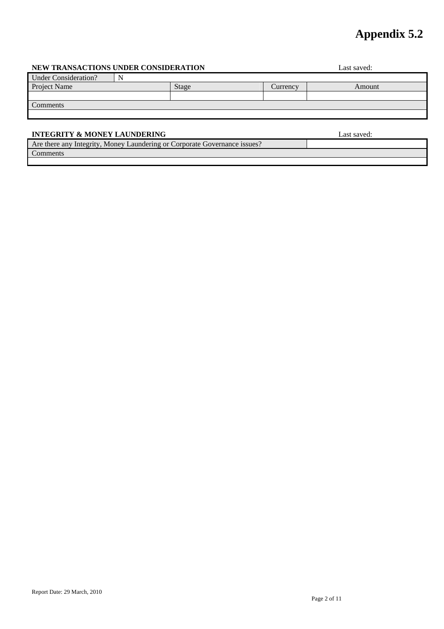## **Appendix 5.2**

#### **NEW TRANSACTIONS UNDER CONSIDERATION** Last saved:

| <b>Under Consideration?</b> |       |          |        |
|-----------------------------|-------|----------|--------|
| Project Name                | Stage | Currency | Amount |
|                             |       |          |        |
| Comments                    |       |          |        |
|                             |       |          |        |
|                             |       |          |        |

 $\mathbf{I}$ 

#### **INTEGRITY & MONEY LAUNDERING** Last saved:

Are there any Integrity, Money Laundering or Corporate Governance issues? Comments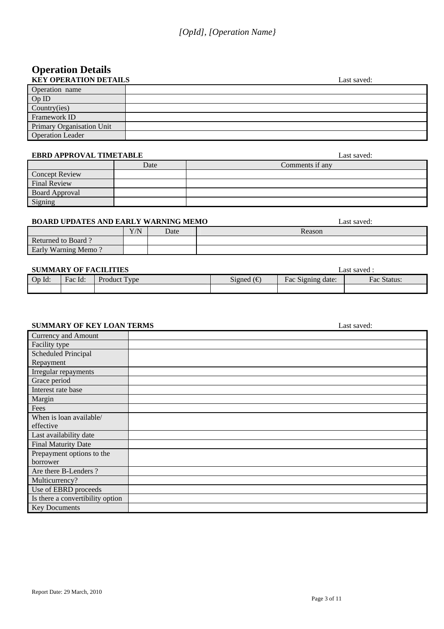# **Operation Details**

| <b>KEY OPERATION DETAILS</b> | Last saved: |
|------------------------------|-------------|
| Operation name               |             |
| OpID                         |             |
| Country(ies)                 |             |
| Framework ID                 |             |
| Primary Organisation Unit    |             |
| <b>Operation Leader</b>      |             |

#### **EBRD APPROVAL TIMETABLE Last saved:** Last saved:

| LDWD IN I INV THE INTILITIOUS |      | Label barrou.   |
|-------------------------------|------|-----------------|
|                               | Date | Comments if any |
| <b>Concept Review</b>         |      |                 |
| Final Review                  |      |                 |
| <b>Board Approval</b>         |      |                 |
| Signing                       |      |                 |

#### **BOARD UPDATES AND EARLY WARNING MEMO** Last saved:

|                       | Y/N | Date | Reason |
|-----------------------|-----|------|--------|
| Returned to<br>Board. |     |      |        |
| Early Warning Memo    |     |      |        |

#### **SUMMARY OF FACILITIES Last saved : Last saved :**

| <b>BUNIMARI OI FACILITIES</b> |         |                |                  |                           | Lasi savcu .   |
|-------------------------------|---------|----------------|------------------|---------------------------|----------------|
| $Op$ $Id:$                    | Fac Id: | Product<br>vne | $\sim$<br>Signed | -<br>Signing date:<br>Fac | Fac<br>Status: |
|                               |         |                |                  |                           |                |

#### **SUMMARY OF KEY LOAN TERMS** Last saved:

| Currency and Amount              |  |
|----------------------------------|--|
| Facility type                    |  |
| <b>Scheduled Principal</b>       |  |
| Repayment                        |  |
| Irregular repayments             |  |
| Grace period                     |  |
| Interest rate base               |  |
| Margin                           |  |
| Fees                             |  |
| When is loan available/          |  |
| effective                        |  |
| Last availability date           |  |
| <b>Final Maturity Date</b>       |  |
| Prepayment options to the        |  |
| borrower                         |  |
| Are there B-Lenders?             |  |
| Multicurrency?                   |  |
| Use of EBRD proceeds             |  |
| Is there a convertibility option |  |
| <b>Key Documents</b>             |  |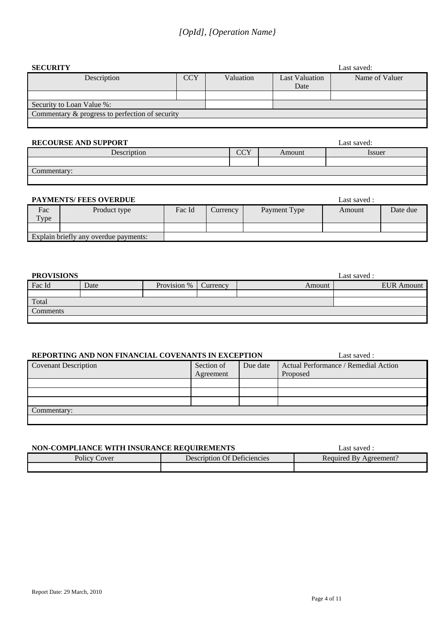| <b>SECURITY</b>                                 | Last saved: |           |                       |                |
|-------------------------------------------------|-------------|-----------|-----------------------|----------------|
| Description                                     | <b>CCY</b>  | Valuation | <b>Last Valuation</b> | Name of Valuer |
|                                                 |             |           | Date                  |                |
|                                                 |             |           |                       |                |
| Security to Loan Value %:                       |             |           |                       |                |
| Commentary & progress to perfection of security |             |           |                       |                |
|                                                 |             |           |                       |                |

#### **RECOURSE AND SUPPORT** Last saved:

| Description               | $\sim$<br>UU 1 | Amount | Issuer |
|---------------------------|----------------|--------|--------|
|                           |                |        |        |
| $\sqrt{ }$<br>Commentary: |                |        |        |
|                           |                |        |        |

#### **PAYMENTS/ FEES OVERDUE Last saved :** Last saved :

|                                       |              |        |                 |              | -------------- |          |
|---------------------------------------|--------------|--------|-----------------|--------------|----------------|----------|
| Fac                                   | Product type | Fac Id | <b>Currency</b> | Payment Type | Amount         | Date due |
| Type                                  |              |        |                 |              |                |          |
|                                       |              |        |                 |              |                |          |
| Explain briefly any overdue payments: |              |        |                 |              |                |          |

| <b>PROVISIONS</b> |      |             |          |        | Last saved :      |
|-------------------|------|-------------|----------|--------|-------------------|
| Fac Id            | Date | Provision % | Currency | Amount | <b>EUR</b> Amount |
|                   |      |             |          |        |                   |
| Total             |      |             |          |        |                   |
| Comments          |      |             |          |        |                   |
|                   |      |             |          |        |                   |

#### **REPORTING AND NON FINANCIAL COVENANTS IN EXCEPTION** Last saved :

| <u>KLI OKTINO IND NONTRUN KOMB CO (ENTINTO IN EROBI TION</u> |            |          |                                      |  |
|--------------------------------------------------------------|------------|----------|--------------------------------------|--|
| <b>Covenant Description</b>                                  | Section of | Due date | Actual Performance / Remedial Action |  |
|                                                              | Agreement  |          | Proposed                             |  |
|                                                              |            |          |                                      |  |
|                                                              |            |          |                                      |  |
|                                                              |            |          |                                      |  |
| Commentary:                                                  |            |          |                                      |  |
|                                                              |            |          |                                      |  |

| NON-COMPLIANCE WITH INSURANCE REQUIREMENTS |                             | Last saved ·           |
|--------------------------------------------|-----------------------------|------------------------|
| <b>Policy Cover</b>                        | Description Of Deficiencies | Required By Agreement? |
|                                            |                             |                        |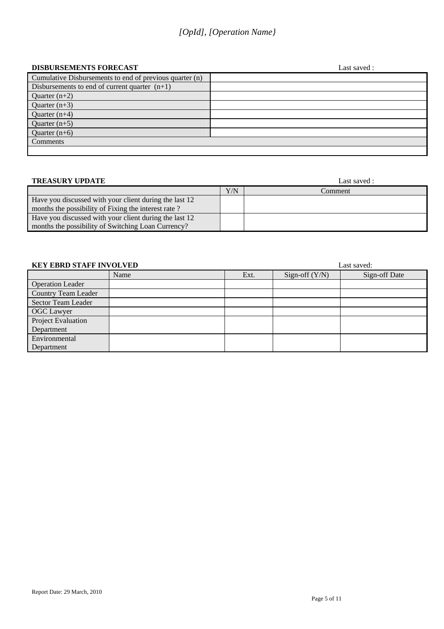### *[OpId], [Operation Name}*

#### **DISBURSEMENTS FORECAST** Last saved :

|                                                         | __…… |
|---------------------------------------------------------|------|
| Cumulative Disbursements to end of previous quarter (n) |      |
| Disbursements to end of current quarter $(n+1)$         |      |
| Quarter $(n+2)$                                         |      |
| Quarter $(n+3)$                                         |      |
| Quarter $(n+4)$                                         |      |
| Quarter $(n+5)$                                         |      |
| Quarter $(n+6)$                                         |      |
| Comments                                                |      |
|                                                         |      |

| <b>TREASURY UPDATE</b>                                 |     | Last saved : |
|--------------------------------------------------------|-----|--------------|
|                                                        | Y/N | Comment      |
| Have you discussed with your client during the last 12 |     |              |
| months the possibility of Fixing the interest rate?    |     |              |
| Have you discussed with your client during the last 12 |     |              |
| months the possibility of Switching Loan Currency?     |     |              |

| <b>KEY EBRD STAFF INVOLVED</b> |      |      | Last saved:      |               |  |
|--------------------------------|------|------|------------------|---------------|--|
|                                | Name | Ext. | Sign-off $(Y/N)$ | Sign-off Date |  |
| <b>Operation Leader</b>        |      |      |                  |               |  |
| <b>Country Team Leader</b>     |      |      |                  |               |  |
| Sector Team Leader             |      |      |                  |               |  |
| <b>OGC</b> Lawyer              |      |      |                  |               |  |
| Project Evaluation             |      |      |                  |               |  |
| Department                     |      |      |                  |               |  |
| Environmental                  |      |      |                  |               |  |
| Department                     |      |      |                  |               |  |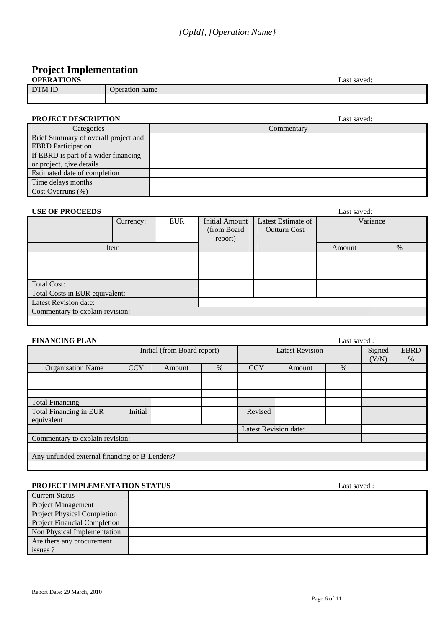## **Project Implementation**

| <b>OPERATIONS</b> | Last saved:    |
|-------------------|----------------|
| DTM ID            | Jperation name |
|                   |                |

#### **PROJECT DESCRIPTION** Last saved:

| Categories                           | Commentary |
|--------------------------------------|------------|
| Brief Summary of overall project and |            |
| <b>EBRD</b> Participation            |            |
| If EBRD is part of a wider financing |            |
| or project, give details             |            |
| Estimated date of completion         |            |
| Time delays months                   |            |
| $Cost$ Overruns $(\%)$               |            |

#### **USE OF PROCEEDS** Last saved:

| COL OF THOCLEDS                 |           |            |                                           |                                           | Last sa võu. |          |
|---------------------------------|-----------|------------|-------------------------------------------|-------------------------------------------|--------------|----------|
|                                 | Currency: | <b>EUR</b> | Initial Amount<br>(from Board)<br>report) | Latest Estimate of<br><b>Outturn Cost</b> |              | Variance |
|                                 | Item      |            |                                           |                                           | Amount       | %        |
|                                 |           |            |                                           |                                           |              |          |
|                                 |           |            |                                           |                                           |              |          |
|                                 |           |            |                                           |                                           |              |          |
| <b>Total Cost:</b>              |           |            |                                           |                                           |              |          |
| Total Costs in EUR equivalent:  |           |            |                                           |                                           |              |          |
| Latest Revision date:           |           |            |                                           |                                           |              |          |
| Commentary to explain revision: |           |            |                                           |                                           |              |          |
|                                 |           |            |                                           |                                           |              |          |

| <b>FINANCING PLAN</b>                         |            |                             |      |                              |                        | Last saved: |        |             |
|-----------------------------------------------|------------|-----------------------------|------|------------------------------|------------------------|-------------|--------|-------------|
|                                               |            | Initial (from Board report) |      |                              | <b>Latest Revision</b> |             | Signed | <b>EBRD</b> |
|                                               |            |                             |      |                              |                        |             | (Y/N)  | $\%$        |
| <b>Organisation Name</b>                      | <b>CCY</b> | Amount                      | $\%$ | <b>CCY</b>                   | Amount                 | %           |        |             |
|                                               |            |                             |      |                              |                        |             |        |             |
|                                               |            |                             |      |                              |                        |             |        |             |
|                                               |            |                             |      |                              |                        |             |        |             |
| <b>Total Financing</b>                        |            |                             |      |                              |                        |             |        |             |
| Total Financing in EUR                        | Initial    |                             |      | Revised                      |                        |             |        |             |
| equivalent                                    |            |                             |      |                              |                        |             |        |             |
|                                               |            |                             |      | <b>Latest Revision date:</b> |                        |             |        |             |
| Commentary to explain revision:               |            |                             |      |                              |                        |             |        |             |
|                                               |            |                             |      |                              |                        |             |        |             |
| Any unfunded external financing or B-Lenders? |            |                             |      |                              |                        |             |        |             |
|                                               |            |                             |      |                              |                        |             |        |             |

#### **PROJECT IMPLEMENTATION STATUS** Last saved :

| <b>Current Status</b>               |  |
|-------------------------------------|--|
| <b>Project Management</b>           |  |
| <b>Project Physical Completion</b>  |  |
| <b>Project Financial Completion</b> |  |
| Non Physical Implementation         |  |
| Are there any procurement           |  |
| issues ?                            |  |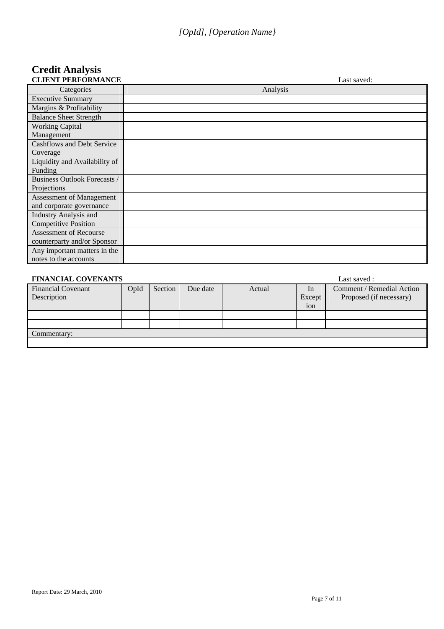# **Credit Analysis**

| <b>CLIENT PERFORMANCE</b>         | Last saved: |
|-----------------------------------|-------------|
| Categories                        | Analysis    |
| <b>Executive Summary</b>          |             |
| Margins & Profitability           |             |
| <b>Balance Sheet Strength</b>     |             |
| <b>Working Capital</b>            |             |
| Management                        |             |
| <b>Cashflows and Debt Service</b> |             |
| Coverage                          |             |
| Liquidity and Availability of     |             |
| Funding                           |             |
| Business Outlook Forecasts /      |             |
| Projections                       |             |
| Assessment of Management          |             |
| and corporate governance          |             |
| <b>Industry Analysis and</b>      |             |
| <b>Competitive Position</b>       |             |
| <b>Assessment of Recourse</b>     |             |
| counterparty and/or Sponsor       |             |
| Any important matters in the      |             |
| notes to the accounts             |             |

| <b>FINANCIAL COVENANTS</b>               |      |         |          |        |              | Last saved :                                         |
|------------------------------------------|------|---------|----------|--------|--------------|------------------------------------------------------|
| <b>Financial Covenant</b><br>Description | OpId | Section | Due date | Actual | In<br>Except | Comment / Remedial Action<br>Proposed (if necessary) |
|                                          |      |         |          |        | ion          |                                                      |
|                                          |      |         |          |        |              |                                                      |
|                                          |      |         |          |        |              |                                                      |
| Commentary:                              |      |         |          |        |              |                                                      |
|                                          |      |         |          |        |              |                                                      |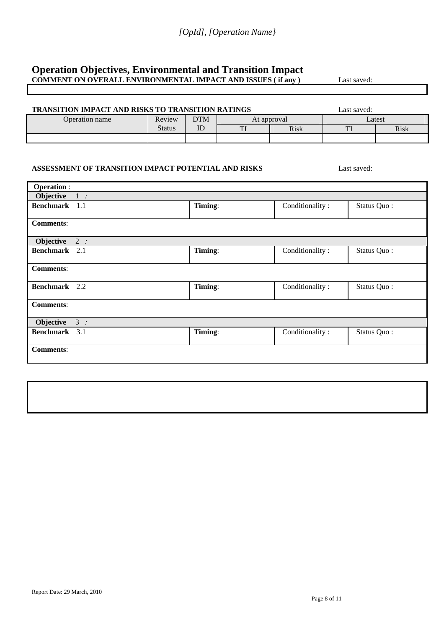#### **Operation Objectives, Environmental and Transition Impact COMMENT ON OVERALL ENVIRONMENTAL IMPACT AND ISSUES ( if any )** Last saved:

| TRANSITION IMPACT AND RISKS TO TRANSITION RATINGS   |               |            |             |                 | Last saved: |             |
|-----------------------------------------------------|---------------|------------|-------------|-----------------|-------------|-------------|
| Operation name                                      | Review        | <b>DTM</b> | At approval |                 | Latest      |             |
|                                                     | <b>Status</b> | ID         | TI          | <b>Risk</b>     | TI          | <b>Risk</b> |
|                                                     |               |            |             |                 |             |             |
| ASSESSMENT OF TRANSITION IMPACT POTENTIAL AND RISKS |               |            |             |                 | Last saved: |             |
| <b>Operation:</b>                                   |               |            |             |                 |             |             |
| Objective<br>$1$ :                                  |               |            |             |                 |             |             |
| Benchmark 1.1                                       |               | Timing:    |             | Conditionality: | Status Quo: |             |
| <b>Comments:</b>                                    |               |            |             |                 |             |             |
| Objective<br>2:                                     |               |            |             |                 |             |             |
| Benchmark 2.1                                       |               | Timing:    |             | Conditionality: | Status Quo: |             |
| <b>Comments:</b>                                    |               |            |             |                 |             |             |
| Benchmark 2.2                                       |               | Timing:    |             | Conditionality: | Status Quo: |             |
| <b>Comments:</b>                                    |               |            |             |                 |             |             |
| Objective<br>3:                                     |               |            |             |                 |             |             |
| Benchmark 3.1                                       |               | Timing:    |             | Conditionality: | Status Quo: |             |
| <b>Comments:</b>                                    |               |            |             |                 |             |             |
|                                                     |               |            |             |                 |             |             |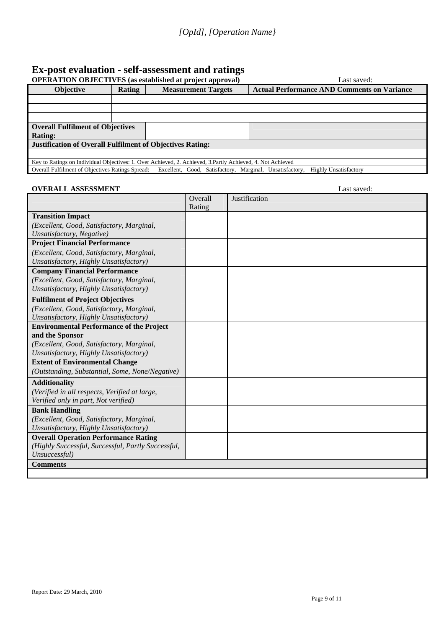### **Ex-post evaluation - self-assessment and ratings**

| <b>OPERATION OBJECTIVES</b> (as established at project approval) |        |                                                                                                             | Last saved:                                        |  |  |
|------------------------------------------------------------------|--------|-------------------------------------------------------------------------------------------------------------|----------------------------------------------------|--|--|
| <b>Objective</b>                                                 | Rating | <b>Measurement Targets</b>                                                                                  | <b>Actual Performance AND Comments on Variance</b> |  |  |
|                                                                  |        |                                                                                                             |                                                    |  |  |
|                                                                  |        |                                                                                                             |                                                    |  |  |
|                                                                  |        |                                                                                                             |                                                    |  |  |
| <b>Overall Fulfilment of Objectives</b>                          |        |                                                                                                             |                                                    |  |  |
| <b>Rating:</b>                                                   |        |                                                                                                             |                                                    |  |  |
| <b>Justification of Overall Fulfilment of Objectives Rating:</b> |        |                                                                                                             |                                                    |  |  |
|                                                                  |        |                                                                                                             |                                                    |  |  |
|                                                                  |        | Key to Ratings on Individual Objectives: 1. Over Achieved, 2. Achieved, 3. Partly Achieved, 4. Not Achieved |                                                    |  |  |
| <b>Overall Fulfilment of Objectives Ratings Spread:</b>          |        | Excellent, Good, Satisfactory, Marginal, Unsatisfactory,                                                    | <b>Highly Unsatisfactory</b>                       |  |  |

#### **OVERALL ASSESSMENT** Last saved:

|                                                    | Overall | Justification |
|----------------------------------------------------|---------|---------------|
|                                                    | Rating  |               |
| <b>Transition Impact</b>                           |         |               |
| (Excellent, Good, Satisfactory, Marginal,          |         |               |
| Unsatisfactory, Negative)                          |         |               |
| <b>Project Financial Performance</b>               |         |               |
| (Excellent, Good, Satisfactory, Marginal,          |         |               |
| Unsatisfactory, Highly Unsatisfactory)             |         |               |
| <b>Company Financial Performance</b>               |         |               |
| (Excellent, Good, Satisfactory, Marginal,          |         |               |
| Unsatisfactory, Highly Unsatisfactory)             |         |               |
| <b>Fulfilment of Project Objectives</b>            |         |               |
| (Excellent, Good, Satisfactory, Marginal,          |         |               |
| Unsatisfactory, Highly Unsatisfactory)             |         |               |
| <b>Environmental Performance of the Project</b>    |         |               |
| and the Sponsor                                    |         |               |
| (Excellent, Good, Satisfactory, Marginal,          |         |               |
| Unsatisfactory, Highly Unsatisfactory)             |         |               |
| <b>Extent of Environmental Change</b>              |         |               |
| (Outstanding, Substantial, Some, None/Negative)    |         |               |
| <b>Additionality</b>                               |         |               |
| (Verified in all respects, Verified at large,      |         |               |
| Verified only in part, Not verified)               |         |               |
| <b>Bank Handling</b>                               |         |               |
| (Excellent, Good, Satisfactory, Marginal,          |         |               |
| Unsatisfactory, Highly Unsatisfactory)             |         |               |
| <b>Overall Operation Performance Rating</b>        |         |               |
| (Highly Successful, Successful, Partly Successful, |         |               |
| Unsuccessful)                                      |         |               |
| <b>Comments</b>                                    |         |               |
|                                                    |         |               |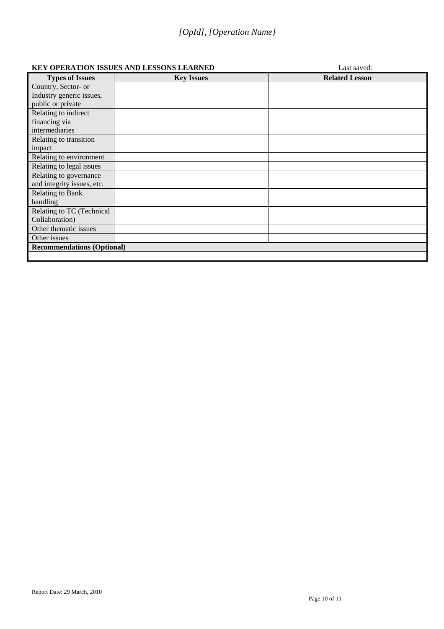### *[OpId], [Operation Name}*

#### **KEY OPERATION ISSUES AND LESSONS LEARNED** Last saved:

| <b>Types of Issues</b>            | <b>Key Issues</b> | <b>Related Lesson</b> |
|-----------------------------------|-------------------|-----------------------|
| Country, Sector- or               |                   |                       |
| Industry generic issues,          |                   |                       |
| public or private                 |                   |                       |
| Relating to indirect              |                   |                       |
| financing via                     |                   |                       |
| intermediaries                    |                   |                       |
| Relating to transition            |                   |                       |
| impact                            |                   |                       |
| Relating to environment           |                   |                       |
| Relating to legal issues          |                   |                       |
| Relating to governance            |                   |                       |
| and integrity issues, etc.        |                   |                       |
| Relating to Bank                  |                   |                       |
| handling                          |                   |                       |
| Relating to TC (Technical         |                   |                       |
| Collaboration)                    |                   |                       |
| Other thematic issues             |                   |                       |
| Other issues                      |                   |                       |
| <b>Recommendations (Optional)</b> |                   |                       |
|                                   |                   |                       |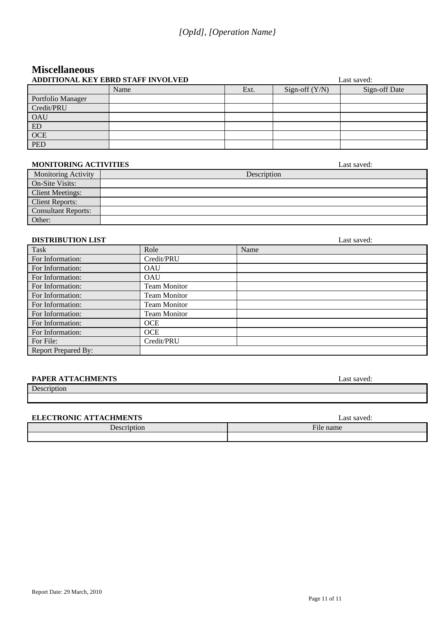### **Miscellaneous ADDITIONAL KEY EBRD STAFF INVOLVED Last saved:** Last saved:

|                   | ADDITIONAL KEY EBRD STAFF INVOLVED |      | Last saved:      |               |  |  |
|-------------------|------------------------------------|------|------------------|---------------|--|--|
|                   | Name                               | Ext. | Sign-off $(Y/N)$ | Sign-off Date |  |  |
| Portfolio Manager |                                    |      |                  |               |  |  |
| Credit/PRU        |                                    |      |                  |               |  |  |
| <b>OAU</b>        |                                    |      |                  |               |  |  |
| ED                |                                    |      |                  |               |  |  |
| <b>OCE</b>        |                                    |      |                  |               |  |  |
| <b>PED</b>        |                                    |      |                  |               |  |  |

#### **MONITORING ACTIVITIES** Last saved:

| <b>Monitoring Activity</b> | Description |
|----------------------------|-------------|
| On-Site Visits:            |             |
| <b>Client Meetings:</b>    |             |
| <b>Client Reports:</b>     |             |
| <b>Consultant Reports:</b> |             |
| Other:                     |             |

#### **DISTRIBUTION LIST** Last saved:

| Task                       | Role                | Name |
|----------------------------|---------------------|------|
| For Information:           | Credit/PRU          |      |
| For Information:           | <b>OAU</b>          |      |
| For Information:           | <b>OAU</b>          |      |
| For Information:           | <b>Team Monitor</b> |      |
| For Information:           | <b>Team Monitor</b> |      |
| For Information:           | <b>Team Monitor</b> |      |
| For Information:           | <b>Team Monitor</b> |      |
| For Information:           | <b>OCE</b>          |      |
| For Information:           | <b>OCE</b>          |      |
| For File:                  | Credit/PRU          |      |
| <b>Report Prepared By:</b> |                     |      |

#### **PAPER ATTACHMENTS** Last saved:

#### Description

#### **ELECTRONIC ATTACHMENTS** Last saved:

| <b>ELECTRONIC AT LACHMENTS</b> | Last sa võud.       |
|--------------------------------|---------------------|
| $\Delta$ escription            | $\sim$<br>⊣ile name |
|                                |                     |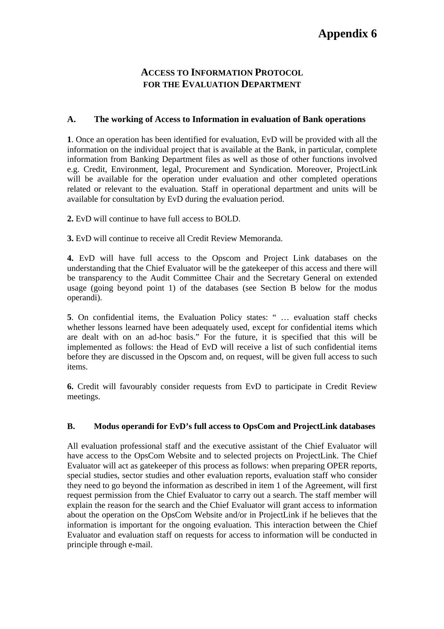## **Appendix 6**

### **ACCESS TO INFORMATION PROTOCOL FOR THE EVALUATION DEPARTMENT**

#### **A. The working of Access to Information in evaluation of Bank operations**

**1**. Once an operation has been identified for evaluation, EvD will be provided with all the information on the individual project that is available at the Bank, in particular, complete information from Banking Department files as well as those of other functions involved e.g. Credit, Environment, legal, Procurement and Syndication. Moreover, ProjectLink will be available for the operation under evaluation and other completed operations related or relevant to the evaluation. Staff in operational department and units will be available for consultation by EvD during the evaluation period.

**2.** EvD will continue to have full access to BOLD.

**3.** EvD will continue to receive all Credit Review Memoranda.

**4.** EvD will have full access to the Opscom and Project Link databases on the understanding that the Chief Evaluator will be the gatekeeper of this access and there will be transparency to the Audit Committee Chair and the Secretary General on extended usage (going beyond point 1) of the databases (see Section B below for the modus operandi).

**5**. On confidential items, the Evaluation Policy states: " … evaluation staff checks whether lessons learned have been adequately used, except for confidential items which are dealt with on an ad-hoc basis." For the future, it is specified that this will be implemented as follows: the Head of EvD will receive a list of such confidential items before they are discussed in the Opscom and, on request, will be given full access to such items.

**6.** Credit will favourably consider requests from EvD to participate in Credit Review meetings.

#### **B. Modus operandi for EvD's full access to OpsCom and ProjectLink databases**

All evaluation professional staff and the executive assistant of the Chief Evaluator will have access to the OpsCom Website and to selected projects on ProjectLink. The Chief Evaluator will act as gatekeeper of this process as follows: when preparing OPER reports, special studies, sector studies and other evaluation reports, evaluation staff who consider they need to go beyond the information as described in item 1 of the Agreement, will first request permission from the Chief Evaluator to carry out a search. The staff member will explain the reason for the search and the Chief Evaluator will grant access to information about the operation on the OpsCom Website and/or in ProjectLink if he believes that the information is important for the ongoing evaluation. This interaction between the Chief Evaluator and evaluation staff on requests for access to information will be conducted in principle through e-mail.